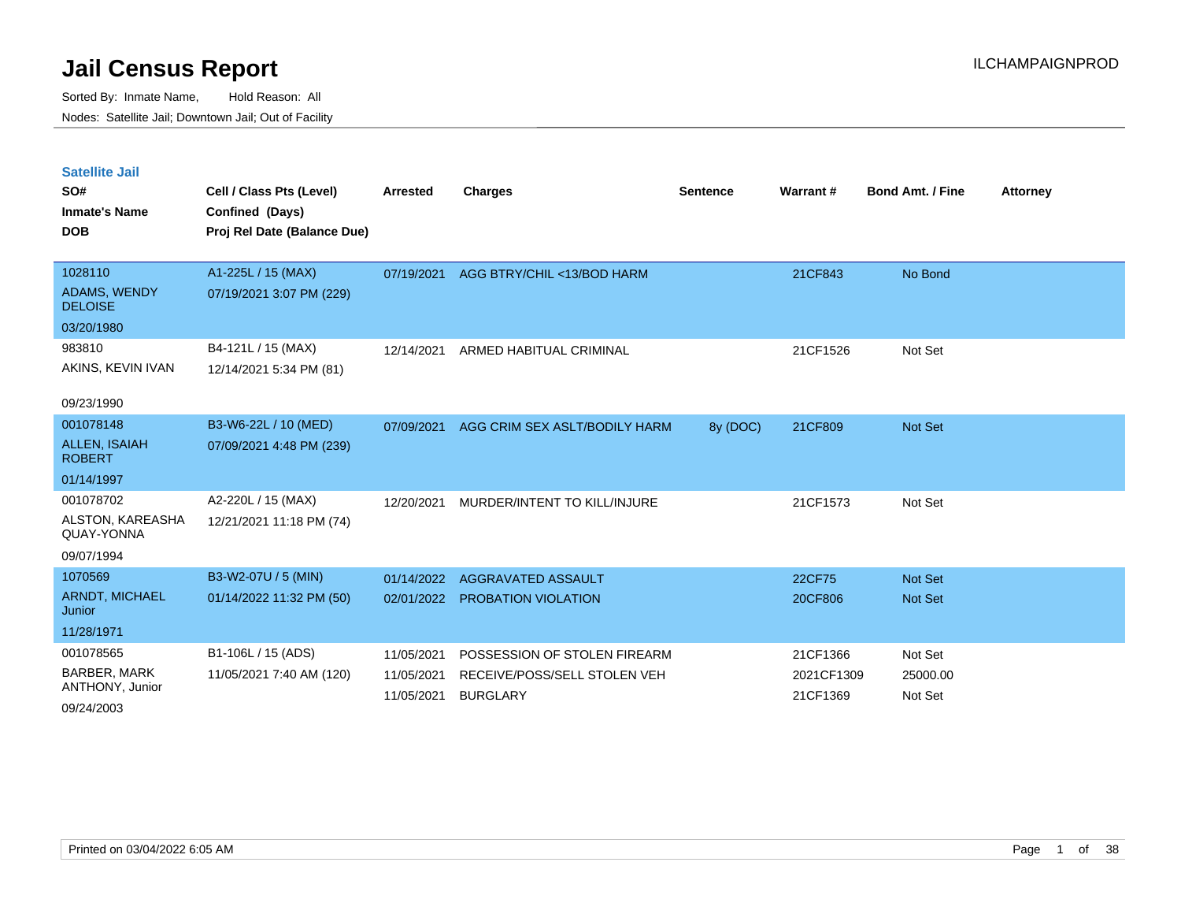Sorted By: Inmate Name, Hold Reason: All Nodes: Satellite Jail; Downtown Jail; Out of Facility

| <b>Satellite Jail</b><br>SO#<br><b>Inmate's Name</b><br><b>DOB</b> | Cell / Class Pts (Level)<br>Confined (Days)<br>Proj Rel Date (Balance Due) | <b>Arrested</b> | <b>Charges</b>                | <b>Sentence</b> | Warrant#   | <b>Bond Amt. / Fine</b> | <b>Attorney</b> |
|--------------------------------------------------------------------|----------------------------------------------------------------------------|-----------------|-------------------------------|-----------------|------------|-------------------------|-----------------|
| 1028110                                                            | A1-225L / 15 (MAX)                                                         | 07/19/2021      | AGG BTRY/CHIL <13/BOD HARM    |                 | 21CF843    | No Bond                 |                 |
| ADAMS, WENDY<br><b>DELOISE</b>                                     | 07/19/2021 3:07 PM (229)                                                   |                 |                               |                 |            |                         |                 |
| 03/20/1980                                                         |                                                                            |                 |                               |                 |            |                         |                 |
| 983810                                                             | B4-121L / 15 (MAX)                                                         | 12/14/2021      | ARMED HABITUAL CRIMINAL       |                 | 21CF1526   | Not Set                 |                 |
| AKINS, KEVIN IVAN                                                  | 12/14/2021 5:34 PM (81)                                                    |                 |                               |                 |            |                         |                 |
| 09/23/1990                                                         |                                                                            |                 |                               |                 |            |                         |                 |
| 001078148                                                          | B3-W6-22L / 10 (MED)                                                       | 07/09/2021      | AGG CRIM SEX ASLT/BODILY HARM | 8y (DOC)        | 21CF809    | <b>Not Set</b>          |                 |
| <b>ALLEN, ISAIAH</b><br><b>ROBERT</b>                              | 07/09/2021 4:48 PM (239)                                                   |                 |                               |                 |            |                         |                 |
| 01/14/1997                                                         |                                                                            |                 |                               |                 |            |                         |                 |
| 001078702                                                          | A2-220L / 15 (MAX)                                                         | 12/20/2021      | MURDER/INTENT TO KILL/INJURE  |                 | 21CF1573   | Not Set                 |                 |
| ALSTON, KAREASHA<br>QUAY-YONNA                                     | 12/21/2021 11:18 PM (74)                                                   |                 |                               |                 |            |                         |                 |
| 09/07/1994                                                         |                                                                            |                 |                               |                 |            |                         |                 |
| 1070569                                                            | B3-W2-07U / 5 (MIN)                                                        | 01/14/2022      | AGGRAVATED ASSAULT            |                 | 22CF75     | <b>Not Set</b>          |                 |
| <b>ARNDT, MICHAEL</b><br>Junior                                    | 01/14/2022 11:32 PM (50)                                                   | 02/01/2022      | PROBATION VIOLATION           |                 | 20CF806    | <b>Not Set</b>          |                 |
| 11/28/1971                                                         |                                                                            |                 |                               |                 |            |                         |                 |
| 001078565                                                          | B1-106L / 15 (ADS)                                                         | 11/05/2021      | POSSESSION OF STOLEN FIREARM  |                 | 21CF1366   | Not Set                 |                 |
| <b>BARBER, MARK</b>                                                | 11/05/2021 7:40 AM (120)                                                   | 11/05/2021      | RECEIVE/POSS/SELL STOLEN VEH  |                 | 2021CF1309 | 25000.00                |                 |
| ANTHONY, Junior                                                    |                                                                            | 11/05/2021      | <b>BURGLARY</b>               |                 | 21CF1369   | Not Set                 |                 |

09/24/2003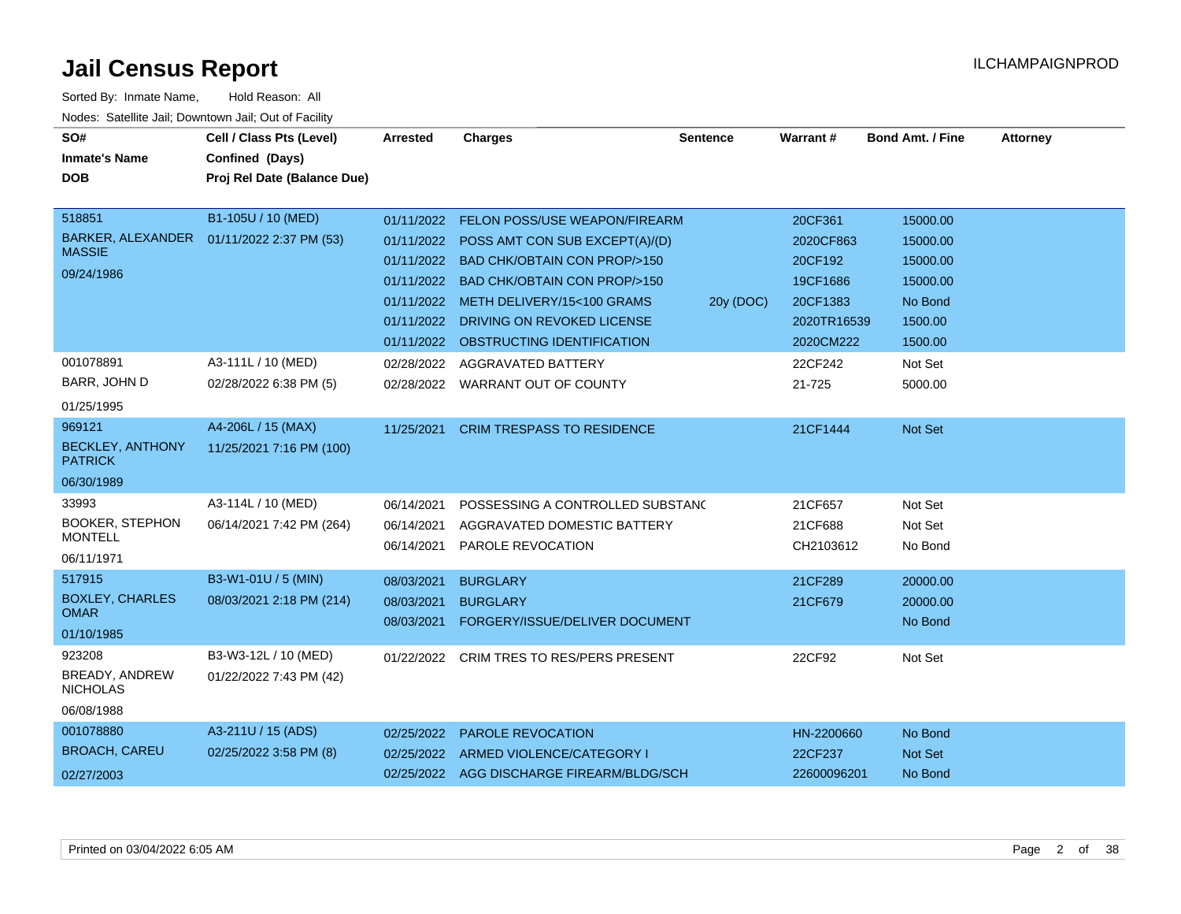| SO#                                      | Cell / Class Pts (Level)                   | <b>Arrested</b> | <b>Charges</b>                         | <b>Sentence</b> | <b>Warrant#</b> | Bond Amt. / Fine | <b>Attorney</b> |
|------------------------------------------|--------------------------------------------|-----------------|----------------------------------------|-----------------|-----------------|------------------|-----------------|
| <b>Inmate's Name</b>                     | Confined (Days)                            |                 |                                        |                 |                 |                  |                 |
| <b>DOB</b>                               | Proj Rel Date (Balance Due)                |                 |                                        |                 |                 |                  |                 |
|                                          |                                            |                 |                                        |                 |                 |                  |                 |
| 518851                                   | B1-105U / 10 (MED)                         | 01/11/2022      | FELON POSS/USE WEAPON/FIREARM          |                 | 20CF361         | 15000.00         |                 |
| <b>MASSIE</b>                            | BARKER, ALEXANDER  01/11/2022 2:37 PM (53) | 01/11/2022      | POSS AMT CON SUB EXCEPT(A)/(D)         |                 | 2020CF863       | 15000.00         |                 |
|                                          |                                            | 01/11/2022      | <b>BAD CHK/OBTAIN CON PROP/&gt;150</b> |                 | 20CF192         | 15000.00         |                 |
| 09/24/1986                               |                                            | 01/11/2022      | <b>BAD CHK/OBTAIN CON PROP/&gt;150</b> |                 | 19CF1686        | 15000.00         |                 |
|                                          |                                            | 01/11/2022      | METH DELIVERY/15<100 GRAMS             | 20y (DOC)       | 20CF1383        | No Bond          |                 |
|                                          |                                            | 01/11/2022      | DRIVING ON REVOKED LICENSE             |                 | 2020TR16539     | 1500.00          |                 |
|                                          |                                            | 01/11/2022      | OBSTRUCTING IDENTIFICATION             |                 | 2020CM222       | 1500.00          |                 |
| 001078891                                | A3-111L / 10 (MED)                         | 02/28/2022      | AGGRAVATED BATTERY                     |                 | 22CF242         | Not Set          |                 |
| BARR, JOHN D                             | 02/28/2022 6:38 PM (5)                     | 02/28/2022      | <b>WARRANT OUT OF COUNTY</b>           |                 | 21-725          | 5000.00          |                 |
| 01/25/1995                               |                                            |                 |                                        |                 |                 |                  |                 |
| 969121                                   | A4-206L / 15 (MAX)                         | 11/25/2021      | <b>CRIM TRESPASS TO RESIDENCE</b>      |                 | 21CF1444        | Not Set          |                 |
| <b>BECKLEY, ANTHONY</b>                  | 11/25/2021 7:16 PM (100)                   |                 |                                        |                 |                 |                  |                 |
| <b>PATRICK</b>                           |                                            |                 |                                        |                 |                 |                  |                 |
| 06/30/1989                               |                                            |                 |                                        |                 |                 |                  |                 |
| 33993                                    | A3-114L / 10 (MED)                         | 06/14/2021      | POSSESSING A CONTROLLED SUBSTANC       |                 | 21CF657         | Not Set          |                 |
| <b>BOOKER, STEPHON</b><br><b>MONTELL</b> | 06/14/2021 7:42 PM (264)                   | 06/14/2021      | AGGRAVATED DOMESTIC BATTERY            |                 | 21CF688         | Not Set          |                 |
| 06/11/1971                               |                                            | 06/14/2021      | <b>PAROLE REVOCATION</b>               |                 | CH2103612       | No Bond          |                 |
| 517915                                   | B3-W1-01U / 5 (MIN)                        | 08/03/2021      | <b>BURGLARY</b>                        |                 | 21CF289         | 20000.00         |                 |
| <b>BOXLEY, CHARLES</b>                   | 08/03/2021 2:18 PM (214)                   |                 |                                        |                 |                 |                  |                 |
| <b>OMAR</b>                              |                                            | 08/03/2021      | <b>BURGLARY</b>                        |                 | 21CF679         | 20000.00         |                 |
| 01/10/1985                               |                                            | 08/03/2021      | FORGERY/ISSUE/DELIVER DOCUMENT         |                 |                 | No Bond          |                 |
| 923208                                   | B3-W3-12L / 10 (MED)                       | 01/22/2022      | CRIM TRES TO RES/PERS PRESENT          |                 | 22CF92          | Not Set          |                 |
| BREADY, ANDREW<br><b>NICHOLAS</b>        | 01/22/2022 7:43 PM (42)                    |                 |                                        |                 |                 |                  |                 |
| 06/08/1988                               |                                            |                 |                                        |                 |                 |                  |                 |
| 001078880                                | A3-211U / 15 (ADS)                         | 02/25/2022      | PAROLE REVOCATION                      |                 | HN-2200660      | No Bond          |                 |
| <b>BROACH, CAREU</b>                     | 02/25/2022 3:58 PM (8)                     | 02/25/2022      | ARMED VIOLENCE/CATEGORY I              |                 | 22CF237         | <b>Not Set</b>   |                 |
| 02/27/2003                               |                                            | 02/25/2022      | AGG DISCHARGE FIREARM/BLDG/SCH         |                 | 22600096201     | No Bond          |                 |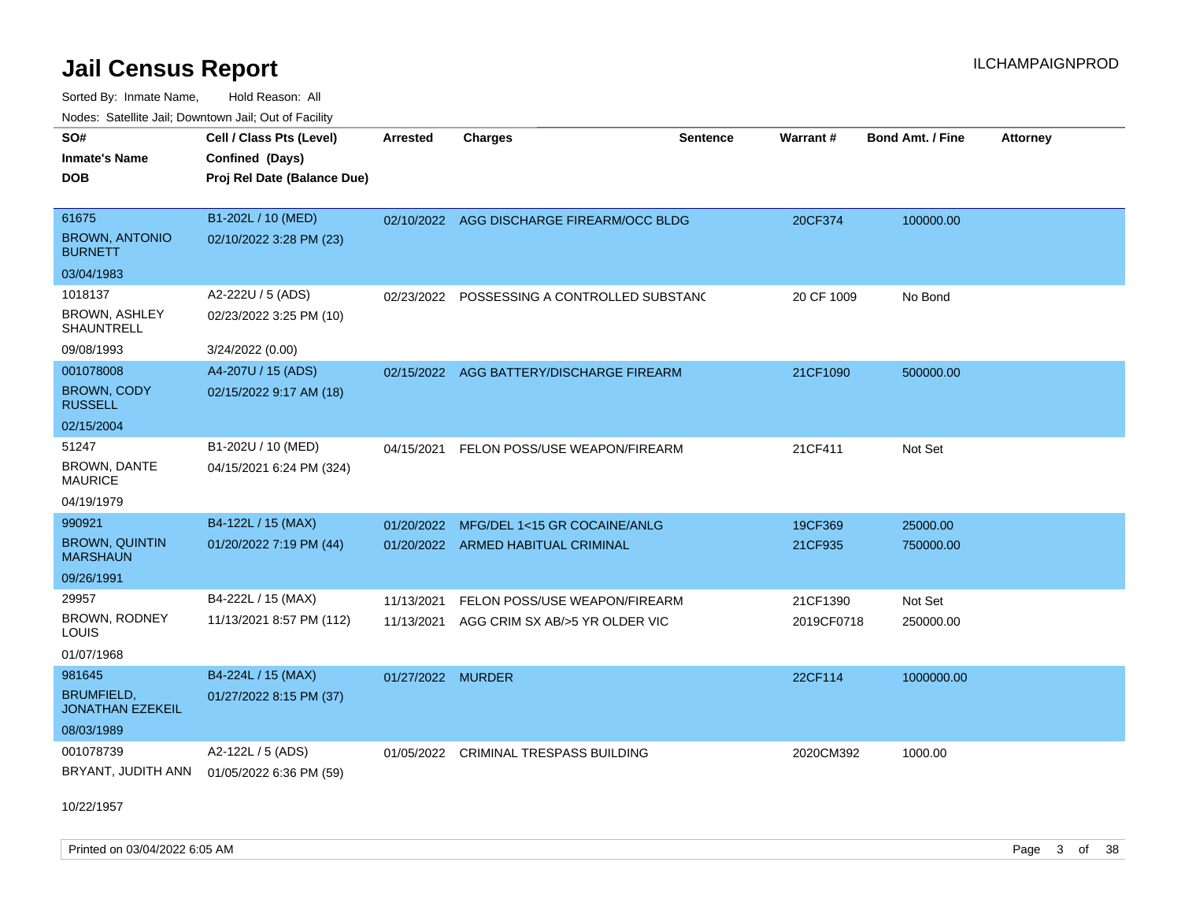Sorted By: Inmate Name, Hold Reason: All Nodes: Satellite Jail; Downtown Jail; Out of Facility

| SO#                                          | Cell / Class Pts (Level)    | <b>Arrested</b>   | <b>Charges</b>                              | <b>Sentence</b> | Warrant#   | <b>Bond Amt. / Fine</b> | <b>Attorney</b> |
|----------------------------------------------|-----------------------------|-------------------|---------------------------------------------|-----------------|------------|-------------------------|-----------------|
| <b>Inmate's Name</b>                         | Confined (Days)             |                   |                                             |                 |            |                         |                 |
| <b>DOB</b>                                   | Proj Rel Date (Balance Due) |                   |                                             |                 |            |                         |                 |
|                                              |                             |                   |                                             |                 |            |                         |                 |
| 61675                                        | B1-202L / 10 (MED)          |                   | 02/10/2022 AGG DISCHARGE FIREARM/OCC BLDG   |                 | 20CF374    | 100000.00               |                 |
| <b>BROWN, ANTONIO</b><br><b>BURNETT</b>      | 02/10/2022 3:28 PM (23)     |                   |                                             |                 |            |                         |                 |
| 03/04/1983                                   |                             |                   |                                             |                 |            |                         |                 |
| 1018137                                      | A2-222U / 5 (ADS)           |                   | 02/23/2022 POSSESSING A CONTROLLED SUBSTANC |                 | 20 CF 1009 | No Bond                 |                 |
| <b>BROWN, ASHLEY</b><br>SHAUNTRELL           | 02/23/2022 3:25 PM (10)     |                   |                                             |                 |            |                         |                 |
| 09/08/1993                                   | 3/24/2022 (0.00)            |                   |                                             |                 |            |                         |                 |
| 001078008                                    | A4-207U / 15 (ADS)          |                   | 02/15/2022 AGG BATTERY/DISCHARGE FIREARM    |                 | 21CF1090   | 500000.00               |                 |
| <b>BROWN, CODY</b><br><b>RUSSELL</b>         | 02/15/2022 9:17 AM (18)     |                   |                                             |                 |            |                         |                 |
| 02/15/2004                                   |                             |                   |                                             |                 |            |                         |                 |
| 51247                                        | B1-202U / 10 (MED)          | 04/15/2021        | FELON POSS/USE WEAPON/FIREARM               |                 | 21CF411    | Not Set                 |                 |
| <b>BROWN, DANTE</b><br><b>MAURICE</b>        | 04/15/2021 6:24 PM (324)    |                   |                                             |                 |            |                         |                 |
| 04/19/1979                                   |                             |                   |                                             |                 |            |                         |                 |
| 990921                                       | B4-122L / 15 (MAX)          | 01/20/2022        | MFG/DEL 1<15 GR COCAINE/ANLG                |                 | 19CF369    | 25000.00                |                 |
| <b>BROWN, QUINTIN</b><br><b>MARSHAUN</b>     | 01/20/2022 7:19 PM (44)     |                   | 01/20/2022 ARMED HABITUAL CRIMINAL          |                 | 21CF935    | 750000.00               |                 |
| 09/26/1991                                   |                             |                   |                                             |                 |            |                         |                 |
| 29957                                        | B4-222L / 15 (MAX)          | 11/13/2021        | FELON POSS/USE WEAPON/FIREARM               |                 | 21CF1390   | Not Set                 |                 |
| BROWN, RODNEY<br>LOUIS                       | 11/13/2021 8:57 PM (112)    | 11/13/2021        | AGG CRIM SX AB/>5 YR OLDER VIC              |                 | 2019CF0718 | 250000.00               |                 |
| 01/07/1968                                   |                             |                   |                                             |                 |            |                         |                 |
| 981645                                       | B4-224L / 15 (MAX)          | 01/27/2022 MURDER |                                             |                 | 22CF114    | 1000000.00              |                 |
| <b>BRUMFIELD.</b><br><b>JONATHAN EZEKEIL</b> | 01/27/2022 8:15 PM (37)     |                   |                                             |                 |            |                         |                 |
| 08/03/1989                                   |                             |                   |                                             |                 |            |                         |                 |
| 001078739                                    | A2-122L / 5 (ADS)           | 01/05/2022        | <b>CRIMINAL TRESPASS BUILDING</b>           |                 | 2020CM392  | 1000.00                 |                 |
| BRYANT, JUDITH ANN                           | 01/05/2022 6:36 PM (59)     |                   |                                             |                 |            |                         |                 |

10/22/1957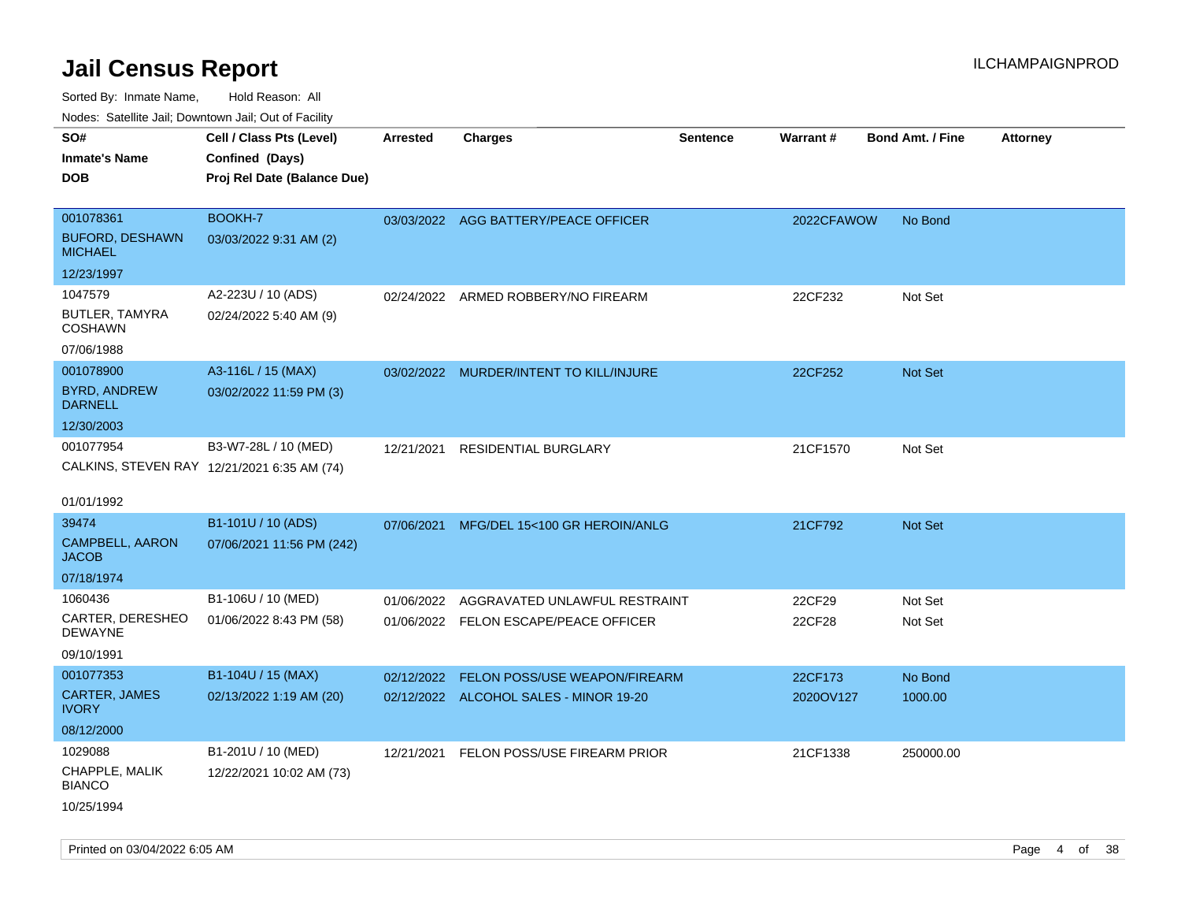Sorted By: Inmate Name, Hold Reason: All Nodes: Satellite Jail; Downtown Jail; Out of Facility

| ivouss. Satellite Jali, Downtown Jali, Out of Facility |                                             |                 |                                         |                 |            |                         |                 |
|--------------------------------------------------------|---------------------------------------------|-----------------|-----------------------------------------|-----------------|------------|-------------------------|-----------------|
| SO#                                                    | Cell / Class Pts (Level)                    | <b>Arrested</b> | <b>Charges</b>                          | <b>Sentence</b> | Warrant#   | <b>Bond Amt. / Fine</b> | <b>Attorney</b> |
| Inmate's Name                                          | Confined (Days)                             |                 |                                         |                 |            |                         |                 |
| <b>DOB</b>                                             | Proj Rel Date (Balance Due)                 |                 |                                         |                 |            |                         |                 |
|                                                        |                                             |                 |                                         |                 |            |                         |                 |
| 001078361                                              | BOOKH-7                                     |                 | 03/03/2022 AGG BATTERY/PEACE OFFICER    |                 | 2022CFAWOW | No Bond                 |                 |
| <b>BUFORD, DESHAWN</b><br><b>MICHAEL</b>               | 03/03/2022 9:31 AM (2)                      |                 |                                         |                 |            |                         |                 |
| 12/23/1997                                             |                                             |                 |                                         |                 |            |                         |                 |
| 1047579                                                | A2-223U / 10 (ADS)                          |                 | 02/24/2022 ARMED ROBBERY/NO FIREARM     |                 | 22CF232    | Not Set                 |                 |
| BUTLER, TAMYRA<br><b>COSHAWN</b>                       | 02/24/2022 5:40 AM (9)                      |                 |                                         |                 |            |                         |                 |
| 07/06/1988                                             |                                             |                 |                                         |                 |            |                         |                 |
| 001078900                                              | A3-116L / 15 (MAX)                          |                 | 03/02/2022 MURDER/INTENT TO KILL/INJURE |                 | 22CF252    | Not Set                 |                 |
| <b>BYRD, ANDREW</b><br><b>DARNELL</b>                  | 03/02/2022 11:59 PM (3)                     |                 |                                         |                 |            |                         |                 |
| 12/30/2003                                             |                                             |                 |                                         |                 |            |                         |                 |
| 001077954                                              | B3-W7-28L / 10 (MED)                        | 12/21/2021      | <b>RESIDENTIAL BURGLARY</b>             |                 | 21CF1570   | Not Set                 |                 |
|                                                        | CALKINS, STEVEN RAY 12/21/2021 6:35 AM (74) |                 |                                         |                 |            |                         |                 |
|                                                        |                                             |                 |                                         |                 |            |                         |                 |
| 01/01/1992                                             |                                             |                 |                                         |                 |            |                         |                 |
| 39474                                                  | B1-101U / 10 (ADS)                          | 07/06/2021      | MFG/DEL 15<100 GR HEROIN/ANLG           |                 | 21CF792    | <b>Not Set</b>          |                 |
| CAMPBELL, AARON<br>JACOB                               | 07/06/2021 11:56 PM (242)                   |                 |                                         |                 |            |                         |                 |
| 07/18/1974                                             |                                             |                 |                                         |                 |            |                         |                 |
| 1060436                                                | B1-106U / 10 (MED)                          | 01/06/2022      | AGGRAVATED UNLAWFUL RESTRAINT           |                 | 22CF29     | Not Set                 |                 |
| CARTER, DERESHEO<br>DEWAYNE                            | 01/06/2022 8:43 PM (58)                     |                 | 01/06/2022 FELON ESCAPE/PEACE OFFICER   |                 | 22CF28     | Not Set                 |                 |
| 09/10/1991                                             |                                             |                 |                                         |                 |            |                         |                 |
| 001077353                                              | B1-104U / 15 (MAX)                          | 02/12/2022      | FELON POSS/USE WEAPON/FIREARM           |                 | 22CF173    | No Bond                 |                 |
| CARTER, JAMES<br>IVORY                                 | 02/13/2022 1:19 AM (20)                     |                 | 02/12/2022 ALCOHOL SALES - MINOR 19-20  |                 | 2020OV127  | 1000.00                 |                 |
| 08/12/2000                                             |                                             |                 |                                         |                 |            |                         |                 |
| 1029088                                                | B1-201U / 10 (MED)                          | 12/21/2021      | FELON POSS/USE FIREARM PRIOR            |                 | 21CF1338   | 250000.00               |                 |
| CHAPPLE, MALIK<br><b>BIANCO</b>                        | 12/22/2021 10:02 AM (73)                    |                 |                                         |                 |            |                         |                 |
| 10/25/1994                                             |                                             |                 |                                         |                 |            |                         |                 |

Printed on 03/04/2022 6:05 AM Page 4 of 38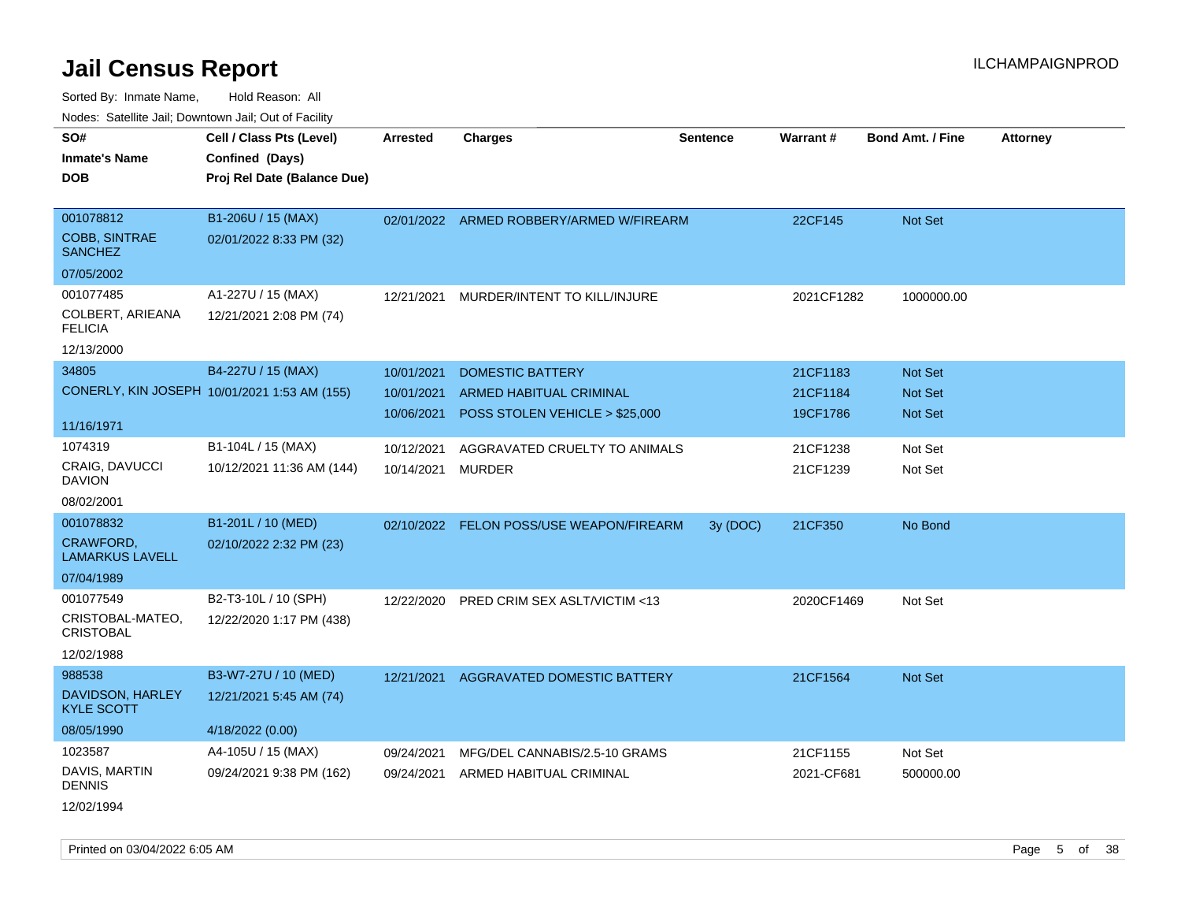Sorted By: Inmate Name, Hold Reason: All Nodes: Satellite Jail; Downtown Jail; Out of Facility

| SO#<br><b>Inmate's Name</b><br><b>DOB</b>           | Cell / Class Pts (Level)<br>Confined (Days)<br>Proj Rel Date (Balance Due) | Arrested                               | <b>Charges</b>                                                                              | <b>Sentence</b> | <b>Warrant#</b>                  | <b>Bond Amt. / Fine</b>                            | <b>Attorney</b> |
|-----------------------------------------------------|----------------------------------------------------------------------------|----------------------------------------|---------------------------------------------------------------------------------------------|-----------------|----------------------------------|----------------------------------------------------|-----------------|
| 001078812<br><b>COBB, SINTRAE</b><br><b>SANCHEZ</b> | B1-206U / 15 (MAX)<br>02/01/2022 8:33 PM (32)                              |                                        | 02/01/2022 ARMED ROBBERY/ARMED W/FIREARM                                                    |                 | 22CF145                          | Not Set                                            |                 |
| 07/05/2002                                          |                                                                            |                                        |                                                                                             |                 |                                  |                                                    |                 |
| 001077485<br>COLBERT, ARIEANA<br><b>FELICIA</b>     | A1-227U / 15 (MAX)<br>12/21/2021 2:08 PM (74)                              | 12/21/2021                             | MURDER/INTENT TO KILL/INJURE                                                                |                 | 2021CF1282                       | 1000000.00                                         |                 |
| 12/13/2000                                          |                                                                            |                                        |                                                                                             |                 |                                  |                                                    |                 |
| 34805                                               | B4-227U / 15 (MAX)<br>CONERLY, KIN JOSEPH 10/01/2021 1:53 AM (155)         | 10/01/2021<br>10/01/2021<br>10/06/2021 | <b>DOMESTIC BATTERY</b><br><b>ARMED HABITUAL CRIMINAL</b><br>POSS STOLEN VEHICLE > \$25,000 |                 | 21CF1183<br>21CF1184<br>19CF1786 | <b>Not Set</b><br><b>Not Set</b><br><b>Not Set</b> |                 |
| 11/16/1971                                          |                                                                            |                                        |                                                                                             |                 |                                  |                                                    |                 |
| 1074319                                             | B1-104L / 15 (MAX)                                                         | 10/12/2021                             | AGGRAVATED CRUELTY TO ANIMALS                                                               |                 | 21CF1238                         | Not Set                                            |                 |
| CRAIG, DAVUCCI<br><b>DAVION</b>                     | 10/12/2021 11:36 AM (144)                                                  | 10/14/2021                             | MURDER                                                                                      |                 | 21CF1239                         | Not Set                                            |                 |
| 08/02/2001                                          |                                                                            |                                        |                                                                                             |                 |                                  |                                                    |                 |
| 001078832                                           | B1-201L / 10 (MED)                                                         | 02/10/2022                             | FELON POSS/USE WEAPON/FIREARM                                                               | 3y (DOC)        | 21CF350                          | No Bond                                            |                 |
| CRAWFORD,<br><b>LAMARKUS LAVELL</b>                 | 02/10/2022 2:32 PM (23)                                                    |                                        |                                                                                             |                 |                                  |                                                    |                 |
| 07/04/1989                                          |                                                                            |                                        |                                                                                             |                 |                                  |                                                    |                 |
| 001077549                                           | B2-T3-10L / 10 (SPH)                                                       | 12/22/2020                             | PRED CRIM SEX ASLT/VICTIM <13                                                               |                 | 2020CF1469                       | Not Set                                            |                 |
| CRISTOBAL-MATEO,<br><b>CRISTOBAL</b>                | 12/22/2020 1:17 PM (438)                                                   |                                        |                                                                                             |                 |                                  |                                                    |                 |
| 12/02/1988                                          |                                                                            |                                        |                                                                                             |                 |                                  |                                                    |                 |
| 988538                                              | B3-W7-27U / 10 (MED)                                                       | 12/21/2021                             | AGGRAVATED DOMESTIC BATTERY                                                                 |                 | 21CF1564                         | <b>Not Set</b>                                     |                 |
| DAVIDSON, HARLEY<br><b>KYLE SCOTT</b>               | 12/21/2021 5:45 AM (74)                                                    |                                        |                                                                                             |                 |                                  |                                                    |                 |
| 08/05/1990                                          | 4/18/2022 (0.00)                                                           |                                        |                                                                                             |                 |                                  |                                                    |                 |
| 1023587                                             | A4-105U / 15 (MAX)                                                         | 09/24/2021                             | MFG/DEL CANNABIS/2.5-10 GRAMS                                                               |                 | 21CF1155                         | Not Set                                            |                 |
| DAVIS, MARTIN<br><b>DENNIS</b>                      | 09/24/2021 9:38 PM (162)                                                   | 09/24/2021                             | ARMED HABITUAL CRIMINAL                                                                     |                 | 2021-CF681                       | 500000.00                                          |                 |
|                                                     |                                                                            |                                        |                                                                                             |                 |                                  |                                                    |                 |

12/02/1994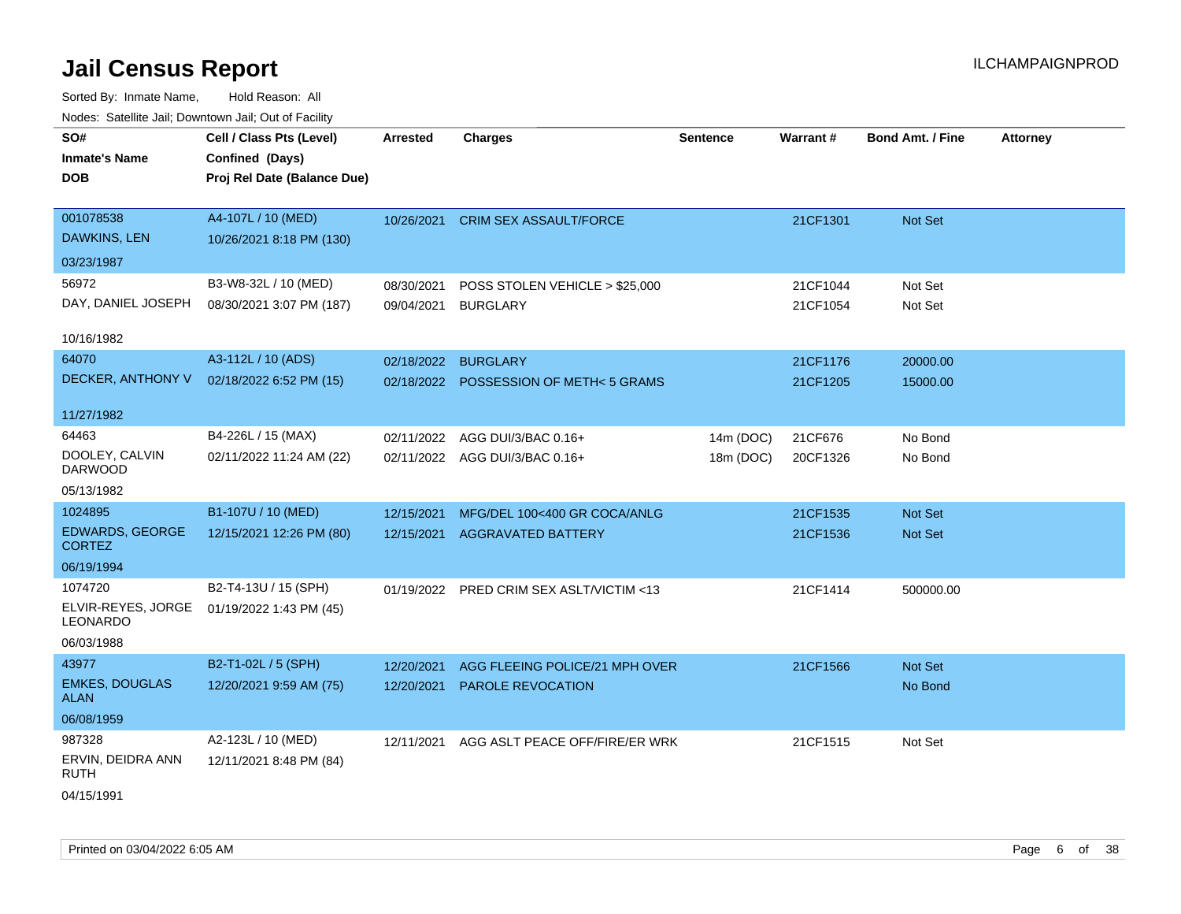| SO#<br><b>Inmate's Name</b><br><b>DOB</b> | Cell / Class Pts (Level)<br>Confined (Days)<br>Proj Rel Date (Balance Due) | <b>Arrested</b>          | <b>Charges</b>                             | <b>Sentence</b> | Warrant#             | <b>Bond Amt. / Fine</b> | <b>Attorney</b> |
|-------------------------------------------|----------------------------------------------------------------------------|--------------------------|--------------------------------------------|-----------------|----------------------|-------------------------|-----------------|
| 001078538<br><b>DAWKINS, LEN</b>          | A4-107L / 10 (MED)<br>10/26/2021 8:18 PM (130)                             | 10/26/2021               | <b>CRIM SEX ASSAULT/FORCE</b>              |                 | 21CF1301             | Not Set                 |                 |
| 03/23/1987                                |                                                                            |                          |                                            |                 |                      |                         |                 |
| 56972<br>DAY, DANIEL JOSEPH               | B3-W8-32L / 10 (MED)<br>08/30/2021 3:07 PM (187)                           | 08/30/2021<br>09/04/2021 | POSS STOLEN VEHICLE > \$25,000<br>BURGLARY |                 | 21CF1044<br>21CF1054 | Not Set<br>Not Set      |                 |
| 10/16/1982                                |                                                                            |                          |                                            |                 |                      |                         |                 |
| 64070                                     | A3-112L / 10 (ADS)                                                         | 02/18/2022 BURGLARY      |                                            |                 | 21CF1176             | 20000.00                |                 |
| DECKER, ANTHONY V                         | 02/18/2022 6:52 PM (15)                                                    |                          | 02/18/2022 POSSESSION OF METH<5 GRAMS      |                 | 21CF1205             | 15000.00                |                 |
| 11/27/1982                                |                                                                            |                          |                                            |                 |                      |                         |                 |
| 64463                                     | B4-226L / 15 (MAX)                                                         | 02/11/2022               | AGG DUI/3/BAC 0.16+                        | 14m (DOC)       | 21CF676              | No Bond                 |                 |
| DOOLEY, CALVIN<br><b>DARWOOD</b>          | 02/11/2022 11:24 AM (22)                                                   |                          | 02/11/2022 AGG DUI/3/BAC 0.16+             | 18m (DOC)       | 20CF1326             | No Bond                 |                 |
| 05/13/1982                                |                                                                            |                          |                                            |                 |                      |                         |                 |
| 1024895                                   | B1-107U / 10 (MED)                                                         | 12/15/2021               | MFG/DEL 100<400 GR COCA/ANLG               |                 | 21CF1535             | Not Set                 |                 |
| <b>EDWARDS, GEORGE</b><br><b>CORTEZ</b>   | 12/15/2021 12:26 PM (80)                                                   |                          | 12/15/2021 AGGRAVATED BATTERY              |                 | 21CF1536             | Not Set                 |                 |
| 06/19/1994                                |                                                                            |                          |                                            |                 |                      |                         |                 |
| 1074720                                   | B2-T4-13U / 15 (SPH)                                                       | 01/19/2022               | PRED CRIM SEX ASLT/VICTIM <13              |                 | 21CF1414             | 500000.00               |                 |
| ELVIR-REYES, JORGE<br>LEONARDO            | 01/19/2022 1:43 PM (45)                                                    |                          |                                            |                 |                      |                         |                 |
| 06/03/1988                                |                                                                            |                          |                                            |                 |                      |                         |                 |
| 43977                                     | B2-T1-02L / 5 (SPH)                                                        | 12/20/2021               | AGG FLEEING POLICE/21 MPH OVER             |                 | 21CF1566             | Not Set                 |                 |
| <b>EMKES, DOUGLAS</b><br><b>ALAN</b>      | 12/20/2021 9:59 AM (75)                                                    | 12/20/2021               | PAROLE REVOCATION                          |                 |                      | No Bond                 |                 |
| 06/08/1959                                |                                                                            |                          |                                            |                 |                      |                         |                 |
| 987328                                    | A2-123L / 10 (MED)                                                         | 12/11/2021               | AGG ASLT PEACE OFF/FIRE/ER WRK             |                 | 21CF1515             | Not Set                 |                 |
| ERVIN, DEIDRA ANN<br><b>RUTH</b>          | 12/11/2021 8:48 PM (84)                                                    |                          |                                            |                 |                      |                         |                 |
| 04/15/1991                                |                                                                            |                          |                                            |                 |                      |                         |                 |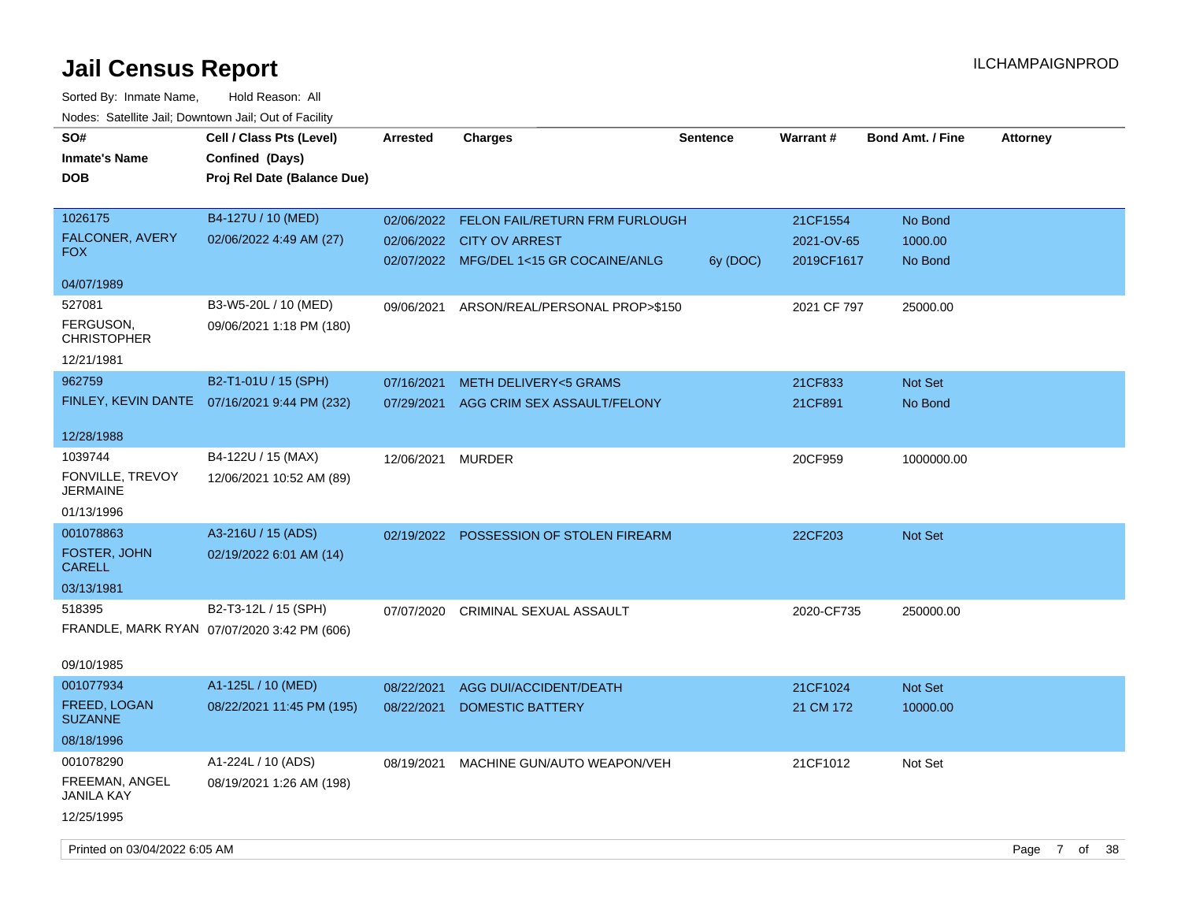| SO#<br><b>Inmate's Name</b><br><b>DOB</b> | Cell / Class Pts (Level)<br>Confined (Days)<br>Proj Rel Date (Balance Due) | <b>Arrested</b>   | <b>Charges</b>                            | <b>Sentence</b> | <b>Warrant#</b> | <b>Bond Amt. / Fine</b> | <b>Attorney</b>                 |
|-------------------------------------------|----------------------------------------------------------------------------|-------------------|-------------------------------------------|-----------------|-----------------|-------------------------|---------------------------------|
| 1026175                                   | B4-127U / 10 (MED)                                                         |                   | 02/06/2022 FELON FAIL/RETURN FRM FURLOUGH |                 | 21CF1554        | No Bond                 |                                 |
| FALCONER, AVERY                           | 02/06/2022 4:49 AM (27)                                                    |                   | 02/06/2022 CITY OV ARREST                 |                 | 2021-OV-65      | 1000.00                 |                                 |
| <b>FOX</b>                                |                                                                            |                   | 02/07/2022 MFG/DEL 1<15 GR COCAINE/ANLG   | 6y (DOC)        | 2019CF1617      | No Bond                 |                                 |
| 04/07/1989                                |                                                                            |                   |                                           |                 |                 |                         |                                 |
| 527081                                    | B3-W5-20L / 10 (MED)                                                       | 09/06/2021        | ARSON/REAL/PERSONAL PROP>\$150            |                 | 2021 CF 797     | 25000.00                |                                 |
| FERGUSON,<br><b>CHRISTOPHER</b>           | 09/06/2021 1:18 PM (180)                                                   |                   |                                           |                 |                 |                         |                                 |
| 12/21/1981                                |                                                                            |                   |                                           |                 |                 |                         |                                 |
| 962759                                    | B2-T1-01U / 15 (SPH)                                                       | 07/16/2021        | <b>METH DELIVERY&lt;5 GRAMS</b>           |                 | 21CF833         | Not Set                 |                                 |
| FINLEY, KEVIN DANTE                       | 07/16/2021 9:44 PM (232)                                                   |                   | 07/29/2021 AGG CRIM SEX ASSAULT/FELONY    |                 | 21CF891         | No Bond                 |                                 |
|                                           |                                                                            |                   |                                           |                 |                 |                         |                                 |
| 12/28/1988<br>1039744                     | B4-122U / 15 (MAX)                                                         |                   |                                           |                 | 20CF959         |                         |                                 |
| FONVILLE, TREVOY                          | 12/06/2021 10:52 AM (89)                                                   | 12/06/2021 MURDER |                                           |                 |                 | 1000000.00              |                                 |
| <b>JERMAINE</b>                           |                                                                            |                   |                                           |                 |                 |                         |                                 |
| 01/13/1996                                |                                                                            |                   |                                           |                 |                 |                         |                                 |
| 001078863                                 | A3-216U / 15 (ADS)                                                         |                   | 02/19/2022 POSSESSION OF STOLEN FIREARM   |                 | 22CF203         | Not Set                 |                                 |
| FOSTER, JOHN<br><b>CARELL</b>             | 02/19/2022 6:01 AM (14)                                                    |                   |                                           |                 |                 |                         |                                 |
| 03/13/1981                                |                                                                            |                   |                                           |                 |                 |                         |                                 |
| 518395                                    | B2-T3-12L / 15 (SPH)                                                       |                   | 07/07/2020 CRIMINAL SEXUAL ASSAULT        |                 | 2020-CF735      | 250000.00               |                                 |
|                                           | FRANDLE, MARK RYAN 07/07/2020 3:42 PM (606)                                |                   |                                           |                 |                 |                         |                                 |
| 09/10/1985                                |                                                                            |                   |                                           |                 |                 |                         |                                 |
| 001077934                                 | A1-125L / 10 (MED)                                                         | 08/22/2021        | AGG DUI/ACCIDENT/DEATH                    |                 | 21CF1024        | Not Set                 |                                 |
| FREED, LOGAN<br><b>SUZANNE</b>            | 08/22/2021 11:45 PM (195)                                                  | 08/22/2021        | <b>DOMESTIC BATTERY</b>                   |                 | 21 CM 172       | 10000.00                |                                 |
| 08/18/1996                                |                                                                            |                   |                                           |                 |                 |                         |                                 |
| 001078290                                 | A1-224L / 10 (ADS)                                                         | 08/19/2021        | MACHINE GUN/AUTO WEAPON/VEH               |                 | 21CF1012        | Not Set                 |                                 |
| FREEMAN, ANGEL<br><b>JANILA KAY</b>       | 08/19/2021 1:26 AM (198)                                                   |                   |                                           |                 |                 |                         |                                 |
| 12/25/1995                                |                                                                            |                   |                                           |                 |                 |                         |                                 |
| Printed on 03/04/2022 6:05 AM             |                                                                            |                   |                                           |                 |                 |                         | $\overline{7}$<br>of 38<br>Page |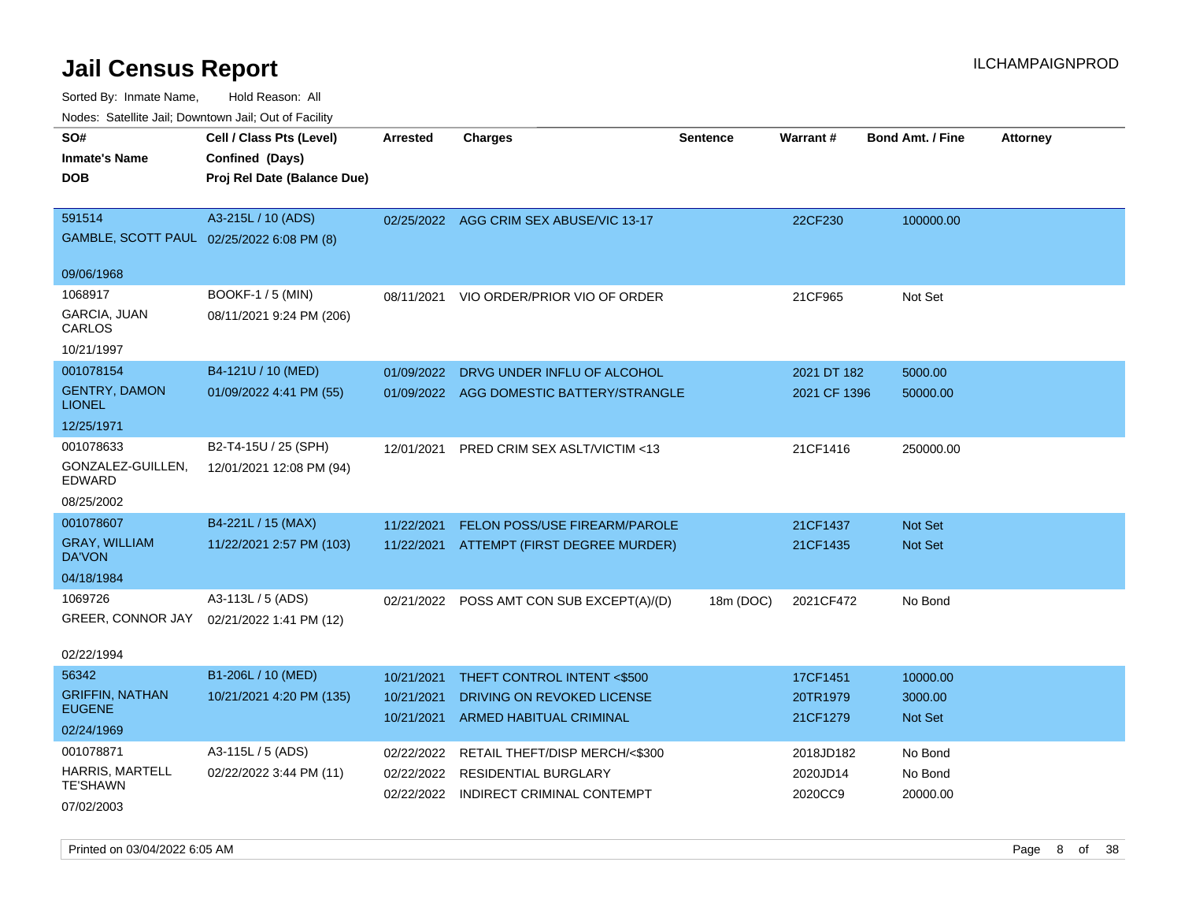| Noues. Satellite Jall, Downtown Jall, Out of Facility |                             |            |                                         |                 |              |                         |                 |
|-------------------------------------------------------|-----------------------------|------------|-----------------------------------------|-----------------|--------------|-------------------------|-----------------|
| SO#                                                   | Cell / Class Pts (Level)    | Arrested   | <b>Charges</b>                          | <b>Sentence</b> | Warrant#     | <b>Bond Amt. / Fine</b> | <b>Attorney</b> |
| <b>Inmate's Name</b>                                  | Confined (Days)             |            |                                         |                 |              |                         |                 |
| DOB                                                   | Proj Rel Date (Balance Due) |            |                                         |                 |              |                         |                 |
|                                                       |                             |            |                                         |                 |              |                         |                 |
| 591514                                                | A3-215L / 10 (ADS)          |            | 02/25/2022 AGG CRIM SEX ABUSE/VIC 13-17 |                 | 22CF230      | 100000.00               |                 |
| GAMBLE, SCOTT PAUL 02/25/2022 6:08 PM (8)             |                             |            |                                         |                 |              |                         |                 |
| 09/06/1968                                            |                             |            |                                         |                 |              |                         |                 |
| 1068917                                               | BOOKF-1 / 5 (MIN)           | 08/11/2021 | VIO ORDER/PRIOR VIO OF ORDER            |                 | 21CF965      | Not Set                 |                 |
| GARCIA, JUAN<br>CARLOS                                | 08/11/2021 9:24 PM (206)    |            |                                         |                 |              |                         |                 |
| 10/21/1997                                            |                             |            |                                         |                 |              |                         |                 |
| 001078154                                             | B4-121U / 10 (MED)          | 01/09/2022 | DRVG UNDER INFLU OF ALCOHOL             |                 | 2021 DT 182  | 5000.00                 |                 |
| <b>GENTRY, DAMON</b><br><b>LIONEL</b>                 | 01/09/2022 4:41 PM (55)     | 01/09/2022 | AGG DOMESTIC BATTERY/STRANGLE           |                 | 2021 CF 1396 | 50000.00                |                 |
| 12/25/1971                                            |                             |            |                                         |                 |              |                         |                 |
| 001078633                                             | B2-T4-15U / 25 (SPH)        | 12/01/2021 | <b>PRED CRIM SEX ASLT/VICTIM &lt;13</b> |                 | 21CF1416     | 250000.00               |                 |
| GONZALEZ-GUILLEN,<br><b>EDWARD</b>                    | 12/01/2021 12:08 PM (94)    |            |                                         |                 |              |                         |                 |
| 08/25/2002                                            |                             |            |                                         |                 |              |                         |                 |
| 001078607                                             | B4-221L / 15 (MAX)          | 11/22/2021 | FELON POSS/USE FIREARM/PAROLE           |                 | 21CF1437     | <b>Not Set</b>          |                 |
| <b>GRAY, WILLIAM</b><br>DA'VON                        | 11/22/2021 2:57 PM (103)    | 11/22/2021 | ATTEMPT (FIRST DEGREE MURDER)           |                 | 21CF1435     | <b>Not Set</b>          |                 |
| 04/18/1984                                            |                             |            |                                         |                 |              |                         |                 |
| 1069726                                               | A3-113L / 5 (ADS)           | 02/21/2022 | POSS AMT CON SUB EXCEPT(A)/(D)          | 18m (DOC)       | 2021CF472    | No Bond                 |                 |
| GREER, CONNOR JAY                                     | 02/21/2022 1:41 PM (12)     |            |                                         |                 |              |                         |                 |
| 02/22/1994                                            |                             |            |                                         |                 |              |                         |                 |
| 56342                                                 | B1-206L / 10 (MED)          | 10/21/2021 | THEFT CONTROL INTENT <\$500             |                 | 17CF1451     | 10000.00                |                 |
| <b>GRIFFIN, NATHAN</b><br><b>EUGENE</b>               | 10/21/2021 4:20 PM (135)    | 10/21/2021 | DRIVING ON REVOKED LICENSE              |                 | 20TR1979     | 3000.00                 |                 |
| 02/24/1969                                            |                             | 10/21/2021 | <b>ARMED HABITUAL CRIMINAL</b>          |                 | 21CF1279     | <b>Not Set</b>          |                 |
| 001078871                                             | A3-115L / 5 (ADS)           | 02/22/2022 | RETAIL THEFT/DISP MERCH/<\$300          |                 | 2018JD182    | No Bond                 |                 |
| HARRIS, MARTELL                                       | 02/22/2022 3:44 PM (11)     | 02/22/2022 | <b>RESIDENTIAL BURGLARY</b>             |                 | 2020JD14     | No Bond                 |                 |
| <b>TE'SHAWN</b>                                       |                             | 02/22/2022 | INDIRECT CRIMINAL CONTEMPT              |                 | 2020CC9      | 20000.00                |                 |
| 07/02/2003                                            |                             |            |                                         |                 |              |                         |                 |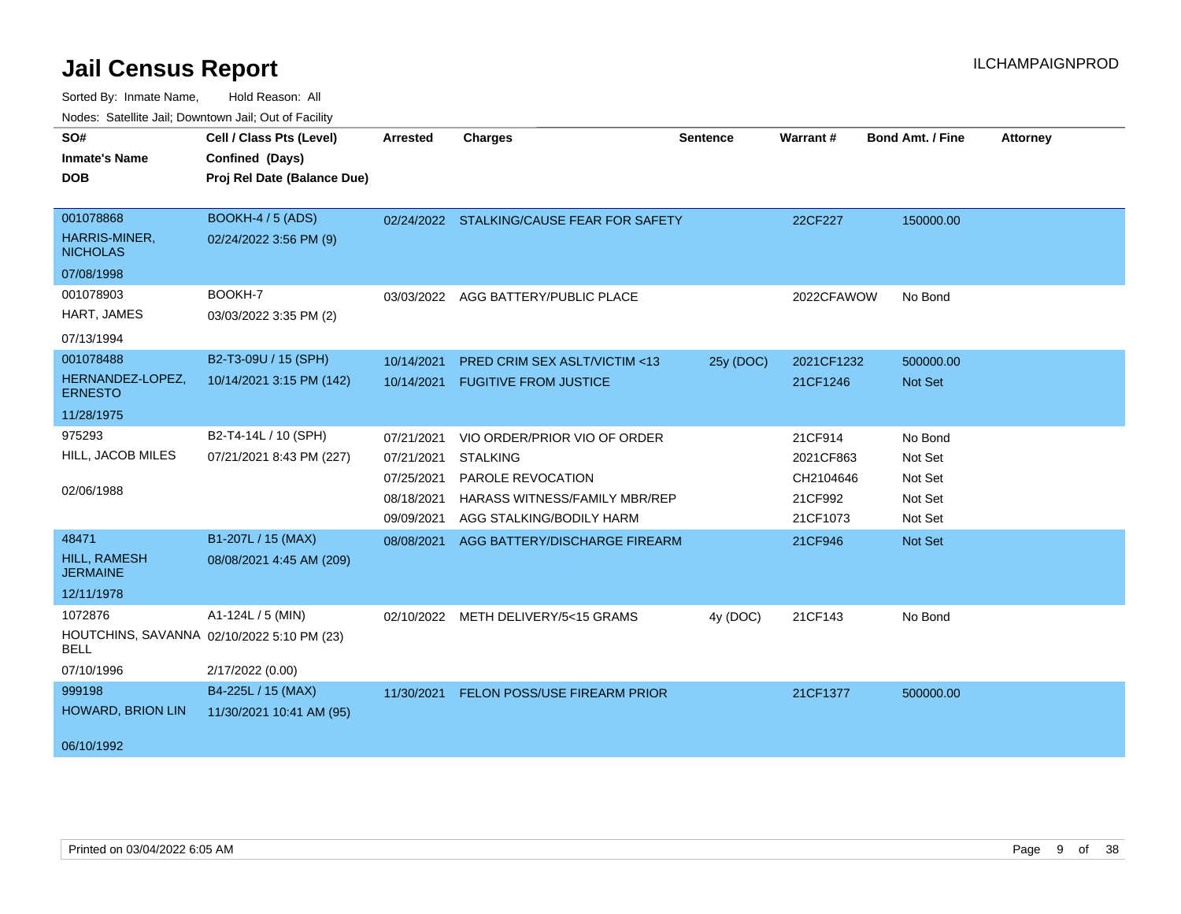| SO#                                    | Cell / Class Pts (Level)                   | <b>Arrested</b> | <b>Charges</b>                            | <b>Sentence</b> | <b>Warrant#</b> | <b>Bond Amt. / Fine</b> | <b>Attorney</b> |
|----------------------------------------|--------------------------------------------|-----------------|-------------------------------------------|-----------------|-----------------|-------------------------|-----------------|
| <b>Inmate's Name</b>                   | Confined (Days)                            |                 |                                           |                 |                 |                         |                 |
| <b>DOB</b>                             | Proj Rel Date (Balance Due)                |                 |                                           |                 |                 |                         |                 |
|                                        |                                            |                 |                                           |                 |                 |                         |                 |
| 001078868                              | <b>BOOKH-4 / 5 (ADS)</b>                   |                 | 02/24/2022 STALKING/CAUSE FEAR FOR SAFETY |                 | 22CF227         | 150000.00               |                 |
| HARRIS-MINER,<br><b>NICHOLAS</b>       | 02/24/2022 3:56 PM (9)                     |                 |                                           |                 |                 |                         |                 |
| 07/08/1998                             |                                            |                 |                                           |                 |                 |                         |                 |
| 001078903                              | BOOKH-7                                    | 03/03/2022      | AGG BATTERY/PUBLIC PLACE                  |                 | 2022CFAWOW      | No Bond                 |                 |
| HART, JAMES                            | 03/03/2022 3:35 PM (2)                     |                 |                                           |                 |                 |                         |                 |
| 07/13/1994                             |                                            |                 |                                           |                 |                 |                         |                 |
| 001078488                              | B2-T3-09U / 15 (SPH)                       | 10/14/2021      | <b>PRED CRIM SEX ASLT/VICTIM &lt;13</b>   | 25y (DOC)       | 2021CF1232      | 500000.00               |                 |
| HERNANDEZ-LOPEZ,<br><b>ERNESTO</b>     | 10/14/2021 3:15 PM (142)                   | 10/14/2021      | <b>FUGITIVE FROM JUSTICE</b>              |                 | 21CF1246        | Not Set                 |                 |
| 11/28/1975                             |                                            |                 |                                           |                 |                 |                         |                 |
| 975293                                 | B2-T4-14L / 10 (SPH)                       | 07/21/2021      | VIO ORDER/PRIOR VIO OF ORDER              |                 | 21CF914         | No Bond                 |                 |
| HILL, JACOB MILES                      | 07/21/2021 8:43 PM (227)                   | 07/21/2021      | <b>STALKING</b>                           |                 | 2021CF863       | Not Set                 |                 |
|                                        |                                            | 07/25/2021      | PAROLE REVOCATION                         |                 | CH2104646       | Not Set                 |                 |
| 02/06/1988                             |                                            | 08/18/2021      | HARASS WITNESS/FAMILY MBR/REP             |                 | 21CF992         | Not Set                 |                 |
|                                        |                                            | 09/09/2021      | AGG STALKING/BODILY HARM                  |                 | 21CF1073        | Not Set                 |                 |
| 48471                                  | B1-207L / 15 (MAX)                         | 08/08/2021      | AGG BATTERY/DISCHARGE FIREARM             |                 | 21CF946         | Not Set                 |                 |
| <b>HILL, RAMESH</b><br><b>JERMAINE</b> | 08/08/2021 4:45 AM (209)                   |                 |                                           |                 |                 |                         |                 |
| 12/11/1978                             |                                            |                 |                                           |                 |                 |                         |                 |
| 1072876                                | A1-124L / 5 (MIN)                          |                 | 02/10/2022 METH DELIVERY/5<15 GRAMS       | 4y (DOC)        | 21CF143         | No Bond                 |                 |
| BELL                                   | HOUTCHINS, SAVANNA 02/10/2022 5:10 PM (23) |                 |                                           |                 |                 |                         |                 |
| 07/10/1996                             | 2/17/2022 (0.00)                           |                 |                                           |                 |                 |                         |                 |
| 999198                                 | B4-225L / 15 (MAX)                         | 11/30/2021      | FELON POSS/USE FIREARM PRIOR              |                 | 21CF1377        | 500000.00               |                 |
| HOWARD, BRION LIN                      | 11/30/2021 10:41 AM (95)                   |                 |                                           |                 |                 |                         |                 |
| 06/10/1992                             |                                            |                 |                                           |                 |                 |                         |                 |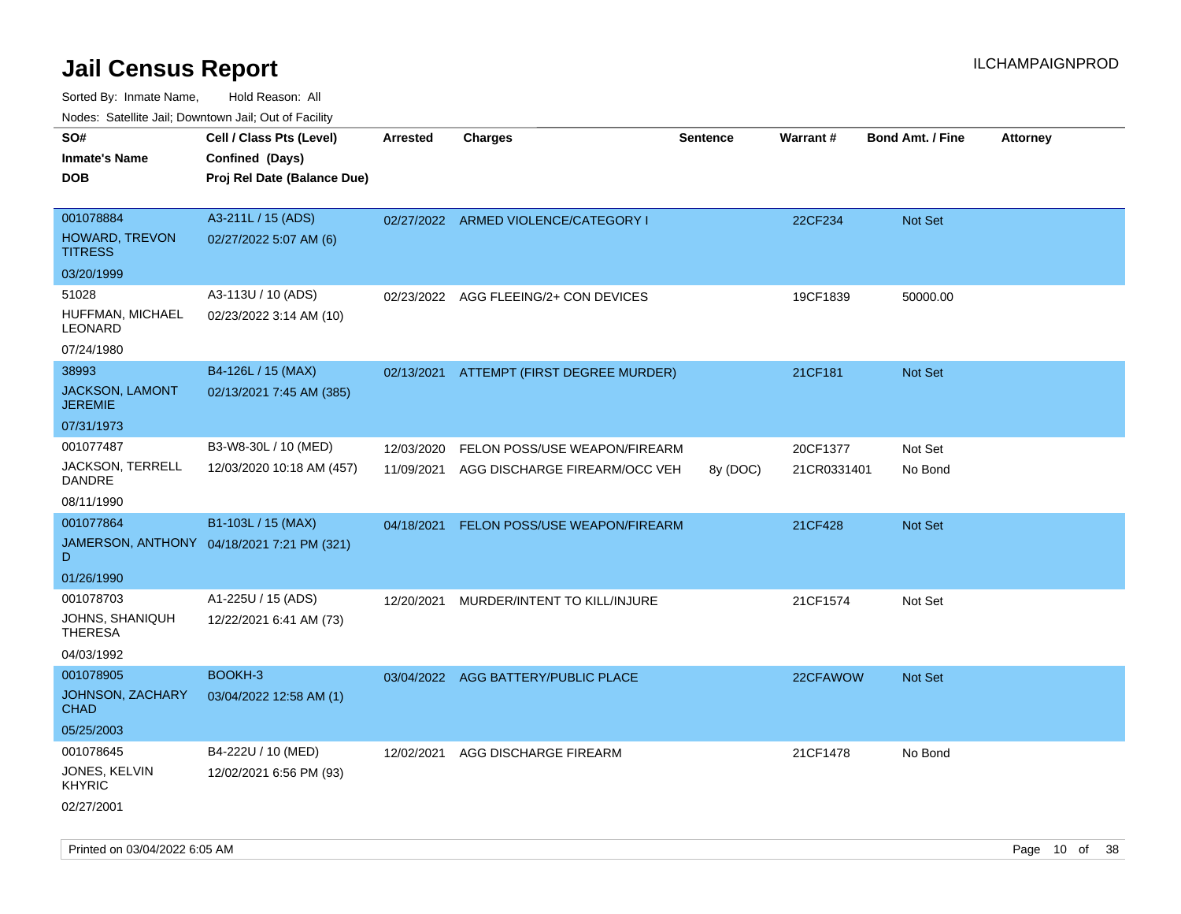| ivouss. Saleling Jali, Downtown Jali, Out of Facility |                                            |                 |                                      |                 |                 |                         |                 |
|-------------------------------------------------------|--------------------------------------------|-----------------|--------------------------------------|-----------------|-----------------|-------------------------|-----------------|
| SO#                                                   | Cell / Class Pts (Level)                   | <b>Arrested</b> | <b>Charges</b>                       | <b>Sentence</b> | <b>Warrant#</b> | <b>Bond Amt. / Fine</b> | <b>Attorney</b> |
| <b>Inmate's Name</b>                                  | Confined (Days)                            |                 |                                      |                 |                 |                         |                 |
| <b>DOB</b>                                            | Proj Rel Date (Balance Due)                |                 |                                      |                 |                 |                         |                 |
|                                                       |                                            |                 |                                      |                 |                 |                         |                 |
| 001078884                                             | A3-211L / 15 (ADS)                         |                 | 02/27/2022 ARMED VIOLENCE/CATEGORY I |                 | 22CF234         | <b>Not Set</b>          |                 |
| HOWARD, TREVON<br><b>TITRESS</b>                      | 02/27/2022 5:07 AM (6)                     |                 |                                      |                 |                 |                         |                 |
| 03/20/1999                                            |                                            |                 |                                      |                 |                 |                         |                 |
| 51028                                                 | A3-113U / 10 (ADS)                         | 02/23/2022      | AGG FLEEING/2+ CON DEVICES           |                 | 19CF1839        | 50000.00                |                 |
| HUFFMAN, MICHAEL<br>LEONARD                           | 02/23/2022 3:14 AM (10)                    |                 |                                      |                 |                 |                         |                 |
| 07/24/1980                                            |                                            |                 |                                      |                 |                 |                         |                 |
| 38993                                                 | B4-126L / 15 (MAX)                         | 02/13/2021      | ATTEMPT (FIRST DEGREE MURDER)        |                 | 21CF181         | Not Set                 |                 |
| <b>JACKSON, LAMONT</b><br><b>JEREMIE</b>              | 02/13/2021 7:45 AM (385)                   |                 |                                      |                 |                 |                         |                 |
| 07/31/1973                                            |                                            |                 |                                      |                 |                 |                         |                 |
| 001077487                                             | B3-W8-30L / 10 (MED)                       | 12/03/2020      | FELON POSS/USE WEAPON/FIREARM        |                 | 20CF1377        | Not Set                 |                 |
| JACKSON, TERRELL<br><b>DANDRE</b>                     | 12/03/2020 10:18 AM (457)                  | 11/09/2021      | AGG DISCHARGE FIREARM/OCC VEH        | 8y (DOC)        | 21CR0331401     | No Bond                 |                 |
| 08/11/1990                                            |                                            |                 |                                      |                 |                 |                         |                 |
| 001077864                                             | B1-103L / 15 (MAX)                         | 04/18/2021      | FELON POSS/USE WEAPON/FIREARM        |                 | 21CF428         | <b>Not Set</b>          |                 |
| D                                                     | JAMERSON, ANTHONY 04/18/2021 7:21 PM (321) |                 |                                      |                 |                 |                         |                 |
| 01/26/1990                                            |                                            |                 |                                      |                 |                 |                         |                 |
| 001078703                                             | A1-225U / 15 (ADS)                         | 12/20/2021      | MURDER/INTENT TO KILL/INJURE         |                 | 21CF1574        | Not Set                 |                 |
| JOHNS, SHANIQUH<br>THERESA                            | 12/22/2021 6:41 AM (73)                    |                 |                                      |                 |                 |                         |                 |
| 04/03/1992                                            |                                            |                 |                                      |                 |                 |                         |                 |
| 001078905                                             | BOOKH-3                                    |                 | 03/04/2022 AGG BATTERY/PUBLIC PLACE  |                 | 22CFAWOW        | <b>Not Set</b>          |                 |
| JOHNSON, ZACHARY<br>CHAD                              | 03/04/2022 12:58 AM (1)                    |                 |                                      |                 |                 |                         |                 |
| 05/25/2003                                            |                                            |                 |                                      |                 |                 |                         |                 |
| 001078645                                             | B4-222U / 10 (MED)                         | 12/02/2021      | AGG DISCHARGE FIREARM                |                 | 21CF1478        | No Bond                 |                 |
| JONES, KELVIN<br><b>KHYRIC</b>                        | 12/02/2021 6:56 PM (93)                    |                 |                                      |                 |                 |                         |                 |
| 02/27/2001                                            |                                            |                 |                                      |                 |                 |                         |                 |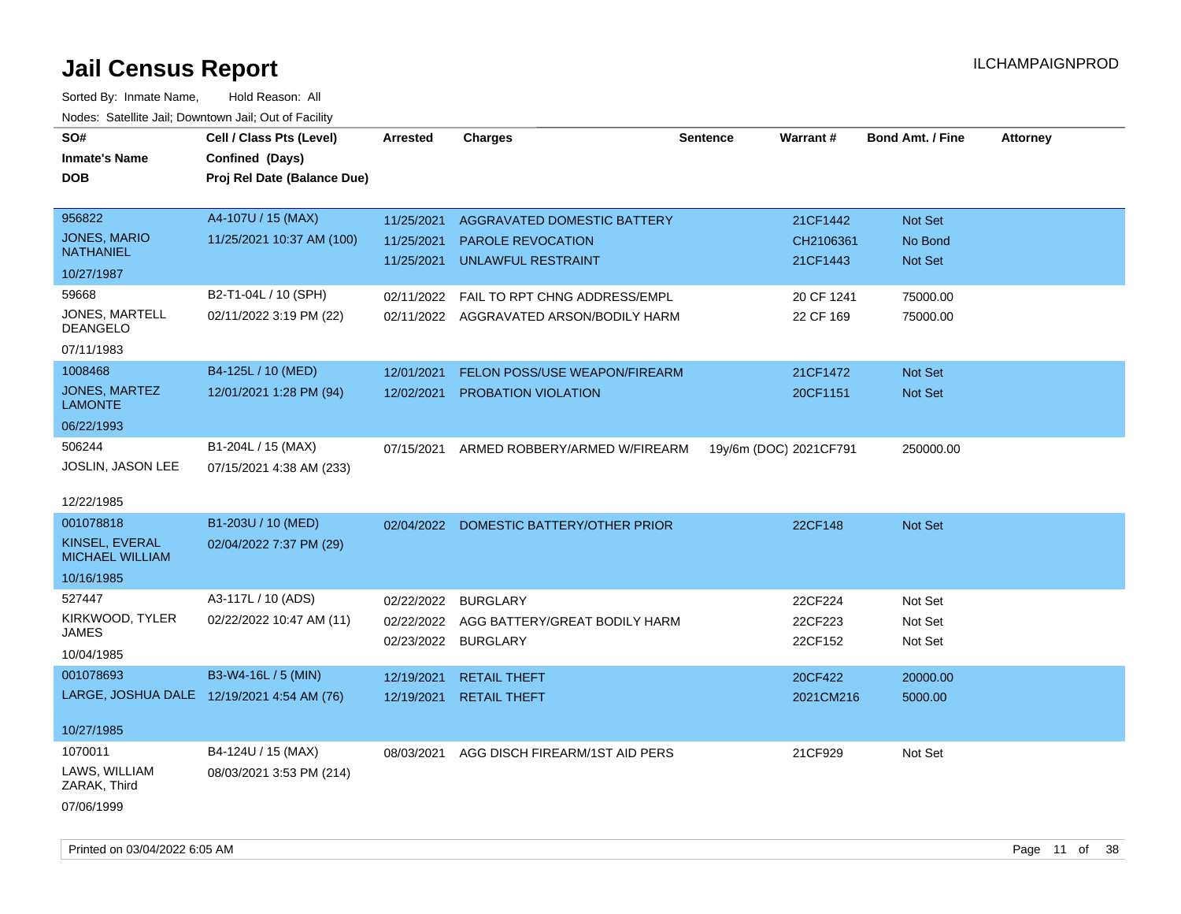| roucs. Calcillic Jali, Downtown Jali, Out of Facility |                                            |                 |                                         |                 |                        |                         |                 |
|-------------------------------------------------------|--------------------------------------------|-----------------|-----------------------------------------|-----------------|------------------------|-------------------------|-----------------|
| SO#                                                   | Cell / Class Pts (Level)                   | <b>Arrested</b> | <b>Charges</b>                          | <b>Sentence</b> | Warrant#               | <b>Bond Amt. / Fine</b> | <b>Attorney</b> |
| <b>Inmate's Name</b>                                  | Confined (Days)                            |                 |                                         |                 |                        |                         |                 |
| DOB                                                   | Proj Rel Date (Balance Due)                |                 |                                         |                 |                        |                         |                 |
|                                                       |                                            |                 |                                         |                 |                        |                         |                 |
| 956822                                                | A4-107U / 15 (MAX)                         | 11/25/2021      | AGGRAVATED DOMESTIC BATTERY             |                 | 21CF1442               | Not Set                 |                 |
| <b>JONES, MARIO</b>                                   | 11/25/2021 10:37 AM (100)                  | 11/25/2021      | <b>PAROLE REVOCATION</b>                |                 | CH2106361              | No Bond                 |                 |
| <b>NATHANIEL</b>                                      |                                            | 11/25/2021      | UNLAWFUL RESTRAINT                      |                 | 21CF1443               | Not Set                 |                 |
| 10/27/1987                                            |                                            |                 |                                         |                 |                        |                         |                 |
| 59668                                                 | B2-T1-04L / 10 (SPH)                       | 02/11/2022      | FAIL TO RPT CHNG ADDRESS/EMPL           |                 | 20 CF 1241             | 75000.00                |                 |
| JONES, MARTELL<br><b>DEANGELO</b>                     | 02/11/2022 3:19 PM (22)                    |                 | 02/11/2022 AGGRAVATED ARSON/BODILY HARM |                 | 22 CF 169              | 75000.00                |                 |
| 07/11/1983                                            |                                            |                 |                                         |                 |                        |                         |                 |
| 1008468                                               | B4-125L / 10 (MED)                         | 12/01/2021      | <b>FELON POSS/USE WEAPON/FIREARM</b>    |                 | 21CF1472               | Not Set                 |                 |
| <b>JONES, MARTEZ</b><br><b>LAMONTE</b>                | 12/01/2021 1:28 PM (94)                    | 12/02/2021      | PROBATION VIOLATION                     |                 | 20CF1151               | <b>Not Set</b>          |                 |
| 06/22/1993                                            |                                            |                 |                                         |                 |                        |                         |                 |
| 506244                                                | B1-204L / 15 (MAX)                         | 07/15/2021      | ARMED ROBBERY/ARMED W/FIREARM           |                 | 19y/6m (DOC) 2021CF791 | 250000.00               |                 |
| <b>JOSLIN, JASON LEE</b>                              | 07/15/2021 4:38 AM (233)                   |                 |                                         |                 |                        |                         |                 |
|                                                       |                                            |                 |                                         |                 |                        |                         |                 |
| 12/22/1985                                            |                                            |                 |                                         |                 |                        |                         |                 |
| 001078818                                             | B1-203U / 10 (MED)                         |                 | 02/04/2022 DOMESTIC BATTERY/OTHER PRIOR |                 | 22CF148                | Not Set                 |                 |
| KINSEL, EVERAL<br><b>MICHAEL WILLIAM</b>              | 02/04/2022 7:37 PM (29)                    |                 |                                         |                 |                        |                         |                 |
| 10/16/1985                                            |                                            |                 |                                         |                 |                        |                         |                 |
| 527447                                                | A3-117L / 10 (ADS)                         | 02/22/2022      | <b>BURGLARY</b>                         |                 | 22CF224                | Not Set                 |                 |
| KIRKWOOD, TYLER                                       | 02/22/2022 10:47 AM (11)                   | 02/22/2022      | AGG BATTERY/GREAT BODILY HARM           |                 | 22CF223                | Not Set                 |                 |
| JAMES                                                 |                                            |                 | 02/23/2022 BURGLARY                     |                 | 22CF152                | Not Set                 |                 |
| 10/04/1985                                            |                                            |                 |                                         |                 |                        |                         |                 |
| 001078693                                             | B3-W4-16L / 5 (MIN)                        | 12/19/2021      | <b>RETAIL THEFT</b>                     |                 | 20CF422                | 20000.00                |                 |
|                                                       | LARGE, JOSHUA DALE 12/19/2021 4:54 AM (76) | 12/19/2021      | <b>RETAIL THEFT</b>                     |                 | 2021CM216              | 5000.00                 |                 |
| 10/27/1985                                            |                                            |                 |                                         |                 |                        |                         |                 |
| 1070011                                               | B4-124U / 15 (MAX)                         | 08/03/2021      | AGG DISCH FIREARM/1ST AID PERS          |                 | 21CF929                | Not Set                 |                 |
| LAWS, WILLIAM<br>ZARAK, Third                         | 08/03/2021 3:53 PM (214)                   |                 |                                         |                 |                        |                         |                 |
| 07/06/1999                                            |                                            |                 |                                         |                 |                        |                         |                 |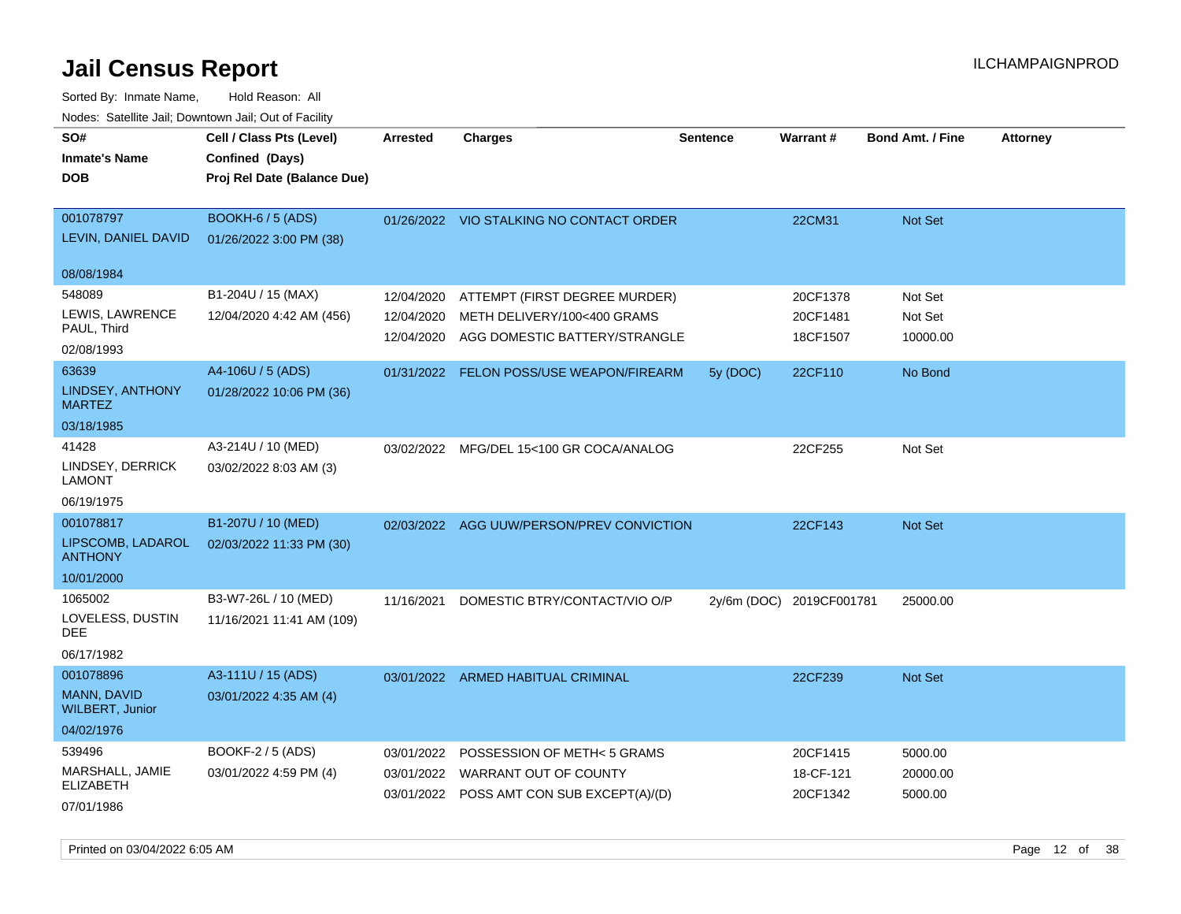| SO#<br><b>Inmate's Name</b><br><b>DOB</b>                        | Cell / Class Pts (Level)<br>Confined (Days)<br>Proj Rel Date (Balance Due) | <b>Arrested</b>                        | <b>Charges</b>                                                                                               | <b>Sentence</b> | <b>Warrant#</b>                   | <b>Bond Amt. / Fine</b>        | <b>Attorney</b> |
|------------------------------------------------------------------|----------------------------------------------------------------------------|----------------------------------------|--------------------------------------------------------------------------------------------------------------|-----------------|-----------------------------------|--------------------------------|-----------------|
| 001078797<br>LEVIN, DANIEL DAVID                                 | <b>BOOKH-6 / 5 (ADS)</b><br>01/26/2022 3:00 PM (38)                        |                                        | 01/26/2022 VIO STALKING NO CONTACT ORDER                                                                     |                 | 22CM31                            | Not Set                        |                 |
| 08/08/1984                                                       |                                                                            |                                        |                                                                                                              |                 |                                   |                                |                 |
| 548089<br>LEWIS, LAWRENCE<br>PAUL, Third<br>02/08/1993           | B1-204U / 15 (MAX)<br>12/04/2020 4:42 AM (456)                             | 12/04/2020<br>12/04/2020<br>12/04/2020 | ATTEMPT (FIRST DEGREE MURDER)<br>METH DELIVERY/100<400 GRAMS<br>AGG DOMESTIC BATTERY/STRANGLE                |                 | 20CF1378<br>20CF1481<br>18CF1507  | Not Set<br>Not Set<br>10000.00 |                 |
| 63639<br>LINDSEY, ANTHONY<br><b>MARTEZ</b>                       | A4-106U / 5 (ADS)<br>01/28/2022 10:06 PM (36)                              |                                        | 01/31/2022 FELON POSS/USE WEAPON/FIREARM                                                                     | 5y (DOC)        | 22CF110                           | No Bond                        |                 |
| 03/18/1985                                                       |                                                                            |                                        |                                                                                                              |                 |                                   |                                |                 |
| 41428<br>LINDSEY, DERRICK<br><b>LAMONT</b>                       | A3-214U / 10 (MED)<br>03/02/2022 8:03 AM (3)                               |                                        | 03/02/2022 MFG/DEL 15<100 GR COCA/ANALOG                                                                     |                 | 22CF255                           | Not Set                        |                 |
| 06/19/1975                                                       |                                                                            |                                        |                                                                                                              |                 |                                   |                                |                 |
| 001078817<br>LIPSCOMB, LADAROL<br><b>ANTHONY</b><br>10/01/2000   | B1-207U / 10 (MED)<br>02/03/2022 11:33 PM (30)                             |                                        | 02/03/2022 AGG UUW/PERSON/PREV CONVICTION                                                                    |                 | 22CF143                           | Not Set                        |                 |
| 1065002<br>LOVELESS, DUSTIN<br>DEE<br>06/17/1982                 | B3-W7-26L / 10 (MED)<br>11/16/2021 11:41 AM (109)                          | 11/16/2021                             | DOMESTIC BTRY/CONTACT/VIO O/P                                                                                |                 | 2y/6m (DOC) 2019CF001781          | 25000.00                       |                 |
| 001078896<br>MANN, DAVID<br><b>WILBERT, Junior</b><br>04/02/1976 | A3-111U / 15 (ADS)<br>03/01/2022 4:35 AM (4)                               |                                        | 03/01/2022 ARMED HABITUAL CRIMINAL                                                                           |                 | 22CF239                           | <b>Not Set</b>                 |                 |
| 539496<br>MARSHALL, JAMIE<br><b>ELIZABETH</b><br>07/01/1986      | <b>BOOKF-2 / 5 (ADS)</b><br>03/01/2022 4:59 PM (4)                         | 03/01/2022                             | POSSESSION OF METH< 5 GRAMS<br>03/01/2022 WARRANT OUT OF COUNTY<br>03/01/2022 POSS AMT CON SUB EXCEPT(A)/(D) |                 | 20CF1415<br>18-CF-121<br>20CF1342 | 5000.00<br>20000.00<br>5000.00 |                 |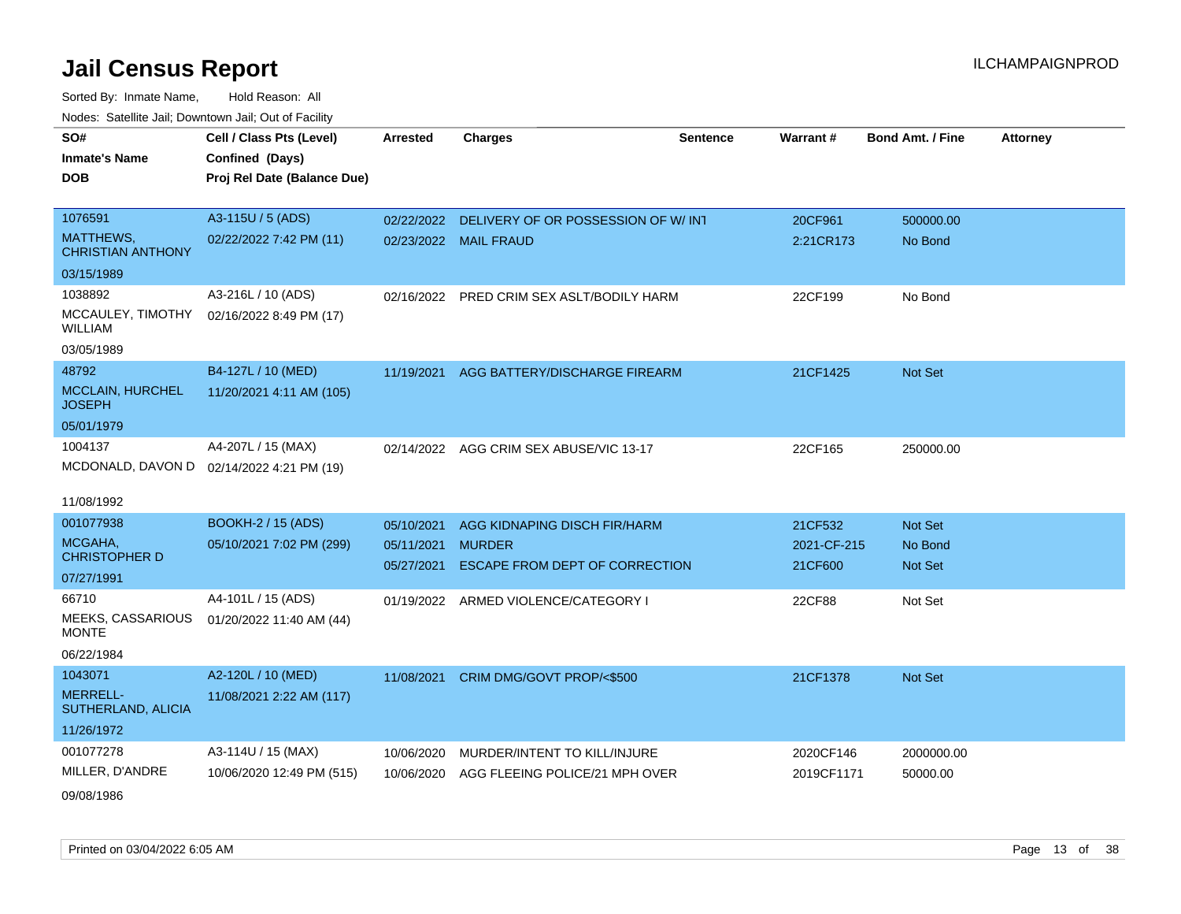| SO#                                      | Cell / Class Pts (Level)                  | <b>Arrested</b> | <b>Charges</b>                            | <b>Sentence</b> | <b>Warrant#</b> | <b>Bond Amt. / Fine</b> | <b>Attorney</b> |
|------------------------------------------|-------------------------------------------|-----------------|-------------------------------------------|-----------------|-----------------|-------------------------|-----------------|
| <b>Inmate's Name</b>                     | Confined (Days)                           |                 |                                           |                 |                 |                         |                 |
| <b>DOB</b>                               | Proj Rel Date (Balance Due)               |                 |                                           |                 |                 |                         |                 |
|                                          |                                           |                 |                                           |                 |                 |                         |                 |
| 1076591                                  | A3-115U / 5 (ADS)                         | 02/22/2022      | DELIVERY OF OR POSSESSION OF W/INT        |                 | 20CF961         | 500000.00               |                 |
| MATTHEWS,<br><b>CHRISTIAN ANTHONY</b>    | 02/22/2022 7:42 PM (11)                   |                 | 02/23/2022 MAIL FRAUD                     |                 | 2:21CR173       | No Bond                 |                 |
| 03/15/1989                               |                                           |                 |                                           |                 |                 |                         |                 |
| 1038892                                  | A3-216L / 10 (ADS)                        |                 | 02/16/2022 PRED CRIM SEX ASLT/BODILY HARM |                 | 22CF199         | No Bond                 |                 |
| MCCAULEY, TIMOTHY<br><b>WILLIAM</b>      | 02/16/2022 8:49 PM (17)                   |                 |                                           |                 |                 |                         |                 |
| 03/05/1989                               |                                           |                 |                                           |                 |                 |                         |                 |
| 48792                                    | B4-127L / 10 (MED)                        |                 | 11/19/2021 AGG BATTERY/DISCHARGE FIREARM  |                 | 21CF1425        | Not Set                 |                 |
| <b>MCCLAIN, HURCHEL</b><br><b>JOSEPH</b> | 11/20/2021 4:11 AM (105)                  |                 |                                           |                 |                 |                         |                 |
| 05/01/1979                               |                                           |                 |                                           |                 |                 |                         |                 |
| 1004137                                  | A4-207L / 15 (MAX)                        |                 | 02/14/2022 AGG CRIM SEX ABUSE/VIC 13-17   |                 | 22CF165         | 250000.00               |                 |
|                                          | MCDONALD, DAVON D 02/14/2022 4:21 PM (19) |                 |                                           |                 |                 |                         |                 |
|                                          |                                           |                 |                                           |                 |                 |                         |                 |
| 11/08/1992                               |                                           |                 |                                           |                 |                 |                         |                 |
| 001077938                                | <b>BOOKH-2 / 15 (ADS)</b>                 | 05/10/2021      | AGG KIDNAPING DISCH FIR/HARM              |                 | 21CF532         | Not Set                 |                 |
| MCGAHA,                                  | 05/10/2021 7:02 PM (299)                  | 05/11/2021      | <b>MURDER</b>                             |                 | 2021-CF-215     | No Bond                 |                 |
| <b>CHRISTOPHER D</b>                     |                                           | 05/27/2021      | ESCAPE FROM DEPT OF CORRECTION            |                 | 21CF600         | Not Set                 |                 |
| 07/27/1991                               |                                           |                 |                                           |                 |                 |                         |                 |
| 66710                                    | A4-101L / 15 (ADS)                        |                 | 01/19/2022 ARMED VIOLENCE/CATEGORY I      |                 | 22CF88          | Not Set                 |                 |
| MEEKS, CASSARIOUS<br><b>MONTE</b>        | 01/20/2022 11:40 AM (44)                  |                 |                                           |                 |                 |                         |                 |
| 06/22/1984                               |                                           |                 |                                           |                 |                 |                         |                 |
| 1043071                                  | A2-120L / 10 (MED)                        |                 | 11/08/2021 CRIM DMG/GOVT PROP/<\$500      |                 | 21CF1378        | <b>Not Set</b>          |                 |
| <b>MERRELL-</b><br>SUTHERLAND, ALICIA    | 11/08/2021 2:22 AM (117)                  |                 |                                           |                 |                 |                         |                 |
| 11/26/1972                               |                                           |                 |                                           |                 |                 |                         |                 |
| 001077278                                | A3-114U / 15 (MAX)                        | 10/06/2020      | MURDER/INTENT TO KILL/INJURE              |                 | 2020CF146       | 2000000.00              |                 |
| MILLER, D'ANDRE                          | 10/06/2020 12:49 PM (515)                 | 10/06/2020      | AGG FLEEING POLICE/21 MPH OVER            |                 | 2019CF1171      | 50000.00                |                 |
| 09/08/1986                               |                                           |                 |                                           |                 |                 |                         |                 |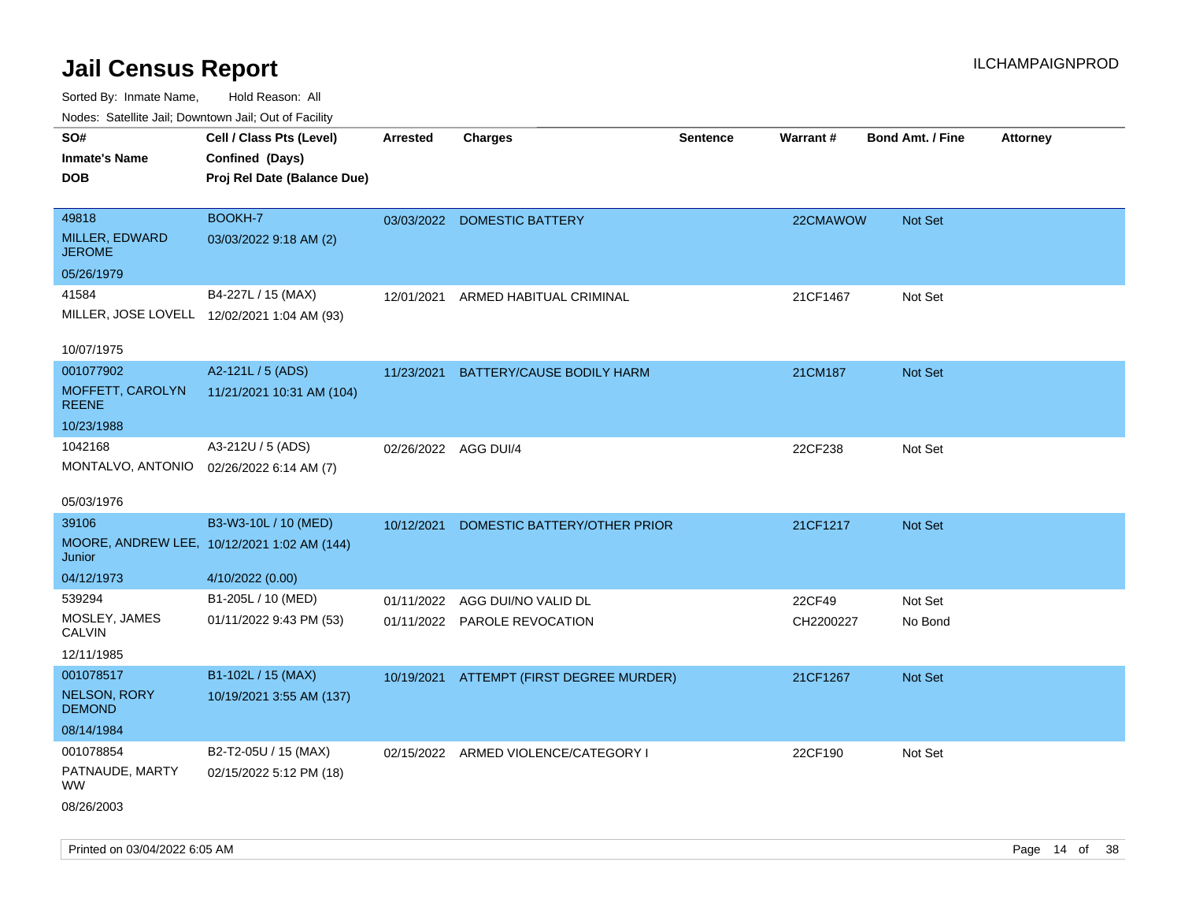| ivuutos. Saltiilit Jall, Duwilluwii Jall, Oul of Facility |                                             |                      |                                          |                 |           |                         |                 |
|-----------------------------------------------------------|---------------------------------------------|----------------------|------------------------------------------|-----------------|-----------|-------------------------|-----------------|
| SO#                                                       | Cell / Class Pts (Level)                    | Arrested             | <b>Charges</b>                           | <b>Sentence</b> | Warrant#  | <b>Bond Amt. / Fine</b> | <b>Attorney</b> |
| <b>Inmate's Name</b>                                      | Confined (Days)                             |                      |                                          |                 |           |                         |                 |
| <b>DOB</b>                                                | Proj Rel Date (Balance Due)                 |                      |                                          |                 |           |                         |                 |
|                                                           |                                             |                      |                                          |                 |           |                         |                 |
| 49818                                                     | BOOKH-7                                     |                      | 03/03/2022 DOMESTIC BATTERY              |                 | 22CMAWOW  | Not Set                 |                 |
| MILLER, EDWARD<br><b>JEROME</b>                           | 03/03/2022 9:18 AM (2)                      |                      |                                          |                 |           |                         |                 |
| 05/26/1979                                                |                                             |                      |                                          |                 |           |                         |                 |
| 41584                                                     | B4-227L / 15 (MAX)                          | 12/01/2021           | ARMED HABITUAL CRIMINAL                  |                 | 21CF1467  | Not Set                 |                 |
| MILLER, JOSE LOVELL 12/02/2021 1:04 AM (93)               |                                             |                      |                                          |                 |           |                         |                 |
|                                                           |                                             |                      |                                          |                 |           |                         |                 |
| 10/07/1975                                                |                                             |                      |                                          |                 |           |                         |                 |
| 001077902                                                 | A2-121L / 5 (ADS)                           | 11/23/2021           | <b>BATTERY/CAUSE BODILY HARM</b>         |                 | 21CM187   | Not Set                 |                 |
| MOFFETT, CAROLYN<br><b>REENE</b>                          | 11/21/2021 10:31 AM (104)                   |                      |                                          |                 |           |                         |                 |
| 10/23/1988                                                |                                             |                      |                                          |                 |           |                         |                 |
| 1042168                                                   | A3-212U / 5 (ADS)                           | 02/26/2022 AGG DUI/4 |                                          |                 | 22CF238   | Not Set                 |                 |
| MONTALVO, ANTONIO                                         | 02/26/2022 6:14 AM (7)                      |                      |                                          |                 |           |                         |                 |
|                                                           |                                             |                      |                                          |                 |           |                         |                 |
| 05/03/1976                                                |                                             |                      |                                          |                 |           |                         |                 |
| 39106                                                     | B3-W3-10L / 10 (MED)                        | 10/12/2021           | DOMESTIC BATTERY/OTHER PRIOR             |                 | 21CF1217  | <b>Not Set</b>          |                 |
| Junior                                                    | MOORE, ANDREW LEE, 10/12/2021 1:02 AM (144) |                      |                                          |                 |           |                         |                 |
| 04/12/1973                                                | 4/10/2022 (0.00)                            |                      |                                          |                 |           |                         |                 |
| 539294                                                    | B1-205L / 10 (MED)                          | 01/11/2022           | AGG DUI/NO VALID DL                      |                 | 22CF49    | Not Set                 |                 |
| MOSLEY, JAMES                                             | 01/11/2022 9:43 PM (53)                     |                      | 01/11/2022 PAROLE REVOCATION             |                 | CH2200227 | No Bond                 |                 |
| <b>CALVIN</b>                                             |                                             |                      |                                          |                 |           |                         |                 |
| 12/11/1985                                                |                                             |                      |                                          |                 |           |                         |                 |
| 001078517                                                 | B1-102L / 15 (MAX)                          |                      | 10/19/2021 ATTEMPT (FIRST DEGREE MURDER) |                 | 21CF1267  | <b>Not Set</b>          |                 |
| <b>NELSON, RORY</b><br><b>DEMOND</b>                      | 10/19/2021 3:55 AM (137)                    |                      |                                          |                 |           |                         |                 |
| 08/14/1984                                                |                                             |                      |                                          |                 |           |                         |                 |
| 001078854                                                 | B2-T2-05U / 15 (MAX)                        |                      | 02/15/2022 ARMED VIOLENCE/CATEGORY I     |                 | 22CF190   | Not Set                 |                 |
| PATNAUDE, MARTY<br>WW                                     | 02/15/2022 5:12 PM (18)                     |                      |                                          |                 |           |                         |                 |
| 08/26/2003                                                |                                             |                      |                                          |                 |           |                         |                 |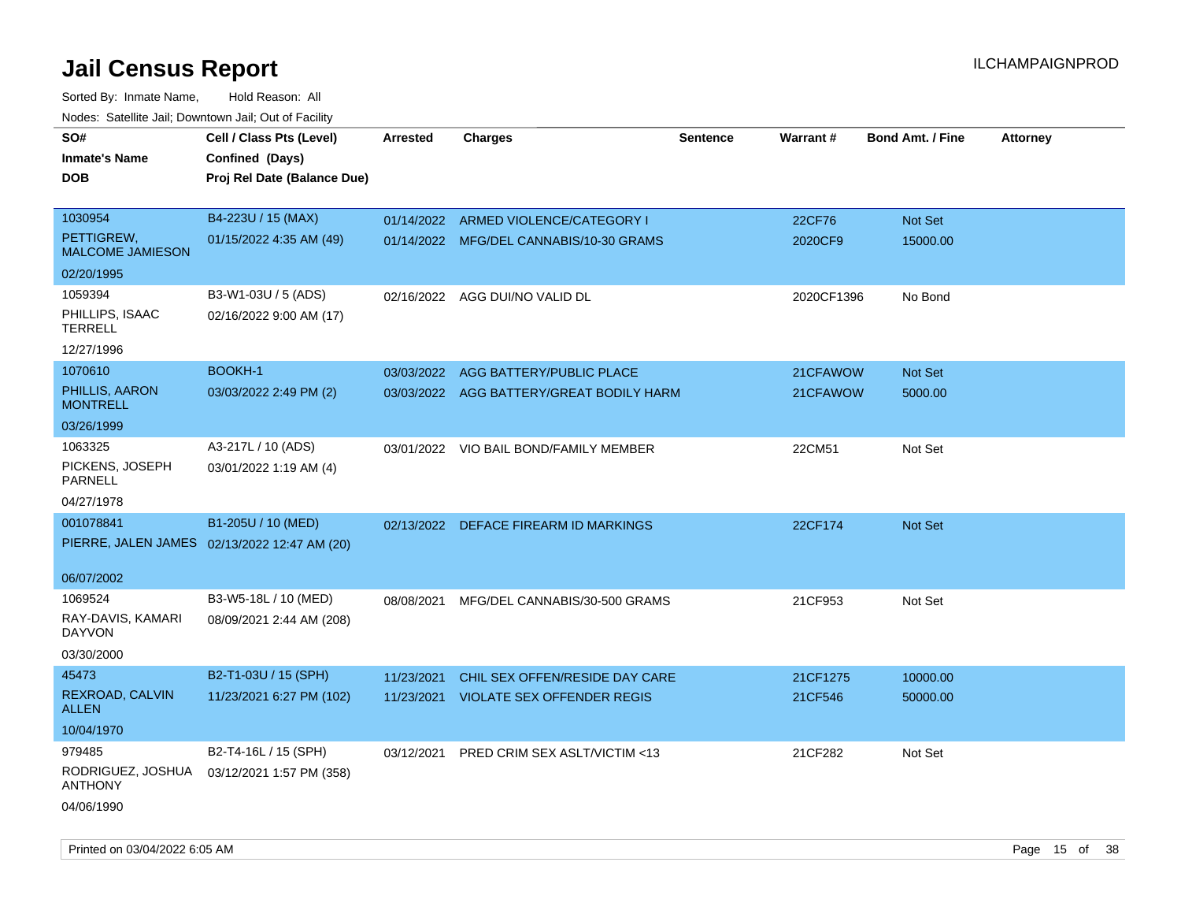| noaco. Catomto can, Domntonn can, Cat or I domt |                                              |                 |                                          |                 |            |                         |                 |
|-------------------------------------------------|----------------------------------------------|-----------------|------------------------------------------|-----------------|------------|-------------------------|-----------------|
| SO#                                             | Cell / Class Pts (Level)                     | <b>Arrested</b> | <b>Charges</b>                           | <b>Sentence</b> | Warrant#   | <b>Bond Amt. / Fine</b> | <b>Attorney</b> |
| <b>Inmate's Name</b>                            | Confined (Days)                              |                 |                                          |                 |            |                         |                 |
| <b>DOB</b>                                      | Proj Rel Date (Balance Due)                  |                 |                                          |                 |            |                         |                 |
| 1030954                                         | B4-223U / 15 (MAX)                           |                 | 01/14/2022 ARMED VIOLENCE/CATEGORY I     |                 | 22CF76     | Not Set                 |                 |
| PETTIGREW,<br><b>MALCOME JAMIESON</b>           | 01/15/2022 4:35 AM (49)                      |                 | 01/14/2022 MFG/DEL CANNABIS/10-30 GRAMS  |                 | 2020CF9    | 15000.00                |                 |
| 02/20/1995                                      |                                              |                 |                                          |                 |            |                         |                 |
| 1059394                                         | B3-W1-03U / 5 (ADS)                          |                 | 02/16/2022 AGG DUI/NO VALID DL           |                 | 2020CF1396 | No Bond                 |                 |
| PHILLIPS, ISAAC<br><b>TERRELL</b>               | 02/16/2022 9:00 AM (17)                      |                 |                                          |                 |            |                         |                 |
| 12/27/1996                                      |                                              |                 |                                          |                 |            |                         |                 |
| 1070610                                         | <b>BOOKH-1</b>                               | 03/03/2022      | AGG BATTERY/PUBLIC PLACE                 |                 | 21CFAWOW   | Not Set                 |                 |
| PHILLIS, AARON<br><b>MONTRELL</b>               | 03/03/2022 2:49 PM (2)                       |                 | 03/03/2022 AGG BATTERY/GREAT BODILY HARM |                 | 21CFAWOW   | 5000.00                 |                 |
| 03/26/1999                                      |                                              |                 |                                          |                 |            |                         |                 |
| 1063325                                         | A3-217L / 10 (ADS)                           |                 | 03/01/2022 VIO BAIL BOND/FAMILY MEMBER   |                 | 22CM51     | Not Set                 |                 |
| PICKENS, JOSEPH<br>PARNELL                      | 03/01/2022 1:19 AM (4)                       |                 |                                          |                 |            |                         |                 |
| 04/27/1978                                      |                                              |                 |                                          |                 |            |                         |                 |
| 001078841                                       | B1-205U / 10 (MED)                           | 02/13/2022      | DEFACE FIREARM ID MARKINGS               |                 | 22CF174    | <b>Not Set</b>          |                 |
|                                                 | PIERRE, JALEN JAMES 02/13/2022 12:47 AM (20) |                 |                                          |                 |            |                         |                 |
| 06/07/2002                                      |                                              |                 |                                          |                 |            |                         |                 |
| 1069524                                         | B3-W5-18L / 10 (MED)                         | 08/08/2021      | MFG/DEL CANNABIS/30-500 GRAMS            |                 | 21CF953    | Not Set                 |                 |
| RAY-DAVIS, KAMARI<br><b>DAYVON</b>              | 08/09/2021 2:44 AM (208)                     |                 |                                          |                 |            |                         |                 |
| 03/30/2000                                      |                                              |                 |                                          |                 |            |                         |                 |
| 45473                                           | B2-T1-03U / 15 (SPH)                         | 11/23/2021      | CHIL SEX OFFEN/RESIDE DAY CARE           |                 | 21CF1275   | 10000.00                |                 |
| REXROAD, CALVIN<br>ALLEN                        | 11/23/2021 6:27 PM (102)                     | 11/23/2021      | <b>VIOLATE SEX OFFENDER REGIS</b>        |                 | 21CF546    | 50000.00                |                 |
| 10/04/1970                                      |                                              |                 |                                          |                 |            |                         |                 |
| 979485                                          | B2-T4-16L / 15 (SPH)                         | 03/12/2021      | PRED CRIM SEX ASLT/VICTIM <13            |                 | 21CF282    | Not Set                 |                 |
| RODRIGUEZ, JOSHUA<br><b>ANTHONY</b>             | 03/12/2021 1:57 PM (358)                     |                 |                                          |                 |            |                         |                 |
| 04/06/1990                                      |                                              |                 |                                          |                 |            |                         |                 |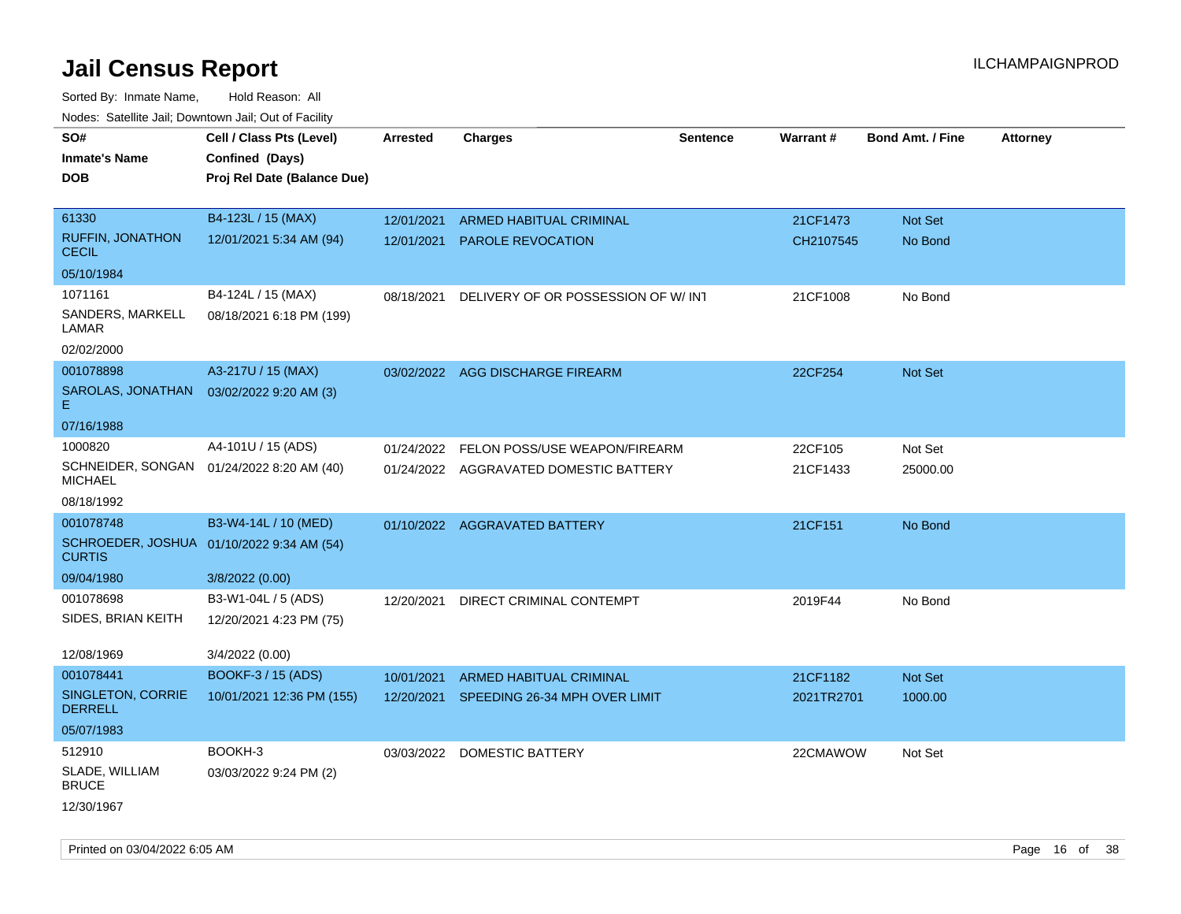| SO#                                                        | Cell / Class Pts (Level)                  | <b>Arrested</b> | <b>Charges</b>                           | <b>Sentence</b> | Warrant#   | <b>Bond Amt. / Fine</b> | <b>Attorney</b> |
|------------------------------------------------------------|-------------------------------------------|-----------------|------------------------------------------|-----------------|------------|-------------------------|-----------------|
| <b>Inmate's Name</b>                                       | Confined (Days)                           |                 |                                          |                 |            |                         |                 |
| <b>DOB</b>                                                 | Proj Rel Date (Balance Due)               |                 |                                          |                 |            |                         |                 |
|                                                            |                                           |                 |                                          |                 |            |                         |                 |
| 61330                                                      | B4-123L / 15 (MAX)                        | 12/01/2021      | ARMED HABITUAL CRIMINAL                  |                 | 21CF1473   | Not Set                 |                 |
| <b>RUFFIN, JONATHON</b><br><b>CECIL</b>                    | 12/01/2021 5:34 AM (94)                   | 12/01/2021      | <b>PAROLE REVOCATION</b>                 |                 | CH2107545  | No Bond                 |                 |
| 05/10/1984                                                 |                                           |                 |                                          |                 |            |                         |                 |
| 1071161                                                    | B4-124L / 15 (MAX)                        | 08/18/2021      | DELIVERY OF OR POSSESSION OF W/INT       |                 | 21CF1008   | No Bond                 |                 |
| SANDERS, MARKELL<br>LAMAR                                  | 08/18/2021 6:18 PM (199)                  |                 |                                          |                 |            |                         |                 |
| 02/02/2000                                                 |                                           |                 |                                          |                 |            |                         |                 |
| 001078898                                                  | A3-217U / 15 (MAX)                        |                 | 03/02/2022 AGG DISCHARGE FIREARM         |                 | 22CF254    | Not Set                 |                 |
| SAROLAS, JONATHAN<br>Е                                     | 03/02/2022 9:20 AM (3)                    |                 |                                          |                 |            |                         |                 |
| 07/16/1988                                                 |                                           |                 |                                          |                 |            |                         |                 |
| 1000820                                                    | A4-101U / 15 (ADS)                        |                 | 01/24/2022 FELON POSS/USE WEAPON/FIREARM |                 | 22CF105    | Not Set                 |                 |
| <b>MICHAEL</b>                                             | SCHNEIDER, SONGAN 01/24/2022 8:20 AM (40) |                 | 01/24/2022 AGGRAVATED DOMESTIC BATTERY   |                 | 21CF1433   | 25000.00                |                 |
| 08/18/1992                                                 |                                           |                 |                                          |                 |            |                         |                 |
| 001078748                                                  | B3-W4-14L / 10 (MED)                      |                 | 01/10/2022 AGGRAVATED BATTERY            |                 | 21CF151    | No Bond                 |                 |
| SCHROEDER, JOSHUA 01/10/2022 9:34 AM (54)<br><b>CURTIS</b> |                                           |                 |                                          |                 |            |                         |                 |
| 09/04/1980                                                 | 3/8/2022 (0.00)                           |                 |                                          |                 |            |                         |                 |
| 001078698                                                  | B3-W1-04L / 5 (ADS)                       | 12/20/2021      | DIRECT CRIMINAL CONTEMPT                 |                 | 2019F44    | No Bond                 |                 |
| SIDES, BRIAN KEITH                                         | 12/20/2021 4:23 PM (75)                   |                 |                                          |                 |            |                         |                 |
| 12/08/1969                                                 | 3/4/2022 (0.00)                           |                 |                                          |                 |            |                         |                 |
| 001078441                                                  | <b>BOOKF-3 / 15 (ADS)</b>                 | 10/01/2021      | ARMED HABITUAL CRIMINAL                  |                 | 21CF1182   | Not Set                 |                 |
| SINGLETON, CORRIE<br><b>DERRELL</b>                        | 10/01/2021 12:36 PM (155)                 | 12/20/2021      | SPEEDING 26-34 MPH OVER LIMIT            |                 | 2021TR2701 | 1000.00                 |                 |
| 05/07/1983                                                 |                                           |                 |                                          |                 |            |                         |                 |
| 512910                                                     | BOOKH-3                                   | 03/03/2022      | <b>DOMESTIC BATTERY</b>                  |                 | 22CMAWOW   | Not Set                 |                 |
| SLADE, WILLIAM<br><b>BRUCE</b>                             | 03/03/2022 9:24 PM (2)                    |                 |                                          |                 |            |                         |                 |
| 12/30/1967                                                 |                                           |                 |                                          |                 |            |                         |                 |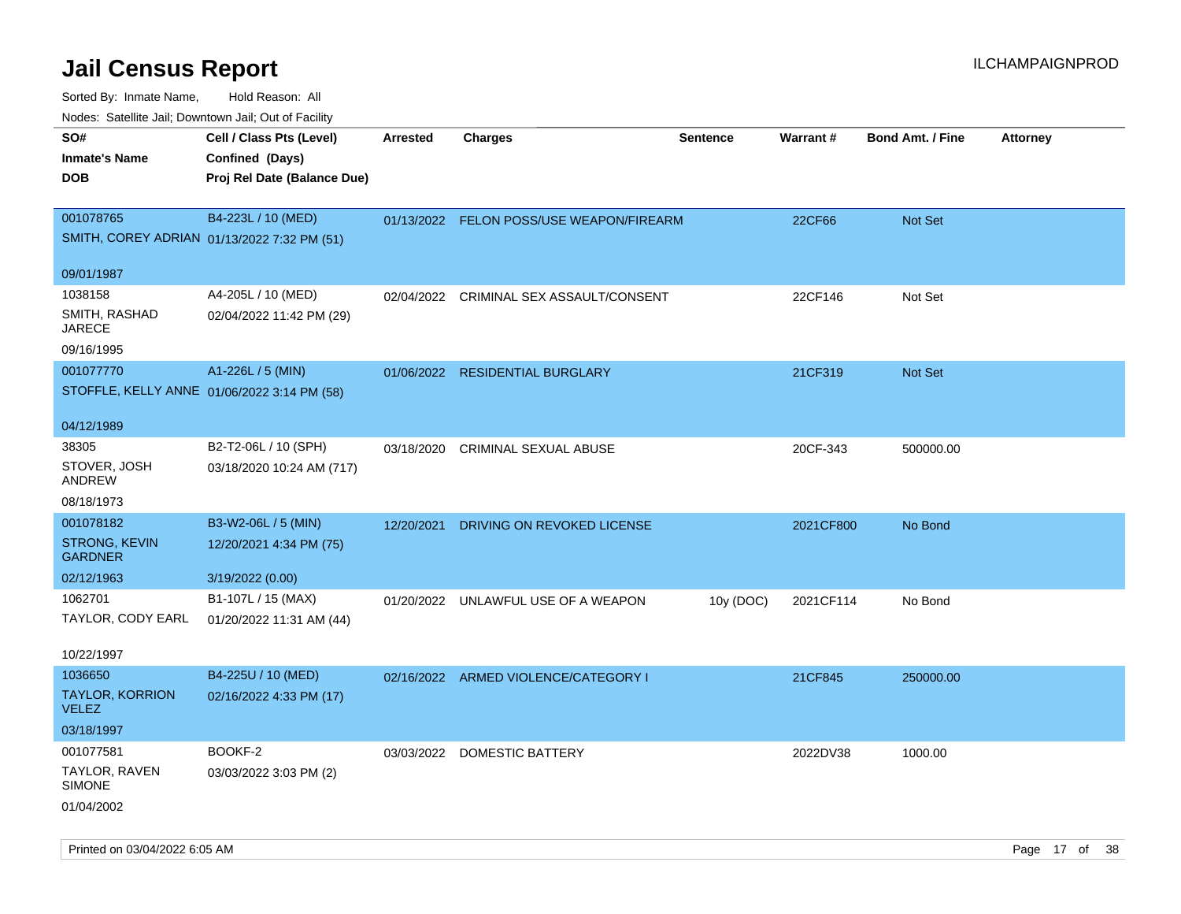| SO#                                         | Cell / Class Pts (Level)    | <b>Arrested</b> | <b>Charges</b>                           | <b>Sentence</b> | <b>Warrant#</b> | <b>Bond Amt. / Fine</b> | <b>Attorney</b> |
|---------------------------------------------|-----------------------------|-----------------|------------------------------------------|-----------------|-----------------|-------------------------|-----------------|
| <b>Inmate's Name</b>                        | Confined (Days)             |                 |                                          |                 |                 |                         |                 |
| <b>DOB</b>                                  | Proj Rel Date (Balance Due) |                 |                                          |                 |                 |                         |                 |
|                                             |                             |                 |                                          |                 |                 |                         |                 |
| 001078765                                   | B4-223L / 10 (MED)          |                 | 01/13/2022 FELON POSS/USE WEAPON/FIREARM |                 | 22CF66          | Not Set                 |                 |
| SMITH, COREY ADRIAN 01/13/2022 7:32 PM (51) |                             |                 |                                          |                 |                 |                         |                 |
|                                             |                             |                 |                                          |                 |                 |                         |                 |
| 09/01/1987                                  |                             |                 |                                          |                 |                 |                         |                 |
| 1038158                                     | A4-205L / 10 (MED)          | 02/04/2022      | CRIMINAL SEX ASSAULT/CONSENT             |                 | 22CF146         | Not Set                 |                 |
| SMITH, RASHAD                               | 02/04/2022 11:42 PM (29)    |                 |                                          |                 |                 |                         |                 |
| <b>JARECE</b>                               |                             |                 |                                          |                 |                 |                         |                 |
| 09/16/1995                                  |                             |                 |                                          |                 |                 |                         |                 |
| 001077770                                   | A1-226L / 5 (MIN)           |                 | 01/06/2022 RESIDENTIAL BURGLARY          |                 | 21CF319         | Not Set                 |                 |
| STOFFLE, KELLY ANNE 01/06/2022 3:14 PM (58) |                             |                 |                                          |                 |                 |                         |                 |
|                                             |                             |                 |                                          |                 |                 |                         |                 |
| 04/12/1989                                  |                             |                 |                                          |                 |                 |                         |                 |
| 38305                                       | B2-T2-06L / 10 (SPH)        | 03/18/2020      | <b>CRIMINAL SEXUAL ABUSE</b>             |                 | 20CF-343        | 500000.00               |                 |
| STOVER, JOSH                                | 03/18/2020 10:24 AM (717)   |                 |                                          |                 |                 |                         |                 |
| ANDREW                                      |                             |                 |                                          |                 |                 |                         |                 |
| 08/18/1973                                  |                             |                 |                                          |                 |                 |                         |                 |
| 001078182                                   | B3-W2-06L / 5 (MIN)         | 12/20/2021      | DRIVING ON REVOKED LICENSE               |                 | 2021CF800       | No Bond                 |                 |
| STRONG, KEVIN                               | 12/20/2021 4:34 PM (75)     |                 |                                          |                 |                 |                         |                 |
| <b>GARDNER</b>                              |                             |                 |                                          |                 |                 |                         |                 |
| 02/12/1963                                  | 3/19/2022 (0.00)            |                 |                                          |                 |                 |                         |                 |
| 1062701                                     | B1-107L / 15 (MAX)          | 01/20/2022      | UNLAWFUL USE OF A WEAPON                 | 10y (DOC)       | 2021CF114       | No Bond                 |                 |
| TAYLOR, CODY EARL                           | 01/20/2022 11:31 AM (44)    |                 |                                          |                 |                 |                         |                 |
|                                             |                             |                 |                                          |                 |                 |                         |                 |
| 10/22/1997                                  |                             |                 |                                          |                 |                 |                         |                 |
| 1036650                                     | B4-225U / 10 (MED)          |                 | 02/16/2022 ARMED VIOLENCE/CATEGORY I     |                 | 21CF845         | 250000.00               |                 |
| <b>TAYLOR, KORRION</b>                      | 02/16/2022 4:33 PM (17)     |                 |                                          |                 |                 |                         |                 |
| <b>VELEZ</b>                                |                             |                 |                                          |                 |                 |                         |                 |
| 03/18/1997                                  |                             |                 |                                          |                 |                 |                         |                 |
| 001077581                                   | BOOKF-2                     |                 | 03/03/2022 DOMESTIC BATTERY              |                 | 2022DV38        | 1000.00                 |                 |
| TAYLOR, RAVEN                               | 03/03/2022 3:03 PM (2)      |                 |                                          |                 |                 |                         |                 |
| <b>SIMONE</b>                               |                             |                 |                                          |                 |                 |                         |                 |
| 01/04/2002                                  |                             |                 |                                          |                 |                 |                         |                 |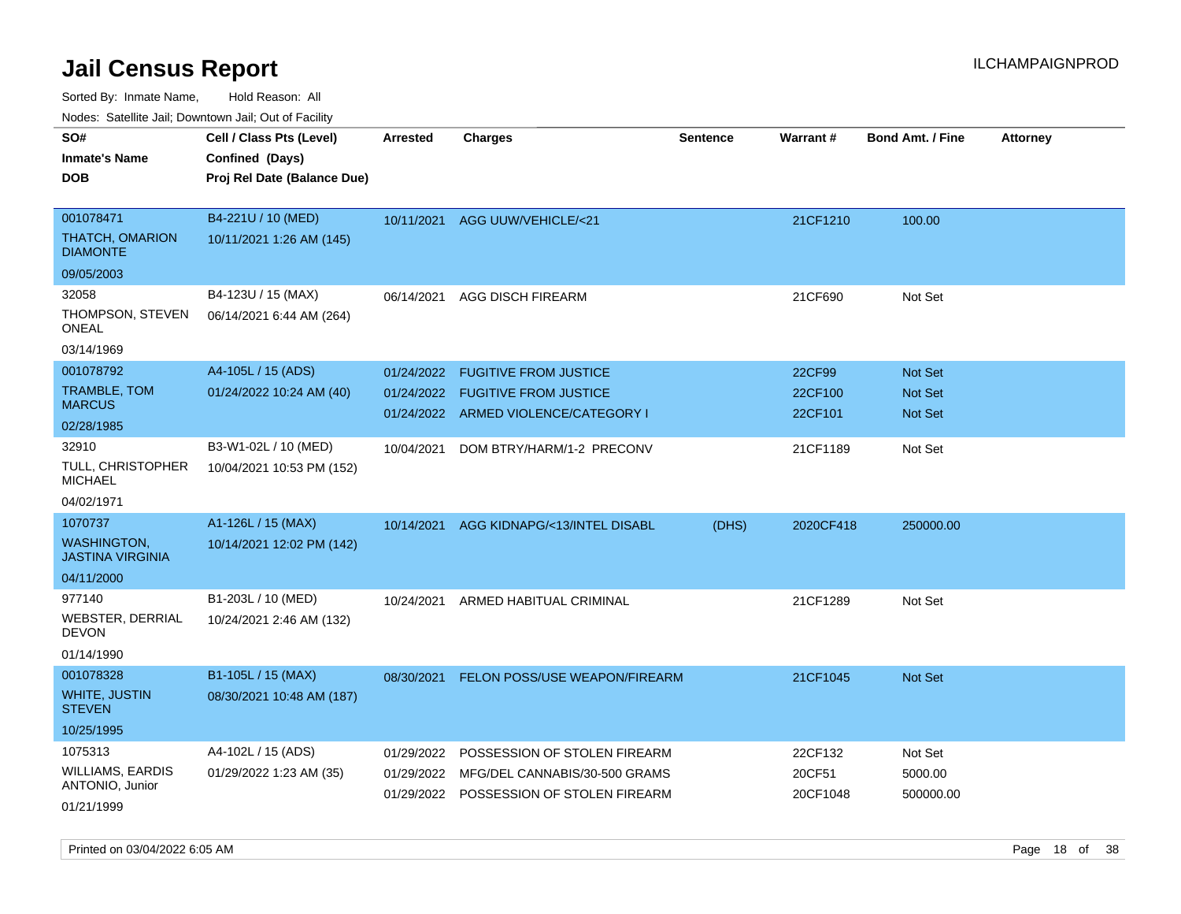Sorted By: Inmate Name, Hold Reason: All

Nodes: Satellite Jail; Downtown Jail; Out of Facility

| roaco. Oatomto dan, Downtown dan, Oat or Fability |                             |                 |                                         |                 |           |                         |                 |
|---------------------------------------------------|-----------------------------|-----------------|-----------------------------------------|-----------------|-----------|-------------------------|-----------------|
| SO#                                               | Cell / Class Pts (Level)    | <b>Arrested</b> | <b>Charges</b>                          | <b>Sentence</b> | Warrant#  | <b>Bond Amt. / Fine</b> | <b>Attorney</b> |
| <b>Inmate's Name</b>                              | Confined (Days)             |                 |                                         |                 |           |                         |                 |
| <b>DOB</b>                                        | Proj Rel Date (Balance Due) |                 |                                         |                 |           |                         |                 |
|                                                   |                             |                 |                                         |                 |           |                         |                 |
| 001078471                                         | B4-221U / 10 (MED)          |                 | 10/11/2021 AGG UUW/VEHICLE/<21          |                 | 21CF1210  | 100.00                  |                 |
| <b>THATCH, OMARION</b><br><b>DIAMONTE</b>         | 10/11/2021 1:26 AM (145)    |                 |                                         |                 |           |                         |                 |
| 09/05/2003                                        |                             |                 |                                         |                 |           |                         |                 |
| 32058                                             | B4-123U / 15 (MAX)          | 06/14/2021      | <b>AGG DISCH FIREARM</b>                |                 | 21CF690   | Not Set                 |                 |
| THOMPSON, STEVEN<br><b>ONEAL</b>                  | 06/14/2021 6:44 AM (264)    |                 |                                         |                 |           |                         |                 |
| 03/14/1969                                        |                             |                 |                                         |                 |           |                         |                 |
| 001078792                                         | A4-105L / 15 (ADS)          | 01/24/2022      | <b>FUGITIVE FROM JUSTICE</b>            |                 | 22CF99    | <b>Not Set</b>          |                 |
| TRAMBLE, TOM                                      | 01/24/2022 10:24 AM (40)    | 01/24/2022      | <b>FUGITIVE FROM JUSTICE</b>            |                 | 22CF100   | Not Set                 |                 |
| <b>MARCUS</b>                                     |                             |                 | 01/24/2022 ARMED VIOLENCE/CATEGORY I    |                 | 22CF101   | <b>Not Set</b>          |                 |
| 02/28/1985                                        |                             |                 |                                         |                 |           |                         |                 |
| 32910                                             | B3-W1-02L / 10 (MED)        | 10/04/2021      | DOM BTRY/HARM/1-2 PRECONV               |                 | 21CF1189  | Not Set                 |                 |
| <b>TULL, CHRISTOPHER</b><br><b>MICHAEL</b>        | 10/04/2021 10:53 PM (152)   |                 |                                         |                 |           |                         |                 |
| 04/02/1971                                        |                             |                 |                                         |                 |           |                         |                 |
| 1070737                                           | A1-126L / 15 (MAX)          | 10/14/2021      | AGG KIDNAPG/<13/INTEL DISABL            | (DHS)           | 2020CF418 | 250000.00               |                 |
| <b>WASHINGTON,</b><br><b>JASTINA VIRGINIA</b>     | 10/14/2021 12:02 PM (142)   |                 |                                         |                 |           |                         |                 |
| 04/11/2000                                        |                             |                 |                                         |                 |           |                         |                 |
| 977140                                            | B1-203L / 10 (MED)          | 10/24/2021      | ARMED HABITUAL CRIMINAL                 |                 | 21CF1289  | Not Set                 |                 |
| <b>WEBSTER, DERRIAL</b><br><b>DEVON</b>           | 10/24/2021 2:46 AM (132)    |                 |                                         |                 |           |                         |                 |
| 01/14/1990                                        |                             |                 |                                         |                 |           |                         |                 |
| 001078328                                         | B1-105L / 15 (MAX)          | 08/30/2021      | FELON POSS/USE WEAPON/FIREARM           |                 | 21CF1045  | <b>Not Set</b>          |                 |
| <b>WHITE, JUSTIN</b><br><b>STEVEN</b>             | 08/30/2021 10:48 AM (187)   |                 |                                         |                 |           |                         |                 |
| 10/25/1995                                        |                             |                 |                                         |                 |           |                         |                 |
| 1075313                                           | A4-102L / 15 (ADS)          | 01/29/2022      | POSSESSION OF STOLEN FIREARM            |                 | 22CF132   | Not Set                 |                 |
| WILLIAMS, EARDIS                                  | 01/29/2022 1:23 AM (35)     | 01/29/2022      | MFG/DEL CANNABIS/30-500 GRAMS           |                 | 20CF51    | 5000.00                 |                 |
| ANTONIO, Junior                                   |                             |                 | 01/29/2022 POSSESSION OF STOLEN FIREARM |                 | 20CF1048  | 500000.00               |                 |
| 01/21/1999                                        |                             |                 |                                         |                 |           |                         |                 |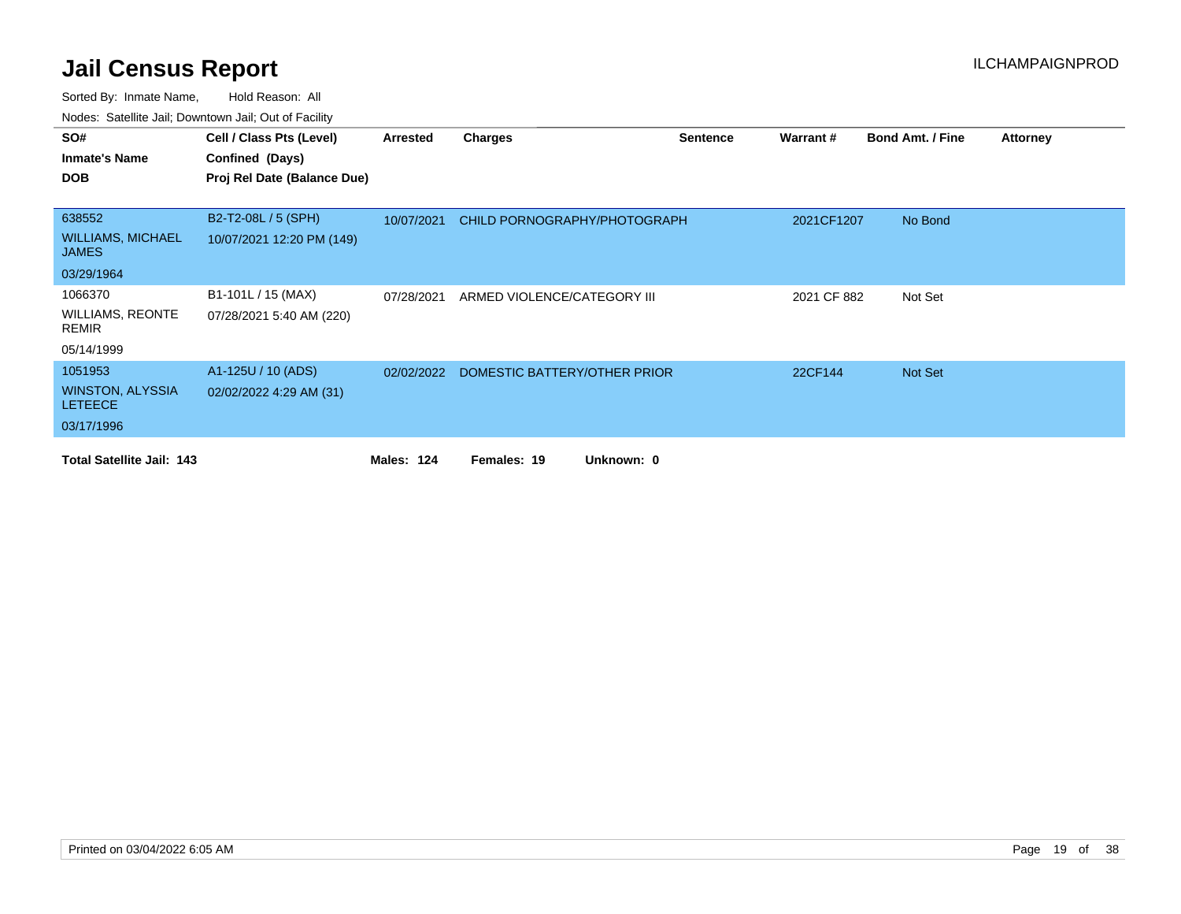| SO#                                       | Cell / Class Pts (Level)    | Arrested          | <b>Charges</b>               | <b>Sentence</b> | Warrant#    | <b>Bond Amt. / Fine</b> | <b>Attorney</b> |
|-------------------------------------------|-----------------------------|-------------------|------------------------------|-----------------|-------------|-------------------------|-----------------|
| <b>Inmate's Name</b>                      | Confined (Days)             |                   |                              |                 |             |                         |                 |
| <b>DOB</b>                                | Proj Rel Date (Balance Due) |                   |                              |                 |             |                         |                 |
|                                           |                             |                   |                              |                 |             |                         |                 |
| 638552                                    | B2-T2-08L / 5 (SPH)         | 10/07/2021        | CHILD PORNOGRAPHY/PHOTOGRAPH |                 | 2021CF1207  | No Bond                 |                 |
| <b>WILLIAMS, MICHAEL</b><br><b>JAMES</b>  | 10/07/2021 12:20 PM (149)   |                   |                              |                 |             |                         |                 |
| 03/29/1964                                |                             |                   |                              |                 |             |                         |                 |
| 1066370                                   | B1-101L / 15 (MAX)          | 07/28/2021        | ARMED VIOLENCE/CATEGORY III  |                 | 2021 CF 882 | Not Set                 |                 |
| <b>WILLIAMS, REONTE</b><br>REMIR          | 07/28/2021 5:40 AM (220)    |                   |                              |                 |             |                         |                 |
| 05/14/1999                                |                             |                   |                              |                 |             |                         |                 |
| 1051953                                   | A1-125U / 10 (ADS)          | 02/02/2022        | DOMESTIC BATTERY/OTHER PRIOR |                 | 22CF144     | <b>Not Set</b>          |                 |
| <b>WINSTON, ALYSSIA</b><br><b>LETEECE</b> | 02/02/2022 4:29 AM (31)     |                   |                              |                 |             |                         |                 |
| 03/17/1996                                |                             |                   |                              |                 |             |                         |                 |
| <b>Total Satellite Jail: 143</b>          |                             | <b>Males: 124</b> | Unknown: 0<br>Females: 19    |                 |             |                         |                 |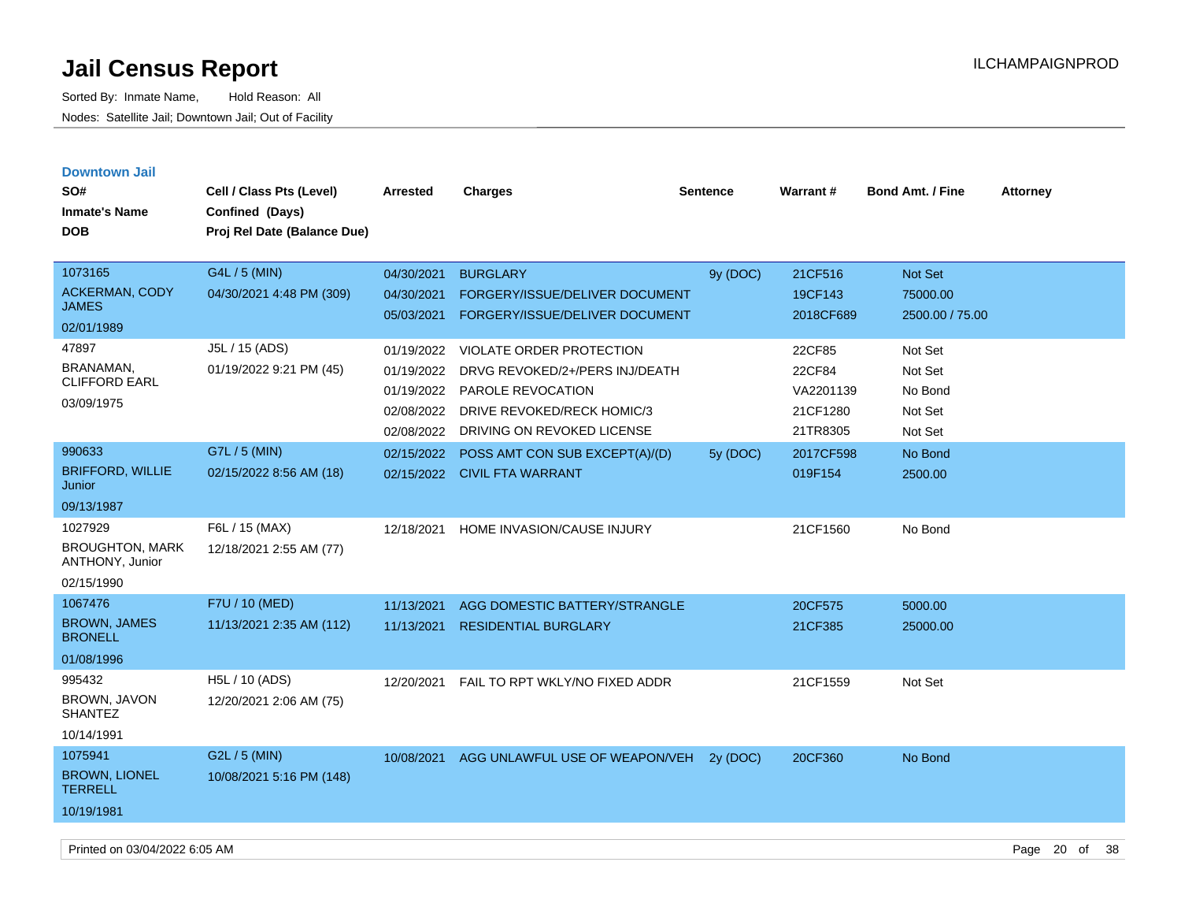| <b>Downtown Jail</b><br>SO#<br><b>Inmate's Name</b><br><b>DOB</b>  | Cell / Class Pts (Level)<br>Confined (Days)<br>Proj Rel Date (Balance Due) | Arrested                                                           | <b>Charges</b>                                                                                                                              | <b>Sentence</b> | <b>Warrant#</b>                                       | <b>Bond Amt. / Fine</b>                             | <b>Attorney</b> |
|--------------------------------------------------------------------|----------------------------------------------------------------------------|--------------------------------------------------------------------|---------------------------------------------------------------------------------------------------------------------------------------------|-----------------|-------------------------------------------------------|-----------------------------------------------------|-----------------|
| 1073165<br><b>ACKERMAN, CODY</b><br><b>JAMES</b><br>02/01/1989     | G4L / 5 (MIN)<br>04/30/2021 4:48 PM (309)                                  | 04/30/2021<br>04/30/2021<br>05/03/2021                             | <b>BURGLARY</b><br><b>FORGERY/ISSUE/DELIVER DOCUMENT</b><br>FORGERY/ISSUE/DELIVER DOCUMENT                                                  | 9y (DOC)        | 21CF516<br>19CF143<br>2018CF689                       | <b>Not Set</b><br>75000.00<br>2500.00 / 75.00       |                 |
| 47897<br>BRANAMAN,<br><b>CLIFFORD EARL</b><br>03/09/1975           | J5L / 15 (ADS)<br>01/19/2022 9:21 PM (45)                                  | 01/19/2022<br>01/19/2022<br>01/19/2022<br>02/08/2022<br>02/08/2022 | VIOLATE ORDER PROTECTION<br>DRVG REVOKED/2+/PERS INJ/DEATH<br>PAROLE REVOCATION<br>DRIVE REVOKED/RECK HOMIC/3<br>DRIVING ON REVOKED LICENSE |                 | 22CF85<br>22CF84<br>VA2201139<br>21CF1280<br>21TR8305 | Not Set<br>Not Set<br>No Bond<br>Not Set<br>Not Set |                 |
| 990633<br><b>BRIFFORD, WILLIE</b><br>Junior<br>09/13/1987          | G7L / 5 (MIN)<br>02/15/2022 8:56 AM (18)                                   | 02/15/2022                                                         | POSS AMT CON SUB EXCEPT(A)/(D)<br>02/15/2022 CIVIL FTA WARRANT                                                                              | 5y (DOC)        | 2017CF598<br>019F154                                  | No Bond<br>2500.00                                  |                 |
| 1027929<br><b>BROUGHTON, MARK</b><br>ANTHONY, Junior<br>02/15/1990 | F6L / 15 (MAX)<br>12/18/2021 2:55 AM (77)                                  | 12/18/2021                                                         | HOME INVASION/CAUSE INJURY                                                                                                                  |                 | 21CF1560                                              | No Bond                                             |                 |
| 1067476<br><b>BROWN, JAMES</b><br><b>BRONELL</b><br>01/08/1996     | F7U / 10 (MED)<br>11/13/2021 2:35 AM (112)                                 | 11/13/2021<br>11/13/2021                                           | AGG DOMESTIC BATTERY/STRANGLE<br><b>RESIDENTIAL BURGLARY</b>                                                                                |                 | 20CF575<br>21CF385                                    | 5000.00<br>25000.00                                 |                 |
| 995432<br>BROWN, JAVON<br><b>SHANTEZ</b><br>10/14/1991             | H5L / 10 (ADS)<br>12/20/2021 2:06 AM (75)                                  | 12/20/2021                                                         | FAIL TO RPT WKLY/NO FIXED ADDR                                                                                                              |                 | 21CF1559                                              | Not Set                                             |                 |
| 1075941<br><b>BROWN, LIONEL</b><br><b>TERRELL</b><br>10/19/1981    | G2L / 5 (MIN)<br>10/08/2021 5:16 PM (148)                                  | 10/08/2021                                                         | AGG UNLAWFUL USE OF WEAPON/VEH                                                                                                              | 2y (DOC)        | 20CF360                                               | No Bond                                             |                 |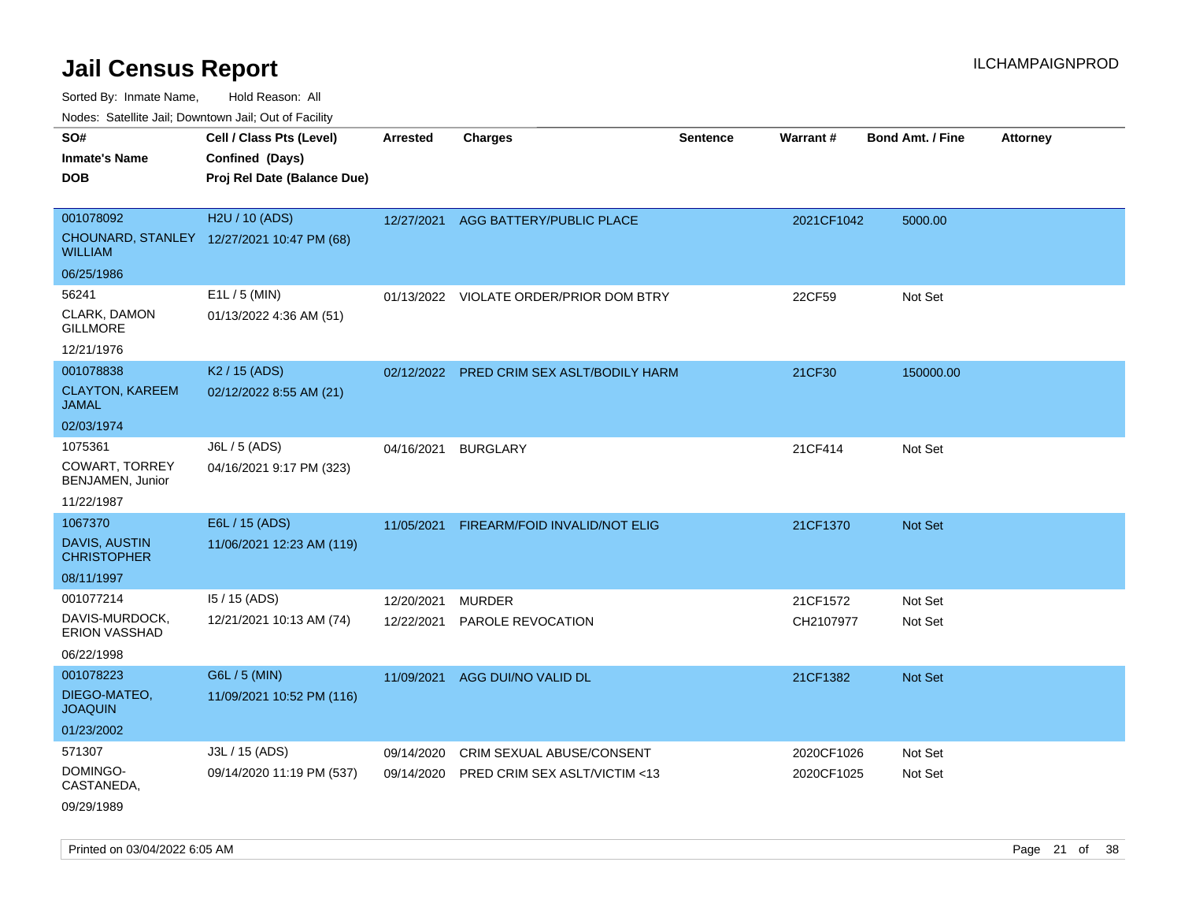Sorted By: Inmate Name, Hold Reason: All

Nodes: Satellite Jail; Downtown Jail; Out of Facility

| SO#<br><b>Inmate's Name</b><br><b>DOB</b>                            | Cell / Class Pts (Level)<br>Confined (Days)<br>Proj Rel Date (Balance Due) | <b>Arrested</b>          | <b>Charges</b>                                             | <b>Sentence</b> | <b>Warrant#</b>          | <b>Bond Amt. / Fine</b> | <b>Attorney</b> |
|----------------------------------------------------------------------|----------------------------------------------------------------------------|--------------------------|------------------------------------------------------------|-----------------|--------------------------|-------------------------|-----------------|
| 001078092<br><b>WILLIAM</b>                                          | H2U / 10 (ADS)<br>CHOUNARD, STANLEY 12/27/2021 10:47 PM (68)               | 12/27/2021               | AGG BATTERY/PUBLIC PLACE                                   |                 | 2021CF1042               | 5000.00                 |                 |
| 06/25/1986<br>56241<br>CLARK, DAMON<br><b>GILLMORE</b><br>12/21/1976 | E1L / 5 (MIN)<br>01/13/2022 4:36 AM (51)                                   |                          | 01/13/2022 VIOLATE ORDER/PRIOR DOM BTRY                    |                 | 22CF59                   | Not Set                 |                 |
| 001078838<br><b>CLAYTON, KAREEM</b><br><b>JAMAL</b><br>02/03/1974    | K <sub>2</sub> / 15 (ADS)<br>02/12/2022 8:55 AM (21)                       |                          | 02/12/2022 PRED CRIM SEX ASLT/BODILY HARM                  |                 | 21CF30                   | 150000.00               |                 |
| 1075361<br><b>COWART, TORREY</b><br>BENJAMEN, Junior<br>11/22/1987   | J6L / 5 (ADS)<br>04/16/2021 9:17 PM (323)                                  | 04/16/2021               | <b>BURGLARY</b>                                            |                 | 21CF414                  | Not Set                 |                 |
| 1067370<br><b>DAVIS, AUSTIN</b><br><b>CHRISTOPHER</b><br>08/11/1997  | E6L / 15 (ADS)<br>11/06/2021 12:23 AM (119)                                | 11/05/2021               | FIREARM/FOID INVALID/NOT ELIG                              |                 | 21CF1370                 | <b>Not Set</b>          |                 |
| 001077214<br>DAVIS-MURDOCK,<br>ERION VASSHAD<br>06/22/1998           | 15 / 15 (ADS)<br>12/21/2021 10:13 AM (74)                                  | 12/20/2021<br>12/22/2021 | <b>MURDER</b><br>PAROLE REVOCATION                         |                 | 21CF1572<br>CH2107977    | Not Set<br>Not Set      |                 |
| 001078223<br>DIEGO-MATEO,<br><b>JOAQUIN</b><br>01/23/2002            | G6L / 5 (MIN)<br>11/09/2021 10:52 PM (116)                                 | 11/09/2021               | AGG DUI/NO VALID DL                                        |                 | 21CF1382                 | Not Set                 |                 |
| 571307<br>DOMINGO-<br>CASTANEDA,<br>09/29/1989                       | J3L / 15 (ADS)<br>09/14/2020 11:19 PM (537)                                | 09/14/2020<br>09/14/2020 | CRIM SEXUAL ABUSE/CONSENT<br>PRED CRIM SEX ASLT/VICTIM <13 |                 | 2020CF1026<br>2020CF1025 | Not Set<br>Not Set      |                 |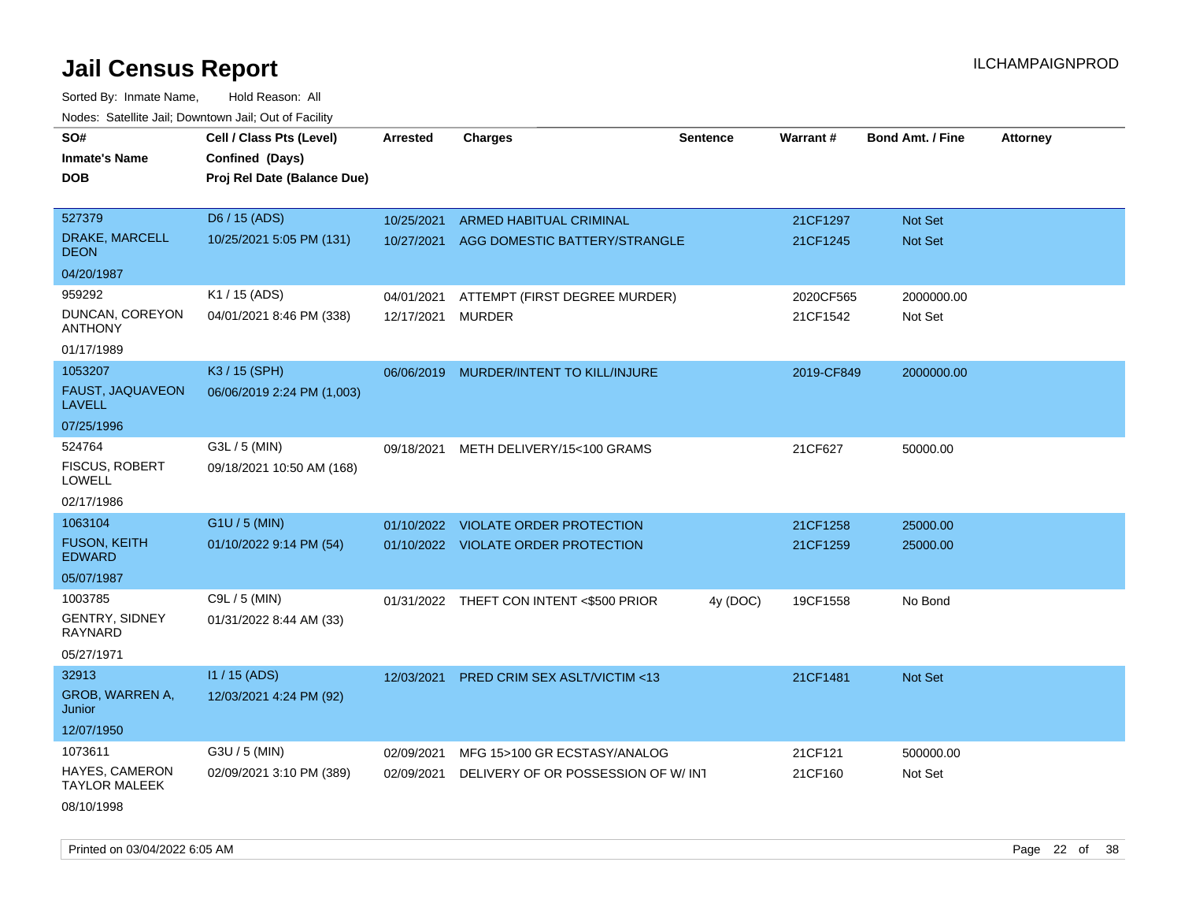Sorted By: Inmate Name, Hold Reason: All Nodes: Satellite Jail; Downtown Jail; Out of Facility

| SO#                                           | Cell / Class Pts (Level)    | <b>Arrested</b> | <b>Charges</b>                           | <b>Sentence</b> | Warrant#   | <b>Bond Amt. / Fine</b> | <b>Attorney</b> |
|-----------------------------------------------|-----------------------------|-----------------|------------------------------------------|-----------------|------------|-------------------------|-----------------|
| <b>Inmate's Name</b>                          | Confined (Days)             |                 |                                          |                 |            |                         |                 |
| <b>DOB</b>                                    | Proj Rel Date (Balance Due) |                 |                                          |                 |            |                         |                 |
|                                               |                             |                 |                                          |                 |            |                         |                 |
| 527379                                        | D6 / 15 (ADS)               | 10/25/2021      | ARMED HABITUAL CRIMINAL                  |                 | 21CF1297   | Not Set                 |                 |
| DRAKE, MARCELL<br><b>DEON</b>                 | 10/25/2021 5:05 PM (131)    |                 | 10/27/2021 AGG DOMESTIC BATTERY/STRANGLE |                 | 21CF1245   | Not Set                 |                 |
| 04/20/1987                                    |                             |                 |                                          |                 |            |                         |                 |
| 959292                                        | K1 / 15 (ADS)               | 04/01/2021      | ATTEMPT (FIRST DEGREE MURDER)            |                 | 2020CF565  | 2000000.00              |                 |
| DUNCAN, COREYON<br><b>ANTHONY</b>             | 04/01/2021 8:46 PM (338)    | 12/17/2021      | <b>MURDER</b>                            |                 | 21CF1542   | Not Set                 |                 |
| 01/17/1989                                    |                             |                 |                                          |                 |            |                         |                 |
| 1053207                                       | K3 / 15 (SPH)               |                 | 06/06/2019 MURDER/INTENT TO KILL/INJURE  |                 | 2019-CF849 | 2000000.00              |                 |
| <b>FAUST, JAQUAVEON</b><br><b>LAVELL</b>      | 06/06/2019 2:24 PM (1,003)  |                 |                                          |                 |            |                         |                 |
| 07/25/1996                                    |                             |                 |                                          |                 |            |                         |                 |
| 524764                                        | G3L / 5 (MIN)               | 09/18/2021      | METH DELIVERY/15<100 GRAMS               |                 | 21CF627    | 50000.00                |                 |
| <b>FISCUS, ROBERT</b><br><b>LOWELL</b>        | 09/18/2021 10:50 AM (168)   |                 |                                          |                 |            |                         |                 |
| 02/17/1986                                    |                             |                 |                                          |                 |            |                         |                 |
| 1063104                                       | G1U / 5 (MIN)               | 01/10/2022      | <b>VIOLATE ORDER PROTECTION</b>          |                 | 21CF1258   | 25000.00                |                 |
| <b>FUSON, KEITH</b><br><b>EDWARD</b>          | 01/10/2022 9:14 PM (54)     |                 | 01/10/2022 VIOLATE ORDER PROTECTION      |                 | 21CF1259   | 25000.00                |                 |
| 05/07/1987                                    |                             |                 |                                          |                 |            |                         |                 |
| 1003785                                       | C9L / 5 (MIN)               |                 | 01/31/2022 THEFT CON INTENT <\$500 PRIOR | 4y (DOC)        | 19CF1558   | No Bond                 |                 |
| GENTRY, SIDNEY<br><b>RAYNARD</b>              | 01/31/2022 8:44 AM (33)     |                 |                                          |                 |            |                         |                 |
| 05/27/1971                                    |                             |                 |                                          |                 |            |                         |                 |
| 32913                                         | $11/15$ (ADS)               | 12/03/2021      | PRED CRIM SEX ASLT/VICTIM <13            |                 | 21CF1481   | Not Set                 |                 |
| GROB, WARREN A,<br>Junior                     | 12/03/2021 4:24 PM (92)     |                 |                                          |                 |            |                         |                 |
| 12/07/1950                                    |                             |                 |                                          |                 |            |                         |                 |
| 1073611                                       | G3U / 5 (MIN)               | 02/09/2021      | MFG 15>100 GR ECSTASY/ANALOG             |                 | 21CF121    | 500000.00               |                 |
| <b>HAYES, CAMERON</b><br><b>TAYLOR MALEEK</b> | 02/09/2021 3:10 PM (389)    | 02/09/2021      | DELIVERY OF OR POSSESSION OF W/INT       |                 | 21CF160    | Not Set                 |                 |
| 08/10/1998                                    |                             |                 |                                          |                 |            |                         |                 |

Printed on 03/04/2022 6:05 AM Page 22 of 38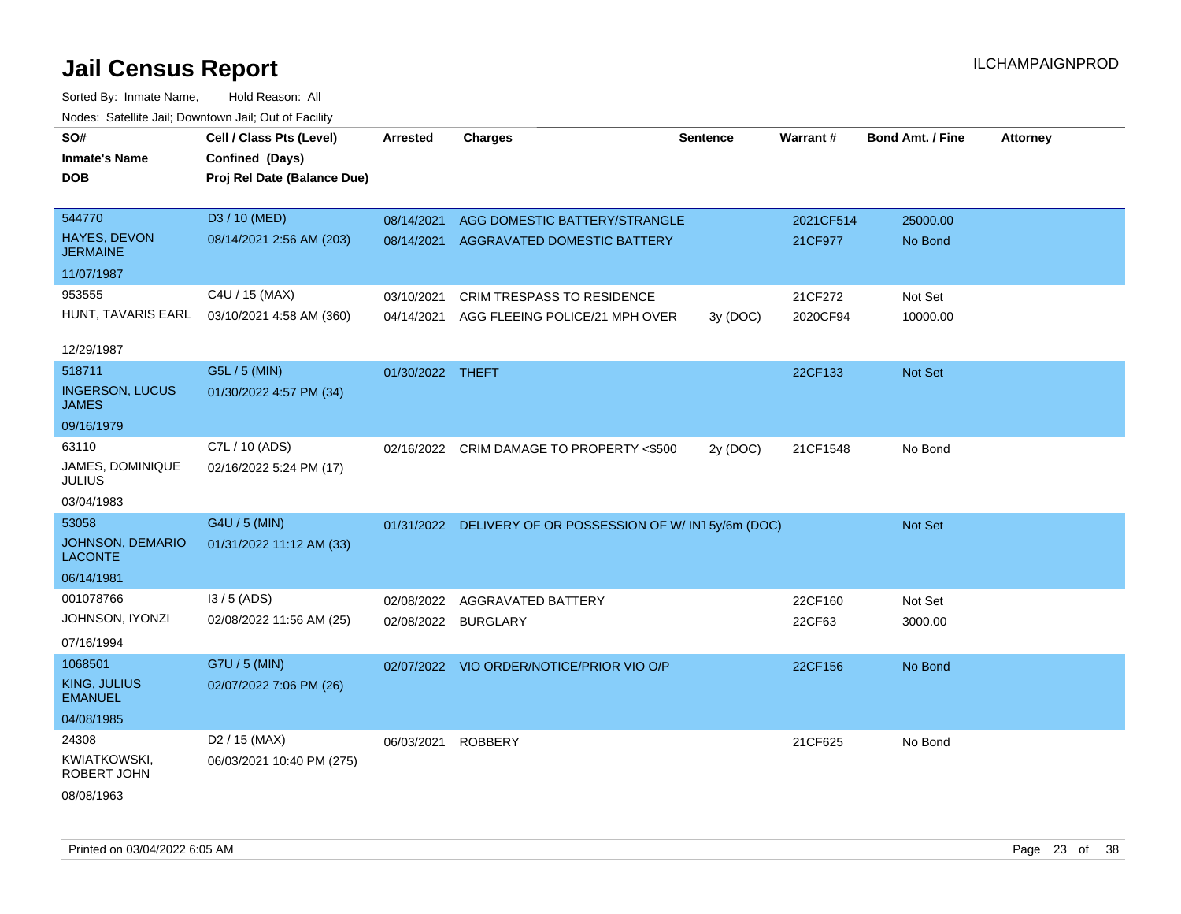| SO#                                    | Cell / Class Pts (Level)    | <b>Arrested</b>     | <b>Charges</b>                                             | <b>Sentence</b> | Warrant#  | <b>Bond Amt. / Fine</b> | <b>Attorney</b> |
|----------------------------------------|-----------------------------|---------------------|------------------------------------------------------------|-----------------|-----------|-------------------------|-----------------|
| <b>Inmate's Name</b>                   | Confined (Days)             |                     |                                                            |                 |           |                         |                 |
| <b>DOB</b>                             | Proj Rel Date (Balance Due) |                     |                                                            |                 |           |                         |                 |
|                                        |                             |                     |                                                            |                 |           |                         |                 |
| 544770                                 | D3 / 10 (MED)               | 08/14/2021          | AGG DOMESTIC BATTERY/STRANGLE                              |                 | 2021CF514 | 25000.00                |                 |
| HAYES, DEVON<br><b>JERMAINE</b>        | 08/14/2021 2:56 AM (203)    |                     | 08/14/2021 AGGRAVATED DOMESTIC BATTERY                     |                 | 21CF977   | No Bond                 |                 |
| 11/07/1987                             |                             |                     |                                                            |                 |           |                         |                 |
| 953555                                 | C4U / 15 (MAX)              | 03/10/2021          | CRIM TRESPASS TO RESIDENCE                                 |                 | 21CF272   | Not Set                 |                 |
| HUNT, TAVARIS EARL                     | 03/10/2021 4:58 AM (360)    | 04/14/2021          | AGG FLEEING POLICE/21 MPH OVER                             | 3y (DOC)        | 2020CF94  | 10000.00                |                 |
|                                        |                             |                     |                                                            |                 |           |                         |                 |
| 12/29/1987                             |                             |                     |                                                            |                 |           |                         |                 |
| 518711                                 | G5L / 5 (MIN)               | 01/30/2022 THEFT    |                                                            |                 | 22CF133   | Not Set                 |                 |
| <b>INGERSON, LUCUS</b><br><b>JAMES</b> | 01/30/2022 4:57 PM (34)     |                     |                                                            |                 |           |                         |                 |
| 09/16/1979                             |                             |                     |                                                            |                 |           |                         |                 |
| 63110                                  | C7L / 10 (ADS)              |                     | 02/16/2022 CRIM DAMAGE TO PROPERTY <\$500                  | 2y (DOC)        | 21CF1548  | No Bond                 |                 |
| JAMES, DOMINIQUE<br><b>JULIUS</b>      | 02/16/2022 5:24 PM (17)     |                     |                                                            |                 |           |                         |                 |
| 03/04/1983                             |                             |                     |                                                            |                 |           |                         |                 |
| 53058                                  | G4U / 5 (MIN)               |                     | 01/31/2022 DELIVERY OF OR POSSESSION OF W/ IN1 5y/6m (DOC) |                 |           | Not Set                 |                 |
| JOHNSON, DEMARIO<br><b>LACONTE</b>     | 01/31/2022 11:12 AM (33)    |                     |                                                            |                 |           |                         |                 |
| 06/14/1981                             |                             |                     |                                                            |                 |           |                         |                 |
| 001078766                              | I3 / 5 (ADS)                | 02/08/2022          | AGGRAVATED BATTERY                                         |                 | 22CF160   | Not Set                 |                 |
| JOHNSON, IYONZI                        | 02/08/2022 11:56 AM (25)    | 02/08/2022 BURGLARY |                                                            |                 | 22CF63    | 3000.00                 |                 |
| 07/16/1994                             |                             |                     |                                                            |                 |           |                         |                 |
| 1068501                                | G7U / 5 (MIN)               |                     | 02/07/2022 VIO ORDER/NOTICE/PRIOR VIO O/P                  |                 | 22CF156   | No Bond                 |                 |
| <b>KING, JULIUS</b><br><b>EMANUEL</b>  | 02/07/2022 7:06 PM (26)     |                     |                                                            |                 |           |                         |                 |
| 04/08/1985                             |                             |                     |                                                            |                 |           |                         |                 |
| 24308                                  | D <sub>2</sub> / 15 (MAX)   | 06/03/2021          | <b>ROBBERY</b>                                             |                 | 21CF625   | No Bond                 |                 |
| <b>KWIATKOWSKI,</b><br>ROBERT JOHN     | 06/03/2021 10:40 PM (275)   |                     |                                                            |                 |           |                         |                 |
| 08/08/1963                             |                             |                     |                                                            |                 |           |                         |                 |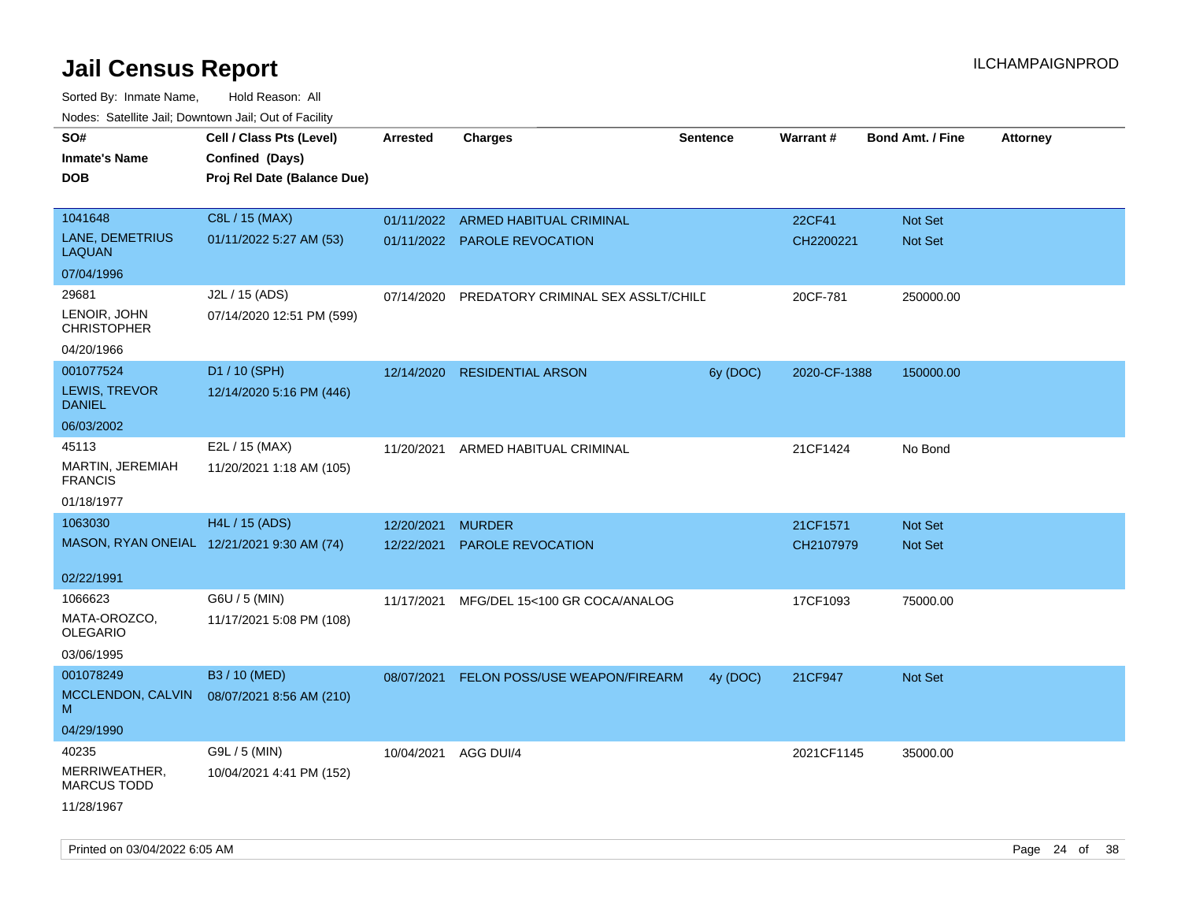| roaco. Catolino dall, Downtown dall, Out of Fability |                                            |                 |                                    |                 |                 |                         |                 |
|------------------------------------------------------|--------------------------------------------|-----------------|------------------------------------|-----------------|-----------------|-------------------------|-----------------|
| SO#                                                  | Cell / Class Pts (Level)                   | <b>Arrested</b> | Charges                            | <b>Sentence</b> | <b>Warrant#</b> | <b>Bond Amt. / Fine</b> | <b>Attorney</b> |
| <b>Inmate's Name</b>                                 | Confined (Days)                            |                 |                                    |                 |                 |                         |                 |
| <b>DOB</b>                                           | Proj Rel Date (Balance Due)                |                 |                                    |                 |                 |                         |                 |
|                                                      |                                            |                 |                                    |                 |                 |                         |                 |
| 1041648                                              | C8L / 15 (MAX)                             | 01/11/2022      | ARMED HABITUAL CRIMINAL            |                 | 22CF41          | <b>Not Set</b>          |                 |
| LANE, DEMETRIUS<br><b>LAQUAN</b>                     | 01/11/2022 5:27 AM (53)                    |                 | 01/11/2022 PAROLE REVOCATION       |                 | CH2200221       | Not Set                 |                 |
| 07/04/1996                                           |                                            |                 |                                    |                 |                 |                         |                 |
| 29681                                                | J2L / 15 (ADS)                             | 07/14/2020      | PREDATORY CRIMINAL SEX ASSLT/CHILD |                 | 20CF-781        | 250000.00               |                 |
| LENOIR, JOHN<br><b>CHRISTOPHER</b>                   | 07/14/2020 12:51 PM (599)                  |                 |                                    |                 |                 |                         |                 |
| 04/20/1966                                           |                                            |                 |                                    |                 |                 |                         |                 |
| 001077524                                            | D1 / 10 (SPH)                              | 12/14/2020      | <b>RESIDENTIAL ARSON</b>           | 6y (DOC)        | 2020-CF-1388    | 150000.00               |                 |
| LEWIS, TREVOR<br><b>DANIEL</b>                       | 12/14/2020 5:16 PM (446)                   |                 |                                    |                 |                 |                         |                 |
| 06/03/2002                                           |                                            |                 |                                    |                 |                 |                         |                 |
| 45113                                                | E2L / 15 (MAX)                             | 11/20/2021      | ARMED HABITUAL CRIMINAL            |                 | 21CF1424        | No Bond                 |                 |
| MARTIN, JEREMIAH<br><b>FRANCIS</b>                   | 11/20/2021 1:18 AM (105)                   |                 |                                    |                 |                 |                         |                 |
| 01/18/1977                                           |                                            |                 |                                    |                 |                 |                         |                 |
| 1063030                                              | H4L / 15 (ADS)                             | 12/20/2021      | <b>MURDER</b>                      |                 | 21CF1571        | <b>Not Set</b>          |                 |
|                                                      | MASON, RYAN ONEIAL 12/21/2021 9:30 AM (74) | 12/22/2021      | <b>PAROLE REVOCATION</b>           |                 | CH2107979       | <b>Not Set</b>          |                 |
|                                                      |                                            |                 |                                    |                 |                 |                         |                 |
| 02/22/1991                                           |                                            |                 |                                    |                 |                 |                         |                 |
| 1066623                                              | G6U / 5 (MIN)                              | 11/17/2021      | MFG/DEL 15<100 GR COCA/ANALOG      |                 | 17CF1093        | 75000.00                |                 |
| MATA-OROZCO,<br>OLEGARIO                             | 11/17/2021 5:08 PM (108)                   |                 |                                    |                 |                 |                         |                 |
| 03/06/1995                                           |                                            |                 |                                    |                 |                 |                         |                 |
| 001078249                                            | B3 / 10 (MED)                              | 08/07/2021      | FELON POSS/USE WEAPON/FIREARM      | 4y (DOC)        | 21CF947         | Not Set                 |                 |
| MCCLENDON, CALVIN                                    | 08/07/2021 8:56 AM (210)                   |                 |                                    |                 |                 |                         |                 |
| М                                                    |                                            |                 |                                    |                 |                 |                         |                 |
| 04/29/1990                                           |                                            |                 |                                    |                 |                 |                         |                 |
| 40235                                                | G9L / 5 (MIN)                              | 10/04/2021      | AGG DUI/4                          |                 | 2021CF1145      | 35000.00                |                 |
| MERRIWEATHER,<br><b>MARCUS TODD</b>                  | 10/04/2021 4:41 PM (152)                   |                 |                                    |                 |                 |                         |                 |
| 11/28/1967                                           |                                            |                 |                                    |                 |                 |                         |                 |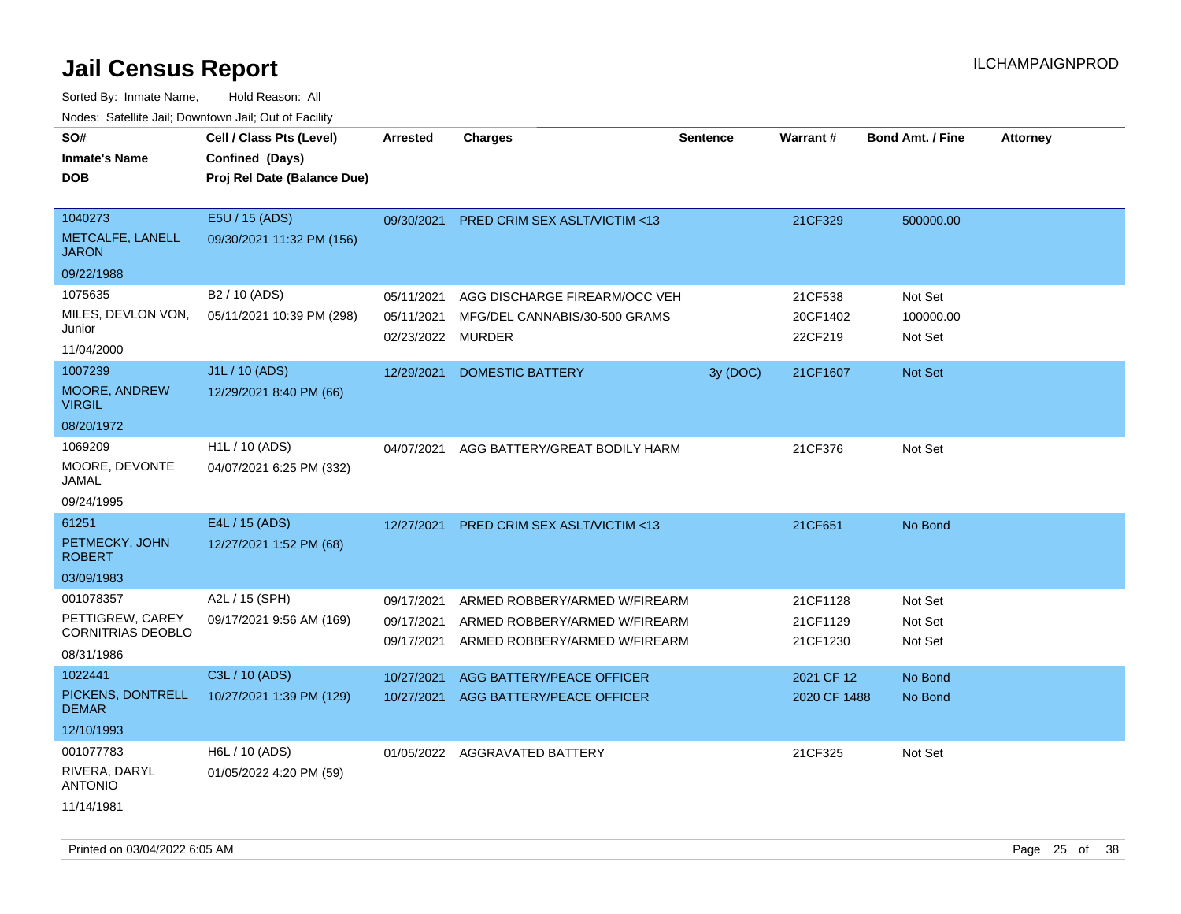| 10000. Catolino can, Domntonn can, Oat or I domt                        |                                                                            |                                               |                                                                                                 |                 |                                  |                                 |                 |
|-------------------------------------------------------------------------|----------------------------------------------------------------------------|-----------------------------------------------|-------------------------------------------------------------------------------------------------|-----------------|----------------------------------|---------------------------------|-----------------|
| SO#<br><b>Inmate's Name</b><br><b>DOB</b>                               | Cell / Class Pts (Level)<br>Confined (Days)<br>Proj Rel Date (Balance Due) | <b>Arrested</b>                               | <b>Charges</b>                                                                                  | <b>Sentence</b> | Warrant#                         | <b>Bond Amt. / Fine</b>         | <b>Attorney</b> |
| 1040273<br><b>METCALFE, LANELL</b><br>JARON                             | E5U / 15 (ADS)<br>09/30/2021 11:32 PM (156)                                | 09/30/2021                                    | <b>PRED CRIM SEX ASLT/VICTIM &lt;13</b>                                                         |                 | 21CF329                          | 500000.00                       |                 |
| 09/22/1988                                                              |                                                                            |                                               |                                                                                                 |                 |                                  |                                 |                 |
| 1075635<br>MILES, DEVLON VON,<br>Junior<br>11/04/2000                   | B <sub>2</sub> / 10 (ADS)<br>05/11/2021 10:39 PM (298)                     | 05/11/2021<br>05/11/2021<br>02/23/2022 MURDER | AGG DISCHARGE FIREARM/OCC VEH<br>MFG/DEL CANNABIS/30-500 GRAMS                                  |                 | 21CF538<br>20CF1402<br>22CF219   | Not Set<br>100000.00<br>Not Set |                 |
| 1007239<br><b>MOORE, ANDREW</b><br>VIRGIL                               | J1L / 10 (ADS)<br>12/29/2021 8:40 PM (66)                                  | 12/29/2021                                    | DOMESTIC BATTERY                                                                                | 3y (DOC)        | 21CF1607                         | <b>Not Set</b>                  |                 |
| 08/20/1972<br>1069209<br>MOORE, DEVONTE<br>JAMAL<br>09/24/1995          | H <sub>1</sub> L / 10 (ADS)<br>04/07/2021 6:25 PM (332)                    | 04/07/2021                                    | AGG BATTERY/GREAT BODILY HARM                                                                   |                 | 21CF376                          | Not Set                         |                 |
| 61251<br>PETMECKY, JOHN<br>ROBERT<br>03/09/1983                         | E4L / 15 (ADS)<br>12/27/2021 1:52 PM (68)                                  | 12/27/2021                                    | <b>PRED CRIM SEX ASLT/VICTIM &lt;13</b>                                                         |                 | 21CF651                          | No Bond                         |                 |
| 001078357<br>PETTIGREW, CAREY<br><b>CORNITRIAS DEOBLO</b><br>08/31/1986 | A2L / 15 (SPH)<br>09/17/2021 9:56 AM (169)                                 | 09/17/2021<br>09/17/2021<br>09/17/2021        | ARMED ROBBERY/ARMED W/FIREARM<br>ARMED ROBBERY/ARMED W/FIREARM<br>ARMED ROBBERY/ARMED W/FIREARM |                 | 21CF1128<br>21CF1129<br>21CF1230 | Not Set<br>Not Set<br>Not Set   |                 |
| 1022441<br>PICKENS, DONTRELL<br><b>DEMAR</b><br>12/10/1993              | C3L / 10 (ADS)<br>10/27/2021 1:39 PM (129)                                 | 10/27/2021<br>10/27/2021                      | AGG BATTERY/PEACE OFFICER<br>AGG BATTERY/PEACE OFFICER                                          |                 | 2021 CF 12<br>2020 CF 1488       | No Bond<br>No Bond              |                 |
| 001077783<br>RIVERA, DARYL<br>ANTONIO<br>11/14/1981                     | H6L / 10 (ADS)<br>01/05/2022 4:20 PM (59)                                  |                                               | 01/05/2022 AGGRAVATED BATTERY                                                                   |                 | 21CF325                          | Not Set                         |                 |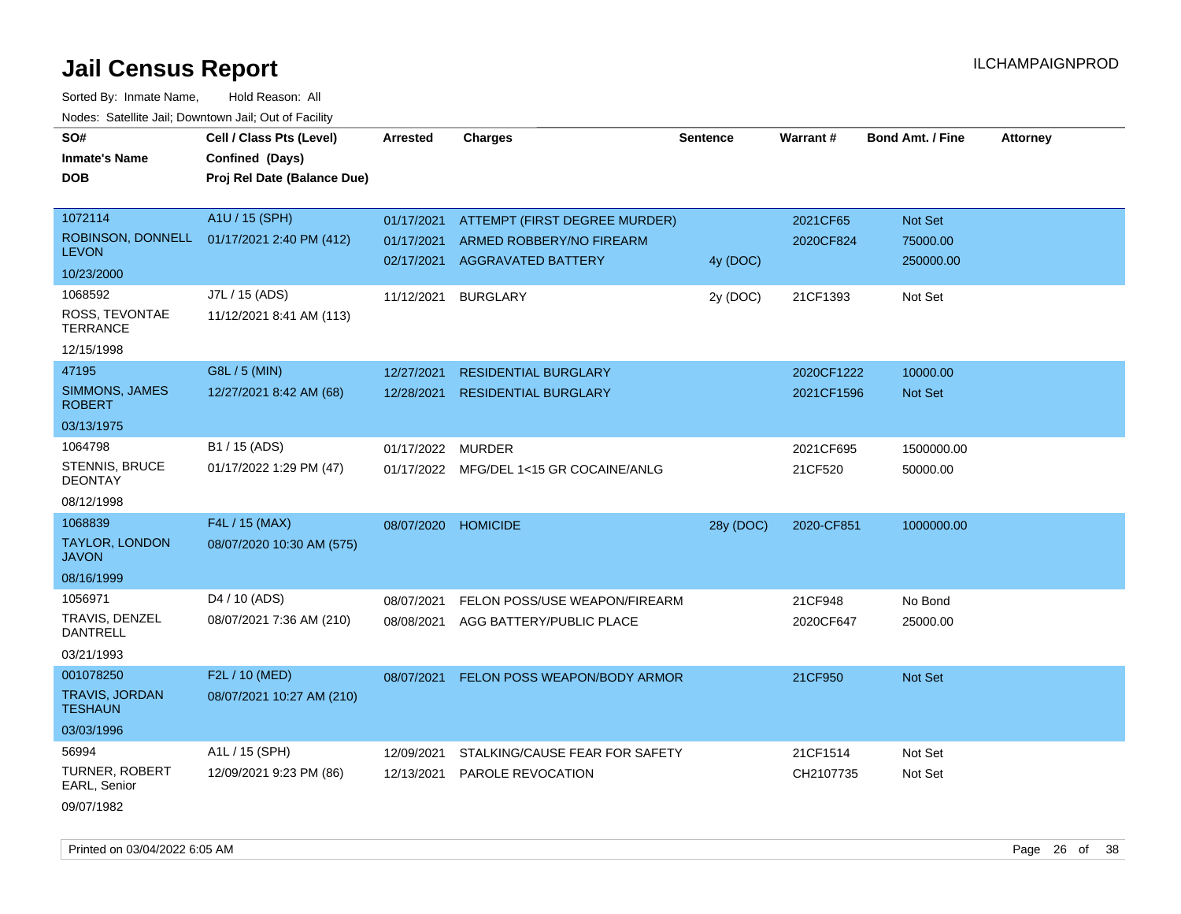Sorted By: Inmate Name, Hold Reason: All Nodes: Satellite Jail; Downtown Jail; Out of Facility

| SO#                                     | Cell / Class Pts (Level)    | <b>Arrested</b> | <b>Charges</b>                          | <b>Sentence</b> | Warrant#   | <b>Bond Amt. / Fine</b> | <b>Attorney</b> |
|-----------------------------------------|-----------------------------|-----------------|-----------------------------------------|-----------------|------------|-------------------------|-----------------|
| <b>Inmate's Name</b>                    | Confined (Days)             |                 |                                         |                 |            |                         |                 |
| <b>DOB</b>                              | Proj Rel Date (Balance Due) |                 |                                         |                 |            |                         |                 |
|                                         |                             |                 |                                         |                 |            |                         |                 |
| 1072114                                 | A1U / 15 (SPH)              | 01/17/2021      | ATTEMPT (FIRST DEGREE MURDER)           |                 | 2021CF65   | Not Set                 |                 |
| ROBINSON, DONNELL                       | 01/17/2021 2:40 PM (412)    | 01/17/2021      | ARMED ROBBERY/NO FIREARM                |                 | 2020CF824  | 75000.00                |                 |
| <b>LEVON</b>                            |                             | 02/17/2021      | <b>AGGRAVATED BATTERY</b>               | 4y (DOC)        |            | 250000.00               |                 |
| 10/23/2000                              |                             |                 |                                         |                 |            |                         |                 |
| 1068592                                 | J7L / 15 (ADS)              | 11/12/2021      | <b>BURGLARY</b>                         | 2y (DOC)        | 21CF1393   | Not Set                 |                 |
| ROSS, TEVONTAE<br><b>TERRANCE</b>       | 11/12/2021 8:41 AM (113)    |                 |                                         |                 |            |                         |                 |
| 12/15/1998                              |                             |                 |                                         |                 |            |                         |                 |
| 47195                                   | G8L / 5 (MIN)               | 12/27/2021      | <b>RESIDENTIAL BURGLARY</b>             |                 | 2020CF1222 | 10000.00                |                 |
| SIMMONS, JAMES<br><b>ROBERT</b>         | 12/27/2021 8:42 AM (68)     | 12/28/2021      | <b>RESIDENTIAL BURGLARY</b>             |                 | 2021CF1596 | Not Set                 |                 |
| 03/13/1975                              |                             |                 |                                         |                 |            |                         |                 |
| 1064798                                 | B1 / 15 (ADS)               | 01/17/2022      | <b>MURDER</b>                           |                 | 2021CF695  | 1500000.00              |                 |
| <b>STENNIS, BRUCE</b><br><b>DEONTAY</b> | 01/17/2022 1:29 PM (47)     |                 | 01/17/2022 MFG/DEL 1<15 GR COCAINE/ANLG |                 | 21CF520    | 50000.00                |                 |
| 08/12/1998                              |                             |                 |                                         |                 |            |                         |                 |
| 1068839                                 | F4L / 15 (MAX)              | 08/07/2020      | <b>HOMICIDE</b>                         | 28y (DOC)       | 2020-CF851 | 1000000.00              |                 |
| <b>TAYLOR, LONDON</b><br><b>JAVON</b>   | 08/07/2020 10:30 AM (575)   |                 |                                         |                 |            |                         |                 |
| 08/16/1999                              |                             |                 |                                         |                 |            |                         |                 |
| 1056971                                 | D4 / 10 (ADS)               | 08/07/2021      | FELON POSS/USE WEAPON/FIREARM           |                 | 21CF948    | No Bond                 |                 |
| TRAVIS, DENZEL<br><b>DANTRELL</b>       | 08/07/2021 7:36 AM (210)    | 08/08/2021      | AGG BATTERY/PUBLIC PLACE                |                 | 2020CF647  | 25000.00                |                 |
| 03/21/1993                              |                             |                 |                                         |                 |            |                         |                 |
| 001078250                               | F2L / 10 (MED)              | 08/07/2021      | FELON POSS WEAPON/BODY ARMOR            |                 | 21CF950    | Not Set                 |                 |
| <b>TRAVIS, JORDAN</b><br><b>TESHAUN</b> | 08/07/2021 10:27 AM (210)   |                 |                                         |                 |            |                         |                 |
| 03/03/1996                              |                             |                 |                                         |                 |            |                         |                 |
| 56994                                   | A1L / 15 (SPH)              | 12/09/2021      | STALKING/CAUSE FEAR FOR SAFETY          |                 | 21CF1514   | Not Set                 |                 |
| <b>TURNER, ROBERT</b><br>EARL, Senior   | 12/09/2021 9:23 PM (86)     | 12/13/2021      | PAROLE REVOCATION                       |                 | CH2107735  | Not Set                 |                 |
| 09/07/1982                              |                             |                 |                                         |                 |            |                         |                 |

Printed on 03/04/2022 6:05 AM Page 26 of 38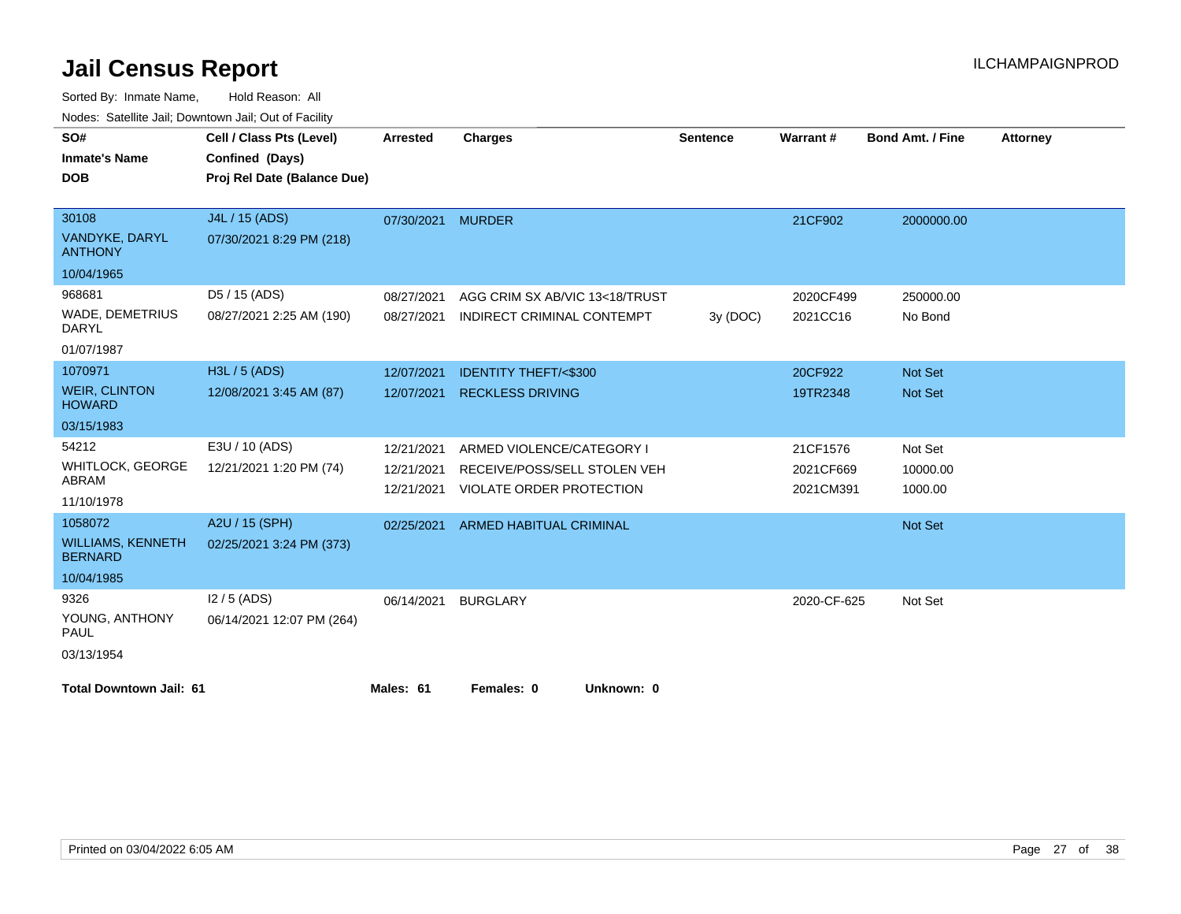| SO#                                        | Cell / Class Pts (Level)    | Arrested   | <b>Charges</b>                  | <b>Sentence</b> | Warrant#    | <b>Bond Amt. / Fine</b> | <b>Attorney</b> |
|--------------------------------------------|-----------------------------|------------|---------------------------------|-----------------|-------------|-------------------------|-----------------|
| <b>Inmate's Name</b>                       | Confined (Days)             |            |                                 |                 |             |                         |                 |
| <b>DOB</b>                                 | Proj Rel Date (Balance Due) |            |                                 |                 |             |                         |                 |
|                                            |                             |            |                                 |                 |             |                         |                 |
| 30108                                      | J4L / 15 (ADS)              | 07/30/2021 | <b>MURDER</b>                   |                 | 21CF902     | 2000000.00              |                 |
| VANDYKE, DARYL<br><b>ANTHONY</b>           | 07/30/2021 8:29 PM (218)    |            |                                 |                 |             |                         |                 |
| 10/04/1965                                 |                             |            |                                 |                 |             |                         |                 |
| 968681                                     | D5 / 15 (ADS)               | 08/27/2021 | AGG CRIM SX AB/VIC 13<18/TRUST  |                 | 2020CF499   | 250000.00               |                 |
| WADE, DEMETRIUS<br><b>DARYL</b>            | 08/27/2021 2:25 AM (190)    | 08/27/2021 | INDIRECT CRIMINAL CONTEMPT      | 3y (DOC)        | 2021CC16    | No Bond                 |                 |
| 01/07/1987                                 |                             |            |                                 |                 |             |                         |                 |
| 1070971                                    | H3L / 5 (ADS)               | 12/07/2021 | <b>IDENTITY THEFT/&lt;\$300</b> |                 | 20CF922     | Not Set                 |                 |
| <b>WEIR, CLINTON</b><br><b>HOWARD</b>      | 12/08/2021 3:45 AM (87)     | 12/07/2021 | <b>RECKLESS DRIVING</b>         |                 | 19TR2348    | <b>Not Set</b>          |                 |
| 03/15/1983                                 |                             |            |                                 |                 |             |                         |                 |
| 54212                                      | E3U / 10 (ADS)              | 12/21/2021 | ARMED VIOLENCE/CATEGORY I       |                 | 21CF1576    | Not Set                 |                 |
| <b>WHITLOCK, GEORGE</b>                    | 12/21/2021 1:20 PM (74)     | 12/21/2021 | RECEIVE/POSS/SELL STOLEN VEH    |                 | 2021CF669   | 10000.00                |                 |
| ABRAM                                      |                             | 12/21/2021 | <b>VIOLATE ORDER PROTECTION</b> |                 | 2021CM391   | 1000.00                 |                 |
| 11/10/1978                                 |                             |            |                                 |                 |             |                         |                 |
| 1058072                                    | A2U / 15 (SPH)              | 02/25/2021 | <b>ARMED HABITUAL CRIMINAL</b>  |                 |             | Not Set                 |                 |
| <b>WILLIAMS, KENNETH</b><br><b>BERNARD</b> | 02/25/2021 3:24 PM (373)    |            |                                 |                 |             |                         |                 |
| 10/04/1985                                 |                             |            |                                 |                 |             |                         |                 |
| 9326                                       | $12/5$ (ADS)                | 06/14/2021 | <b>BURGLARY</b>                 |                 | 2020-CF-625 | Not Set                 |                 |
| YOUNG, ANTHONY<br>PAUL                     | 06/14/2021 12:07 PM (264)   |            |                                 |                 |             |                         |                 |
| 03/13/1954                                 |                             |            |                                 |                 |             |                         |                 |
| <b>Total Downtown Jail: 61</b>             |                             | Males: 61  | Females: 0<br>Unknown: 0        |                 |             |                         |                 |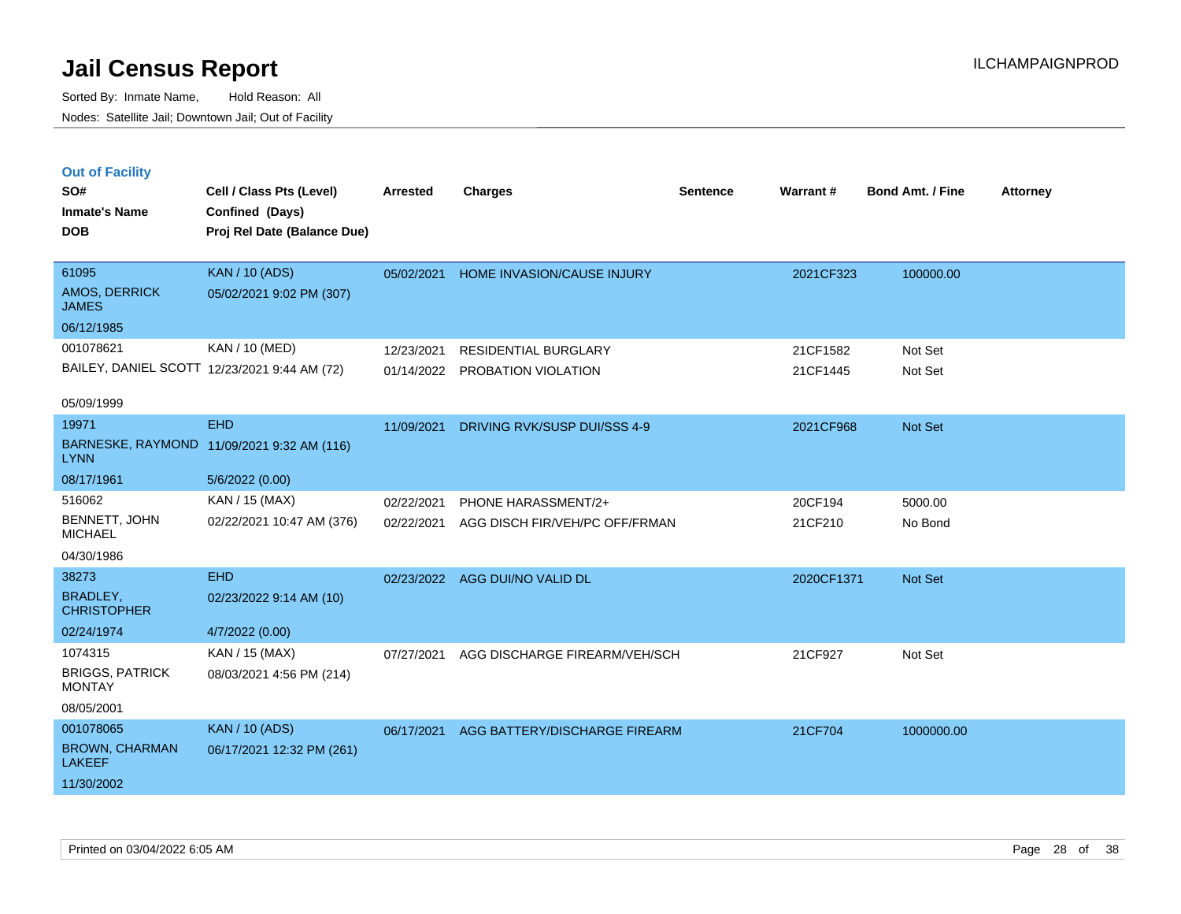Sorted By: Inmate Name, Hold Reason: All Nodes: Satellite Jail; Downtown Jail; Out of Facility

| <b>Out of Facility</b> |                            |
|------------------------|----------------------------|
| SO#                    | Cell / Class Pts (Level)   |
| <b>Inmate's Name</b>   | Confined (Days)            |
| <b>DOB</b>             | Proj Rel Date (Balance Due |
|                        |                            |

| <b>DOB</b>                                    | Proj Rel Date (Balance Due)                       |            |                                   |           |           |
|-----------------------------------------------|---------------------------------------------------|------------|-----------------------------------|-----------|-----------|
| 61095<br><b>AMOS, DERRICK</b><br><b>JAMES</b> | <b>KAN</b> / 10 (ADS)<br>05/02/2021 9:02 PM (307) | 05/02/2021 | <b>HOME INVASION/CAUSE INJURY</b> | 2021CF323 | 100000.00 |
| 06/12/1985                                    |                                                   |            |                                   |           |           |
| 001078621                                     | KAN / 10 (MED)                                    | 12/23/2021 | <b>RESIDENTIAL BURGLARY</b>       | 21CF1582  | Not Set   |
| BAILEY, DANIEL SCOTT 12/23/2021 9:44 AM (72)  |                                                   | 01/14/2022 | PROBATION VIOLATION               | 21CF1445  | Not Set   |
| 05/09/1999                                    |                                                   |            |                                   |           |           |
| 19971                                         | EHD                                               | 11/09/2021 | DRIVING RVK/SUSP DUI/SSS 4-9      | 2021CF968 | Not Set   |
| <b>LYNN</b>                                   | BARNESKE, RAYMOND 11/09/2021 9:32 AM (116)        |            |                                   |           |           |

**Cell / Class Pts (Level) Arrested Charges Warrant # Bond Amt. / Fine Attorney**

**Sentence**

| .                               |                           |                                           |         |         |
|---------------------------------|---------------------------|-------------------------------------------|---------|---------|
| 08/17/1961                      | 5/6/2022(0.00)            |                                           |         |         |
| 516062                          | KAN / 15 (MAX)            | 02/22/2021 PHONE HARASSMENT/2+            | 20CF194 | 5000.00 |
| BENNETT, JOHN<br><b>MICHAEL</b> | 02/22/2021 10:47 AM (376) | 02/22/2021 AGG DISCH FIR/VEH/PC OFF/FRMAN | 21CF210 | No Bond |
| 0.410014000                     |                           |                                           |         |         |

04/30/1986

| 04/30/1986                             |                           |            |                               |            |            |
|----------------------------------------|---------------------------|------------|-------------------------------|------------|------------|
| 38273                                  | <b>EHD</b>                | 02/23/2022 | AGG DUI/NO VALID DL           | 2020CF1371 | Not Set    |
| BRADLEY,<br><b>CHRISTOPHER</b>         | 02/23/2022 9:14 AM (10)   |            |                               |            |            |
| 02/24/1974                             | 4/7/2022 (0.00)           |            |                               |            |            |
| 1074315                                | KAN / 15 (MAX)            | 07/27/2021 | AGG DISCHARGE FIREARM/VEH/SCH | 21CF927    | Not Set    |
| <b>BRIGGS, PATRICK</b><br>MONTAY       | 08/03/2021 4:56 PM (214)  |            |                               |            |            |
| 08/05/2001                             |                           |            |                               |            |            |
| 001078065                              | <b>KAN / 10 (ADS)</b>     | 06/17/2021 | AGG BATTERY/DISCHARGE FIREARM | 21CF704    | 1000000.00 |
| <b>BROWN, CHARMAN</b><br><b>LAKEEF</b> | 06/17/2021 12:32 PM (261) |            |                               |            |            |
| 11/30/2002                             |                           |            |                               |            |            |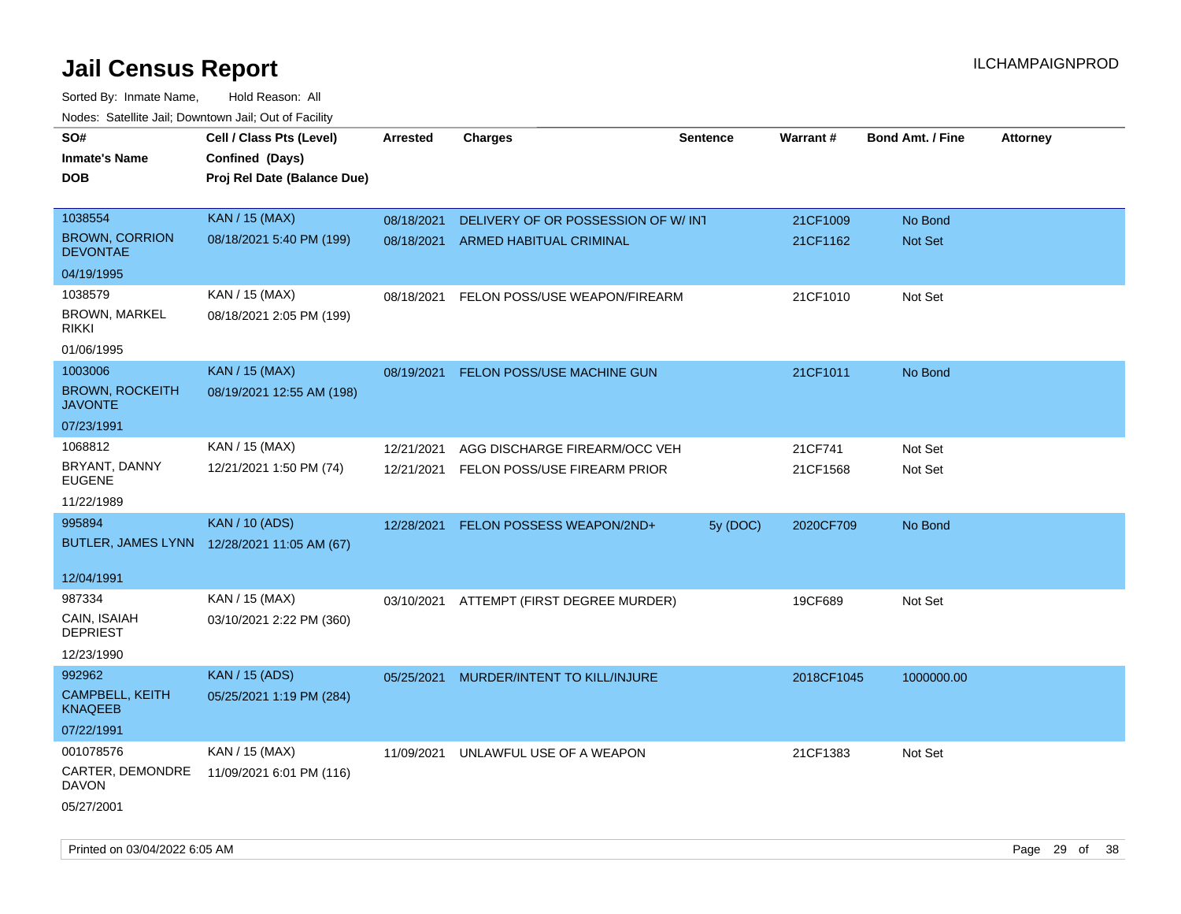Sorted By: Inmate Name, Hold Reason: All Nodes: Satellite Jail; Downtown Jail; Out of Facility

| SO#                                      | Cell / Class Pts (Level)                    | <b>Arrested</b> | <b>Charges</b>                           | <b>Sentence</b> | Warrant#   | <b>Bond Amt. / Fine</b> | <b>Attorney</b> |
|------------------------------------------|---------------------------------------------|-----------------|------------------------------------------|-----------------|------------|-------------------------|-----------------|
| <b>Inmate's Name</b>                     | Confined (Days)                             |                 |                                          |                 |            |                         |                 |
| <b>DOB</b>                               | Proj Rel Date (Balance Due)                 |                 |                                          |                 |            |                         |                 |
|                                          |                                             |                 |                                          |                 |            |                         |                 |
| 1038554                                  | <b>KAN / 15 (MAX)</b>                       | 08/18/2021      | DELIVERY OF OR POSSESSION OF W/INT       |                 | 21CF1009   | No Bond                 |                 |
| <b>BROWN, CORRION</b><br><b>DEVONTAE</b> | 08/18/2021 5:40 PM (199)                    | 08/18/2021      | ARMED HABITUAL CRIMINAL                  |                 | 21CF1162   | Not Set                 |                 |
| 04/19/1995                               |                                             |                 |                                          |                 |            |                         |                 |
| 1038579                                  | KAN / 15 (MAX)                              | 08/18/2021      | FELON POSS/USE WEAPON/FIREARM            |                 | 21CF1010   | Not Set                 |                 |
| BROWN, MARKEL<br><b>RIKKI</b>            | 08/18/2021 2:05 PM (199)                    |                 |                                          |                 |            |                         |                 |
| 01/06/1995                               |                                             |                 |                                          |                 |            |                         |                 |
| 1003006                                  | <b>KAN / 15 (MAX)</b>                       | 08/19/2021      | FELON POSS/USE MACHINE GUN               |                 | 21CF1011   | No Bond                 |                 |
| <b>BROWN, ROCKEITH</b><br><b>JAVONTE</b> | 08/19/2021 12:55 AM (198)                   |                 |                                          |                 |            |                         |                 |
| 07/23/1991                               |                                             |                 |                                          |                 |            |                         |                 |
| 1068812                                  | KAN / 15 (MAX)                              | 12/21/2021      | AGG DISCHARGE FIREARM/OCC VEH            |                 | 21CF741    | Not Set                 |                 |
| BRYANT, DANNY<br><b>EUGENE</b>           | 12/21/2021 1:50 PM (74)                     | 12/21/2021      | FELON POSS/USE FIREARM PRIOR             |                 | 21CF1568   | Not Set                 |                 |
| 11/22/1989                               |                                             |                 |                                          |                 |            |                         |                 |
| 995894                                   | <b>KAN / 10 (ADS)</b>                       | 12/28/2021      | FELON POSSESS WEAPON/2ND+                | 5y (DOC)        | 2020CF709  | No Bond                 |                 |
|                                          | BUTLER, JAMES LYNN 12/28/2021 11:05 AM (67) |                 |                                          |                 |            |                         |                 |
| 12/04/1991                               |                                             |                 |                                          |                 |            |                         |                 |
| 987334                                   | KAN / 15 (MAX)                              |                 | 03/10/2021 ATTEMPT (FIRST DEGREE MURDER) |                 | 19CF689    | Not Set                 |                 |
| CAIN, ISAIAH<br><b>DEPRIEST</b>          | 03/10/2021 2:22 PM (360)                    |                 |                                          |                 |            |                         |                 |
| 12/23/1990                               |                                             |                 |                                          |                 |            |                         |                 |
| 992962                                   | <b>KAN / 15 (ADS)</b>                       | 05/25/2021      | MURDER/INTENT TO KILL/INJURE             |                 | 2018CF1045 | 1000000.00              |                 |
| <b>CAMPBELL, KEITH</b><br><b>KNAQEEB</b> | 05/25/2021 1:19 PM (284)                    |                 |                                          |                 |            |                         |                 |
| 07/22/1991                               |                                             |                 |                                          |                 |            |                         |                 |
| 001078576                                | KAN / 15 (MAX)                              | 11/09/2021      | UNLAWFUL USE OF A WEAPON                 |                 | 21CF1383   | Not Set                 |                 |
| CARTER, DEMONDRE<br><b>DAVON</b>         | 11/09/2021 6:01 PM (116)                    |                 |                                          |                 |            |                         |                 |
| 05/27/2001                               |                                             |                 |                                          |                 |            |                         |                 |

Printed on 03/04/2022 6:05 AM Page 29 of 38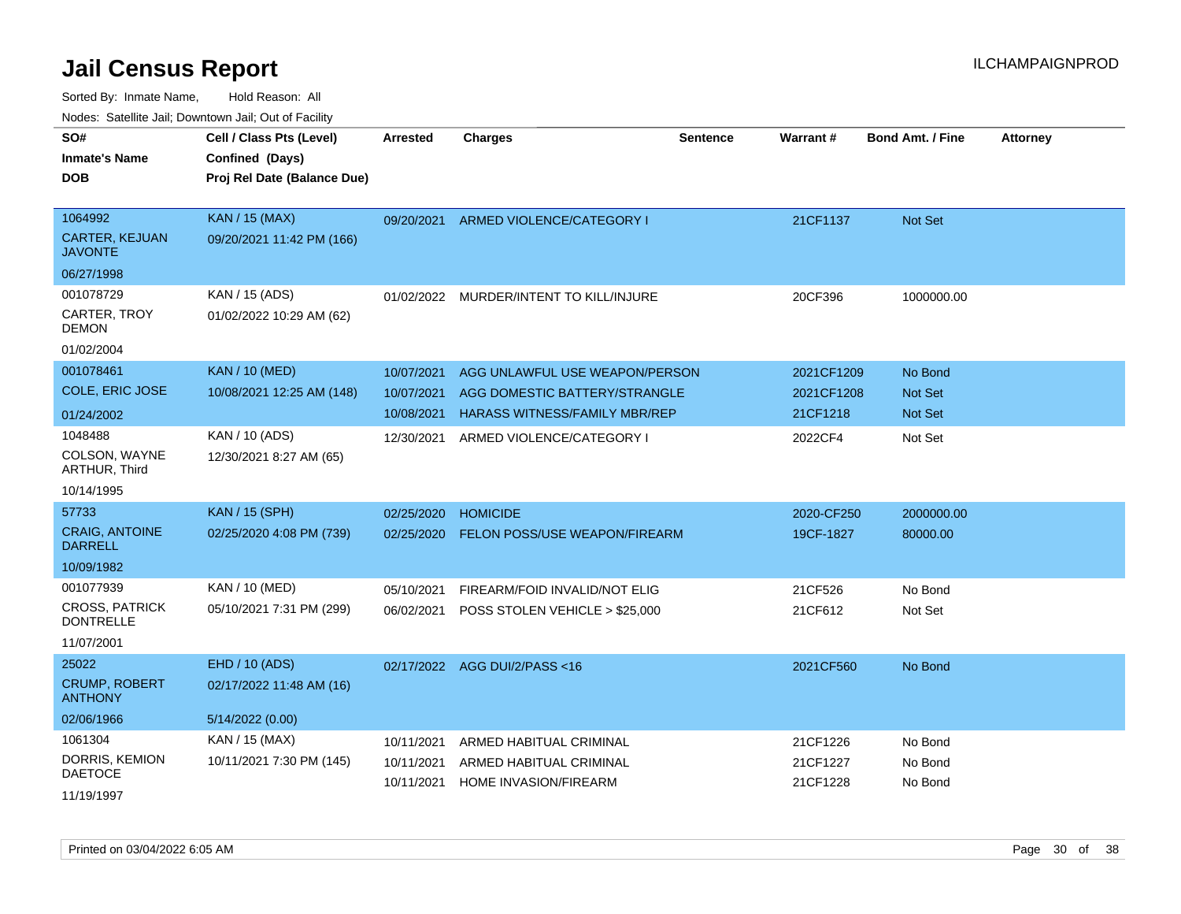| SO#<br><b>Inmate's Name</b><br><b>DOB</b>                      | Cell / Class Pts (Level)<br>Confined (Days)<br>Proj Rel Date (Balance Due) | <b>Arrested</b>                        | <b>Charges</b>                                                                                   | <b>Sentence</b> | Warrant#                             | <b>Bond Amt. / Fine</b>                     | <b>Attorney</b> |
|----------------------------------------------------------------|----------------------------------------------------------------------------|----------------------------------------|--------------------------------------------------------------------------------------------------|-----------------|--------------------------------------|---------------------------------------------|-----------------|
| 1064992<br><b>CARTER, KEJUAN</b><br>JAVONTE                    | <b>KAN / 15 (MAX)</b><br>09/20/2021 11:42 PM (166)                         | 09/20/2021                             | ARMED VIOLENCE/CATEGORY I                                                                        |                 | 21CF1137                             | <b>Not Set</b>                              |                 |
| 06/27/1998<br>001078729<br>CARTER, TROY<br>DEMON<br>01/02/2004 | KAN / 15 (ADS)<br>01/02/2022 10:29 AM (62)                                 | 01/02/2022                             | MURDER/INTENT TO KILL/INJURE                                                                     |                 | 20CF396                              | 1000000.00                                  |                 |
| 001078461<br>COLE, ERIC JOSE<br>01/24/2002                     | <b>KAN / 10 (MED)</b><br>10/08/2021 12:25 AM (148)                         | 10/07/2021<br>10/07/2021<br>10/08/2021 | AGG UNLAWFUL USE WEAPON/PERSON<br>AGG DOMESTIC BATTERY/STRANGLE<br>HARASS WITNESS/FAMILY MBR/REP |                 | 2021CF1209<br>2021CF1208<br>21CF1218 | No Bond<br><b>Not Set</b><br><b>Not Set</b> |                 |
| 1048488<br>COLSON, WAYNE<br><b>ARTHUR, Third</b><br>10/14/1995 | KAN / 10 (ADS)<br>12/30/2021 8:27 AM (65)                                  | 12/30/2021                             | ARMED VIOLENCE/CATEGORY I                                                                        |                 | 2022CF4                              | Not Set                                     |                 |
| 57733<br><b>CRAIG, ANTOINE</b><br>DARRELL<br>10/09/1982        | <b>KAN / 15 (SPH)</b><br>02/25/2020 4:08 PM (739)                          | 02/25/2020<br>02/25/2020               | <b>HOMICIDE</b><br>FELON POSS/USE WEAPON/FIREARM                                                 |                 | 2020-CF250<br>19CF-1827              | 2000000.00<br>80000.00                      |                 |
| 001077939<br>CROSS, PATRICK<br><b>DONTRELLE</b><br>11/07/2001  | KAN / 10 (MED)<br>05/10/2021 7:31 PM (299)                                 | 05/10/2021<br>06/02/2021               | FIREARM/FOID INVALID/NOT ELIG<br>POSS STOLEN VEHICLE > \$25,000                                  |                 | 21CF526<br>21CF612                   | No Bond<br>Not Set                          |                 |
| 25022<br><b>CRUMP, ROBERT</b><br>ANTHONY<br>02/06/1966         | EHD / 10 (ADS)<br>02/17/2022 11:48 AM (16)<br>5/14/2022 (0.00)             | 02/17/2022                             | AGG DUI/2/PASS <16                                                                               |                 | 2021CF560                            | No Bond                                     |                 |
| 1061304<br>DORRIS, KEMION<br>DAETOCE<br>11/19/1997             | KAN / 15 (MAX)<br>10/11/2021 7:30 PM (145)                                 | 10/11/2021<br>10/11/2021<br>10/11/2021 | ARMED HABITUAL CRIMINAL<br>ARMED HABITUAL CRIMINAL<br><b>HOME INVASION/FIREARM</b>               |                 | 21CF1226<br>21CF1227<br>21CF1228     | No Bond<br>No Bond<br>No Bond               |                 |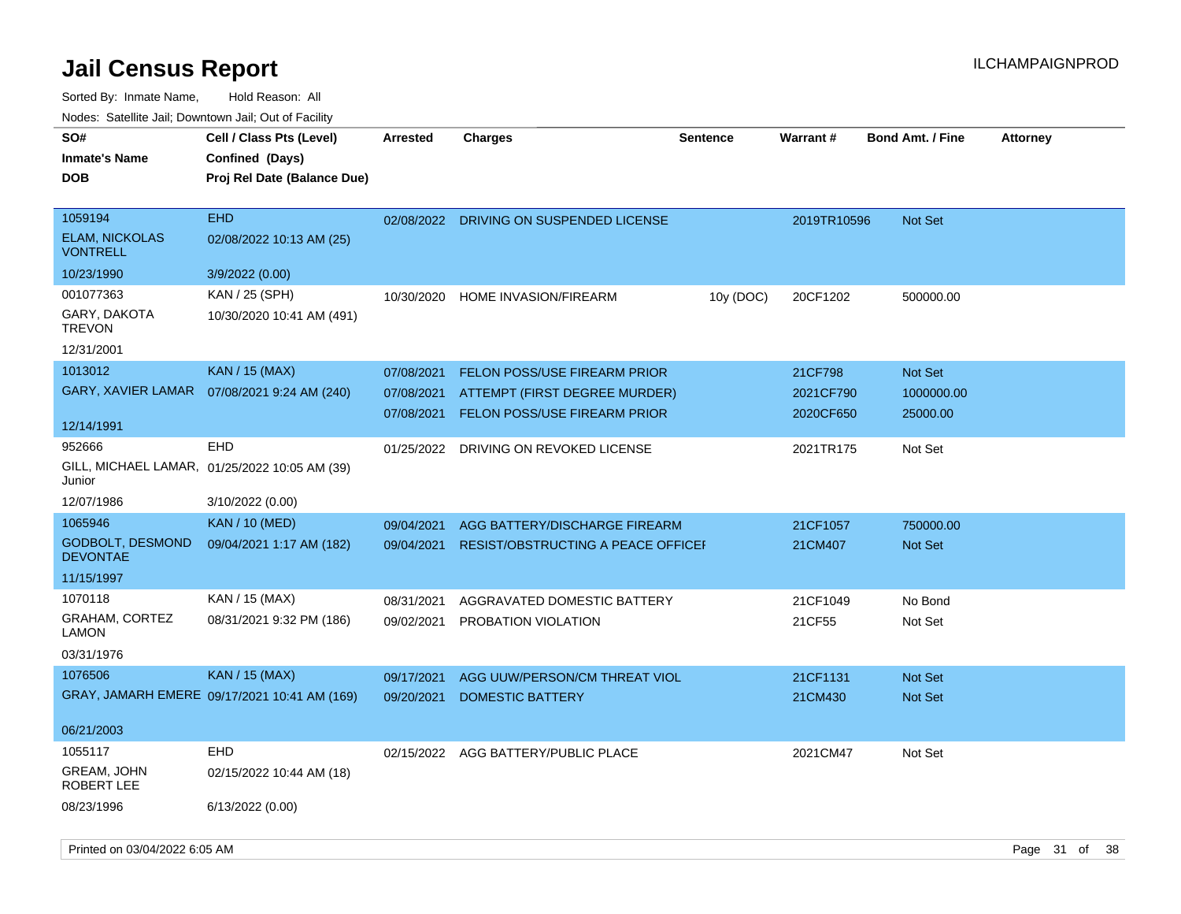| SO#                                        | Cell / Class Pts (Level)                      | <b>Arrested</b> | <b>Charges</b>                            | <b>Sentence</b> | <b>Warrant#</b> | <b>Bond Amt. / Fine</b> | <b>Attorney</b> |
|--------------------------------------------|-----------------------------------------------|-----------------|-------------------------------------------|-----------------|-----------------|-------------------------|-----------------|
| <b>Inmate's Name</b>                       | Confined (Days)                               |                 |                                           |                 |                 |                         |                 |
| <b>DOB</b>                                 | Proj Rel Date (Balance Due)                   |                 |                                           |                 |                 |                         |                 |
|                                            |                                               |                 |                                           |                 |                 |                         |                 |
| 1059194                                    | <b>EHD</b>                                    | 02/08/2022      | DRIVING ON SUSPENDED LICENSE              |                 | 2019TR10596     | <b>Not Set</b>          |                 |
| <b>ELAM, NICKOLAS</b><br><b>VONTRELL</b>   | 02/08/2022 10:13 AM (25)                      |                 |                                           |                 |                 |                         |                 |
| 10/23/1990                                 | 3/9/2022 (0.00)                               |                 |                                           |                 |                 |                         |                 |
| 001077363                                  | KAN / 25 (SPH)                                | 10/30/2020      | <b>HOME INVASION/FIREARM</b>              | 10y (DOC)       | 20CF1202        | 500000.00               |                 |
| GARY, DAKOTA<br><b>TREVON</b>              | 10/30/2020 10:41 AM (491)                     |                 |                                           |                 |                 |                         |                 |
| 12/31/2001                                 |                                               |                 |                                           |                 |                 |                         |                 |
| 1013012                                    | <b>KAN / 15 (MAX)</b>                         | 07/08/2021      | <b>FELON POSS/USE FIREARM PRIOR</b>       |                 | 21CF798         | Not Set                 |                 |
| GARY, XAVIER LAMAR                         | 07/08/2021 9:24 AM (240)                      | 07/08/2021      | ATTEMPT (FIRST DEGREE MURDER)             |                 | 2021CF790       | 1000000.00              |                 |
|                                            |                                               |                 | 07/08/2021 FELON POSS/USE FIREARM PRIOR   |                 | 2020CF650       | 25000.00                |                 |
| 12/14/1991                                 |                                               |                 |                                           |                 |                 |                         |                 |
| 952666                                     | <b>EHD</b>                                    | 01/25/2022      | DRIVING ON REVOKED LICENSE                |                 | 2021TR175       | Not Set                 |                 |
| Junior                                     | GILL, MICHAEL LAMAR, 01/25/2022 10:05 AM (39) |                 |                                           |                 |                 |                         |                 |
| 12/07/1986                                 | 3/10/2022 (0.00)                              |                 |                                           |                 |                 |                         |                 |
| 1065946                                    | <b>KAN / 10 (MED)</b>                         | 09/04/2021      | AGG BATTERY/DISCHARGE FIREARM             |                 | 21CF1057        | 750000.00               |                 |
| <b>GODBOLT, DESMOND</b><br><b>DEVONTAE</b> | 09/04/2021 1:17 AM (182)                      | 09/04/2021      | <b>RESIST/OBSTRUCTING A PEACE OFFICEF</b> |                 | 21CM407         | Not Set                 |                 |
| 11/15/1997                                 |                                               |                 |                                           |                 |                 |                         |                 |
| 1070118                                    | KAN / 15 (MAX)                                | 08/31/2021      | AGGRAVATED DOMESTIC BATTERY               |                 | 21CF1049        | No Bond                 |                 |
| <b>GRAHAM, CORTEZ</b><br>LAMON             | 08/31/2021 9:32 PM (186)                      | 09/02/2021      | PROBATION VIOLATION                       |                 | 21CF55          | Not Set                 |                 |
| 03/31/1976                                 |                                               |                 |                                           |                 |                 |                         |                 |
| 1076506                                    | <b>KAN / 15 (MAX)</b>                         | 09/17/2021      | AGG UUW/PERSON/CM THREAT VIOL             |                 | 21CF1131        | Not Set                 |                 |
|                                            | GRAY, JAMARH EMERE 09/17/2021 10:41 AM (169)  | 09/20/2021      | <b>DOMESTIC BATTERY</b>                   |                 | 21CM430         | Not Set                 |                 |
|                                            |                                               |                 |                                           |                 |                 |                         |                 |
| 06/21/2003                                 |                                               |                 |                                           |                 |                 |                         |                 |
| 1055117                                    | <b>EHD</b>                                    | 02/15/2022      | AGG BATTERY/PUBLIC PLACE                  |                 | 2021CM47        | Not Set                 |                 |
| GREAM, JOHN<br>ROBERT LEE                  | 02/15/2022 10:44 AM (18)                      |                 |                                           |                 |                 |                         |                 |
| 08/23/1996                                 | 6/13/2022 (0.00)                              |                 |                                           |                 |                 |                         |                 |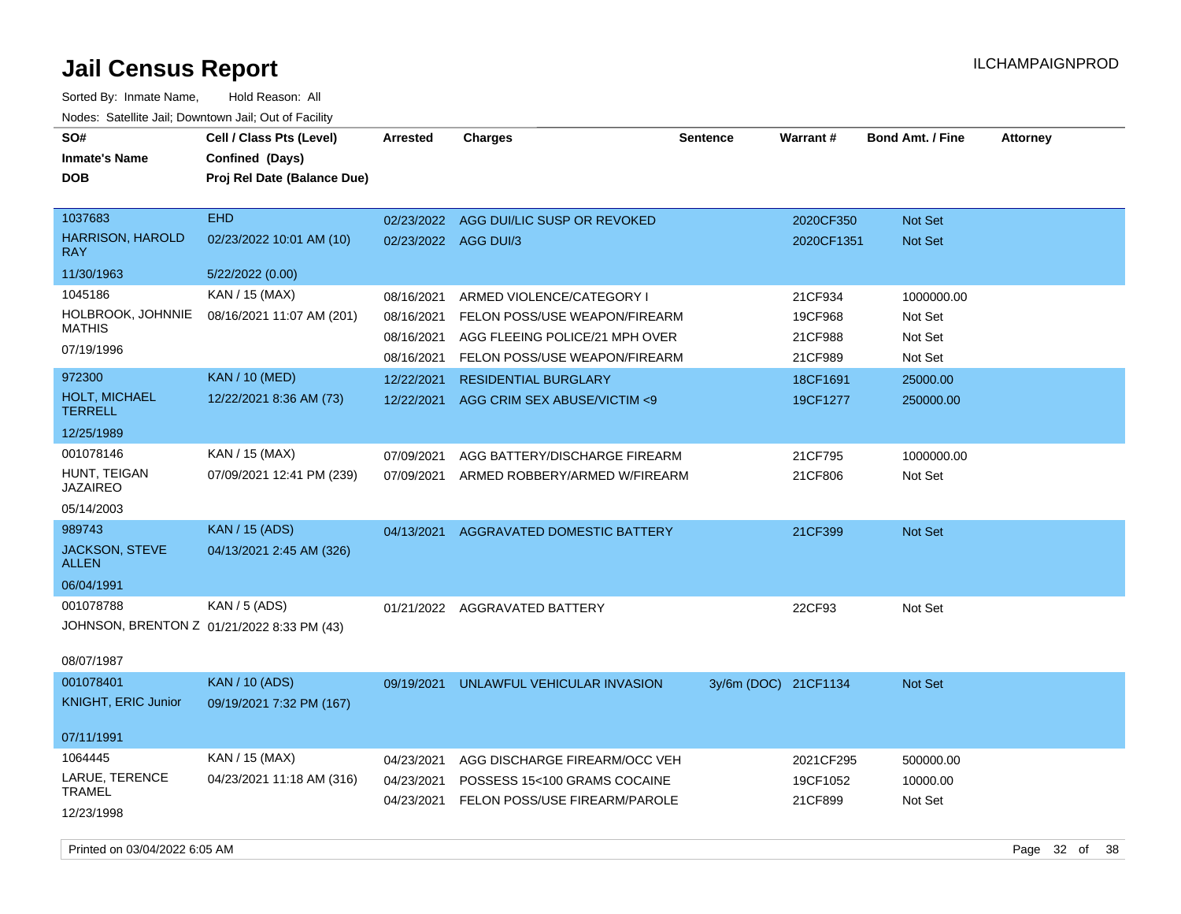Sorted By: Inmate Name, Hold Reason: All Nodes: Satellite Jail; Downtown Jail; Out of Facility

| SO#<br><b>Inmate's Name</b><br><b>DOB</b>                     | Cell / Class Pts (Level)<br>Confined (Days)<br>Proj Rel Date (Balance Due) | <b>Arrested</b>                        | <b>Charges</b>                                                                                 | <b>Sentence</b>      | Warrant#                         | <b>Bond Amt. / Fine</b>          | <b>Attorney</b> |
|---------------------------------------------------------------|----------------------------------------------------------------------------|----------------------------------------|------------------------------------------------------------------------------------------------|----------------------|----------------------------------|----------------------------------|-----------------|
| 1037683<br><b>HARRISON, HAROLD</b><br><b>RAY</b>              | <b>EHD</b><br>02/23/2022 10:01 AM (10)                                     | 02/23/2022<br>02/23/2022 AGG DUI/3     | AGG DUI/LIC SUSP OR REVOKED                                                                    |                      | 2020CF350<br>2020CF1351          | Not Set<br>Not Set               |                 |
| 11/30/1963                                                    | 5/22/2022 (0.00)                                                           |                                        |                                                                                                |                      |                                  |                                  |                 |
| 1045186                                                       | KAN / 15 (MAX)                                                             | 08/16/2021                             | ARMED VIOLENCE/CATEGORY I                                                                      |                      | 21CF934                          | 1000000.00                       |                 |
| <b>HOLBROOK, JOHNNIE</b><br><b>MATHIS</b><br>07/19/1996       | 08/16/2021 11:07 AM (201)                                                  | 08/16/2021<br>08/16/2021               | FELON POSS/USE WEAPON/FIREARM<br>AGG FLEEING POLICE/21 MPH OVER                                |                      | 19CF968<br>21CF988               | Not Set<br>Not Set               |                 |
|                                                               |                                                                            | 08/16/2021                             | FELON POSS/USE WEAPON/FIREARM                                                                  |                      | 21CF989                          | Not Set                          |                 |
| 972300<br><b>HOLT, MICHAEL</b><br><b>TERRELL</b>              | <b>KAN / 10 (MED)</b><br>12/22/2021 8:36 AM (73)                           | 12/22/2021<br>12/22/2021               | <b>RESIDENTIAL BURGLARY</b><br>AGG CRIM SEX ABUSE/VICTIM <9                                    |                      | 18CF1691<br>19CF1277             | 25000.00<br>250000.00            |                 |
| 12/25/1989                                                    |                                                                            |                                        |                                                                                                |                      |                                  |                                  |                 |
| 001078146<br>HUNT, TEIGAN<br><b>JAZAIREO</b>                  | KAN / 15 (MAX)<br>07/09/2021 12:41 PM (239)                                | 07/09/2021<br>07/09/2021               | AGG BATTERY/DISCHARGE FIREARM<br>ARMED ROBBERY/ARMED W/FIREARM                                 |                      | 21CF795<br>21CF806               | 1000000.00<br>Not Set            |                 |
| 05/14/2003                                                    |                                                                            |                                        |                                                                                                |                      |                                  |                                  |                 |
| 989743<br><b>JACKSON, STEVE</b><br><b>ALLEN</b><br>06/04/1991 | <b>KAN / 15 (ADS)</b><br>04/13/2021 2:45 AM (326)                          | 04/13/2021                             | AGGRAVATED DOMESTIC BATTERY                                                                    |                      | 21CF399                          | Not Set                          |                 |
| 001078788<br>08/07/1987                                       | KAN / 5 (ADS)<br>JOHNSON, BRENTON Z 01/21/2022 8:33 PM (43)                |                                        | 01/21/2022 AGGRAVATED BATTERY                                                                  |                      | 22CF93                           | Not Set                          |                 |
| 001078401<br><b>KNIGHT, ERIC Junior</b>                       | <b>KAN / 10 (ADS)</b><br>09/19/2021 7:32 PM (167)                          | 09/19/2021                             | UNLAWFUL VEHICULAR INVASION                                                                    | 3y/6m (DOC) 21CF1134 |                                  | Not Set                          |                 |
| 07/11/1991                                                    |                                                                            |                                        |                                                                                                |                      |                                  |                                  |                 |
| 1064445<br>LARUE, TERENCE<br><b>TRAMEL</b><br>12/23/1998      | KAN / 15 (MAX)<br>04/23/2021 11:18 AM (316)                                | 04/23/2021<br>04/23/2021<br>04/23/2021 | AGG DISCHARGE FIREARM/OCC VEH<br>POSSESS 15<100 GRAMS COCAINE<br>FELON POSS/USE FIREARM/PAROLE |                      | 2021CF295<br>19CF1052<br>21CF899 | 500000.00<br>10000.00<br>Not Set |                 |

Printed on 03/04/2022 6:05 AM Page 32 of 38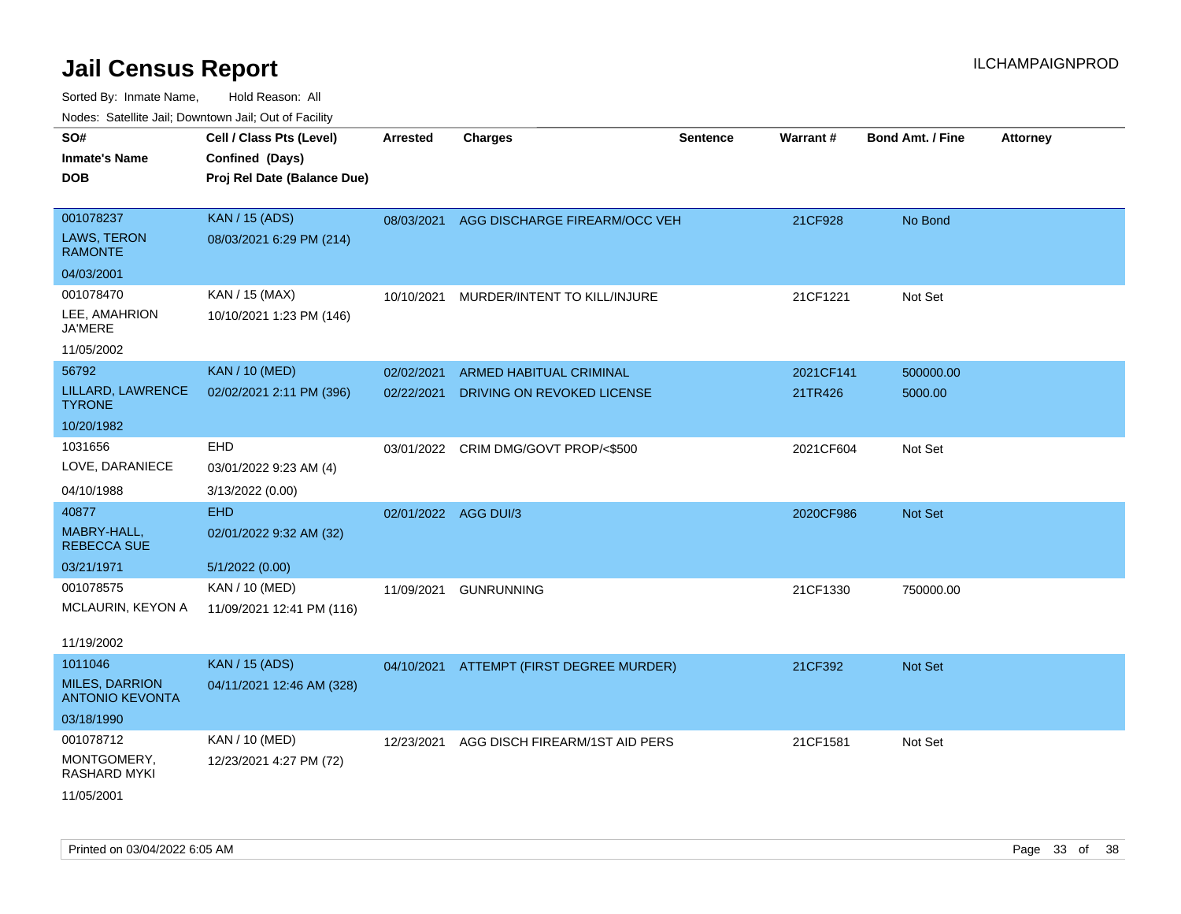| SO#<br><b>Inmate's Name</b><br><b>DOB</b>                  | Cell / Class Pts (Level)<br>Confined (Days)<br>Proj Rel Date (Balance Due) | Arrested                 | <b>Charges</b>                                        | <b>Sentence</b> | Warrant#             | <b>Bond Amt. / Fine</b> | <b>Attorney</b> |
|------------------------------------------------------------|----------------------------------------------------------------------------|--------------------------|-------------------------------------------------------|-----------------|----------------------|-------------------------|-----------------|
| 001078237<br>LAWS, TERON<br><b>RAMONTE</b>                 | <b>KAN / 15 (ADS)</b><br>08/03/2021 6:29 PM (214)                          | 08/03/2021               | AGG DISCHARGE FIREARM/OCC VEH                         |                 | 21CF928              | No Bond                 |                 |
| 04/03/2001                                                 |                                                                            |                          |                                                       |                 |                      |                         |                 |
| 001078470<br>LEE, AMAHRION<br><b>JA'MERE</b>               | KAN / 15 (MAX)<br>10/10/2021 1:23 PM (146)                                 | 10/10/2021               | MURDER/INTENT TO KILL/INJURE                          |                 | 21CF1221             | Not Set                 |                 |
| 11/05/2002                                                 |                                                                            |                          |                                                       |                 |                      |                         |                 |
| 56792<br>LILLARD, LAWRENCE<br><b>TYRONE</b>                | <b>KAN / 10 (MED)</b><br>02/02/2021 2:11 PM (396)                          | 02/02/2021<br>02/22/2021 | ARMED HABITUAL CRIMINAL<br>DRIVING ON REVOKED LICENSE |                 | 2021CF141<br>21TR426 | 500000.00<br>5000.00    |                 |
| 10/20/1982                                                 |                                                                            |                          |                                                       |                 |                      |                         |                 |
| 1031656<br>LOVE, DARANIECE                                 | EHD<br>03/01/2022 9:23 AM (4)                                              | 03/01/2022               | CRIM DMG/GOVT PROP/<\$500                             |                 | 2021CF604            | Not Set                 |                 |
| 04/10/1988                                                 | 3/13/2022 (0.00)                                                           |                          |                                                       |                 |                      |                         |                 |
| 40877<br>MABRY-HALL,<br><b>REBECCA SUE</b><br>03/21/1971   | <b>EHD</b><br>02/01/2022 9:32 AM (32)<br>5/1/2022 (0.00)                   | 02/01/2022 AGG DUI/3     |                                                       |                 | 2020CF986            | <b>Not Set</b>          |                 |
| 001078575                                                  | KAN / 10 (MED)                                                             | 11/09/2021               | <b>GUNRUNNING</b>                                     |                 | 21CF1330             | 750000.00               |                 |
| MCLAURIN, KEYON A<br>11/19/2002                            | 11/09/2021 12:41 PM (116)                                                  |                          |                                                       |                 |                      |                         |                 |
| 1011046<br><b>MILES, DARRION</b><br><b>ANTONIO KEVONTA</b> | <b>KAN / 15 (ADS)</b><br>04/11/2021 12:46 AM (328)                         |                          | 04/10/2021 ATTEMPT (FIRST DEGREE MURDER)              |                 | 21CF392              | <b>Not Set</b>          |                 |
| 03/18/1990                                                 |                                                                            |                          |                                                       |                 |                      |                         |                 |
| 001078712<br>MONTGOMERY,<br>RASHARD MYKI                   | KAN / 10 (MED)<br>12/23/2021 4:27 PM (72)                                  | 12/23/2021               | AGG DISCH FIREARM/1ST AID PERS                        |                 | 21CF1581             | Not Set                 |                 |
| 11/05/2001                                                 |                                                                            |                          |                                                       |                 |                      |                         |                 |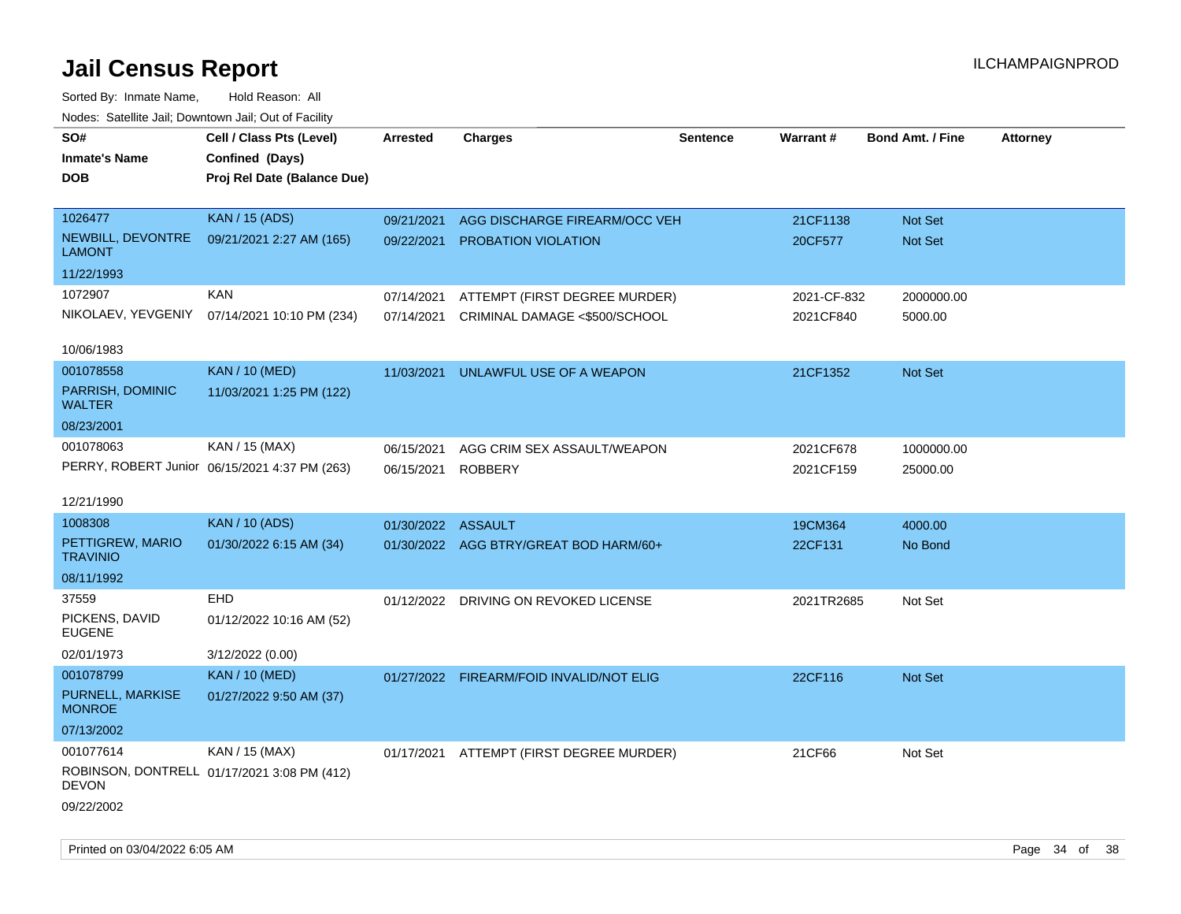| rouce. Calcinic Jan, Downtown Jan, Out or Facility |                                               |                    |                                          |          |             |                         |                 |
|----------------------------------------------------|-----------------------------------------------|--------------------|------------------------------------------|----------|-------------|-------------------------|-----------------|
| SO#<br><b>Inmate's Name</b>                        | Cell / Class Pts (Level)<br>Confined (Days)   | <b>Arrested</b>    | <b>Charges</b>                           | Sentence | Warrant#    | <b>Bond Amt. / Fine</b> | <b>Attorney</b> |
| DOB                                                | Proj Rel Date (Balance Due)                   |                    |                                          |          |             |                         |                 |
| 1026477                                            | <b>KAN / 15 (ADS)</b>                         | 09/21/2021         | AGG DISCHARGE FIREARM/OCC VEH            |          | 21CF1138    | <b>Not Set</b>          |                 |
| NEWBILL, DEVONTRE<br>LAMONT                        | 09/21/2021 2:27 AM (165)                      | 09/22/2021         | <b>PROBATION VIOLATION</b>               |          | 20CF577     | Not Set                 |                 |
| 11/22/1993                                         |                                               |                    |                                          |          |             |                         |                 |
| 1072907                                            | <b>KAN</b>                                    | 07/14/2021         | ATTEMPT (FIRST DEGREE MURDER)            |          | 2021-CF-832 | 2000000.00              |                 |
|                                                    | NIKOLAEV, YEVGENIY 07/14/2021 10:10 PM (234)  | 07/14/2021         | CRIMINAL DAMAGE <\$500/SCHOOL            |          | 2021CF840   | 5000.00                 |                 |
| 10/06/1983                                         |                                               |                    |                                          |          |             |                         |                 |
| 001078558                                          | <b>KAN / 10 (MED)</b>                         | 11/03/2021         | UNLAWFUL USE OF A WEAPON                 |          | 21CF1352    | <b>Not Set</b>          |                 |
| PARRISH, DOMINIC<br><b>WALTER</b>                  | 11/03/2021 1:25 PM (122)                      |                    |                                          |          |             |                         |                 |
| 08/23/2001                                         |                                               |                    |                                          |          |             |                         |                 |
| 001078063                                          | KAN / 15 (MAX)                                | 06/15/2021         | AGG CRIM SEX ASSAULT/WEAPON              |          | 2021CF678   | 1000000.00              |                 |
|                                                    | PERRY, ROBERT Junior 06/15/2021 4:37 PM (263) | 06/15/2021         | <b>ROBBERY</b>                           |          | 2021CF159   | 25000.00                |                 |
| 12/21/1990                                         |                                               |                    |                                          |          |             |                         |                 |
| 1008308                                            | <b>KAN / 10 (ADS)</b>                         | 01/30/2022 ASSAULT |                                          |          | 19CM364     | 4000.00                 |                 |
| PETTIGREW, MARIO<br><b>TRAVINIO</b>                | 01/30/2022 6:15 AM (34)                       |                    | 01/30/2022 AGG BTRY/GREAT BOD HARM/60+   |          | 22CF131     | No Bond                 |                 |
| 08/11/1992                                         |                                               |                    |                                          |          |             |                         |                 |
| 37559                                              | <b>EHD</b>                                    |                    | 01/12/2022 DRIVING ON REVOKED LICENSE    |          | 2021TR2685  | Not Set                 |                 |
| PICKENS, DAVID<br>EUGENE                           | 01/12/2022 10:16 AM (52)                      |                    |                                          |          |             |                         |                 |
| 02/01/1973                                         | 3/12/2022 (0.00)                              |                    |                                          |          |             |                         |                 |
| 001078799                                          | <b>KAN / 10 (MED)</b>                         |                    | 01/27/2022 FIREARM/FOID INVALID/NOT ELIG |          | 22CF116     | <b>Not Set</b>          |                 |
| PURNELL, MARKISE<br><b>MONROE</b>                  | 01/27/2022 9:50 AM (37)                       |                    |                                          |          |             |                         |                 |
| 07/13/2002                                         |                                               |                    |                                          |          |             |                         |                 |
| 001077614                                          | KAN / 15 (MAX)                                |                    | 01/17/2021 ATTEMPT (FIRST DEGREE MURDER) |          | 21CF66      | Not Set                 |                 |
| <b>DEVON</b>                                       | ROBINSON, DONTRELL 01/17/2021 3:08 PM (412)   |                    |                                          |          |             |                         |                 |
| 09/22/2002                                         |                                               |                    |                                          |          |             |                         |                 |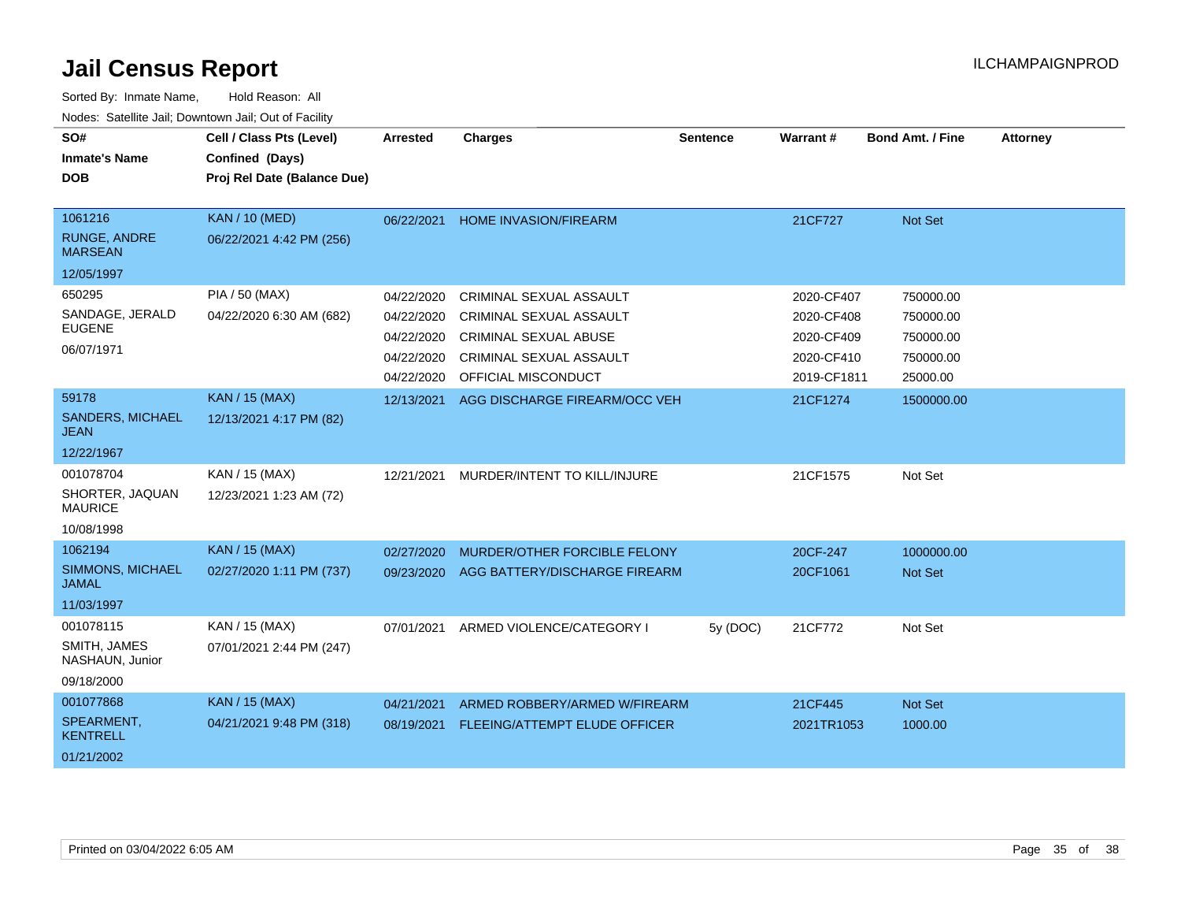| SO#<br><b>Inmate's Name</b><br><b>DOB</b>                      | Cell / Class Pts (Level)<br>Confined (Days)<br>Proj Rel Date (Balance Due) | <b>Arrested</b>                                                    | <b>Charges</b>                                                                                                                              | <b>Sentence</b> | Warrant#                                                            | <b>Bond Amt. / Fine</b>                                      | <b>Attorney</b> |
|----------------------------------------------------------------|----------------------------------------------------------------------------|--------------------------------------------------------------------|---------------------------------------------------------------------------------------------------------------------------------------------|-----------------|---------------------------------------------------------------------|--------------------------------------------------------------|-----------------|
| 1061216<br><b>RUNGE, ANDRE</b><br><b>MARSEAN</b><br>12/05/1997 | <b>KAN / 10 (MED)</b><br>06/22/2021 4:42 PM (256)                          | 06/22/2021                                                         | <b>HOME INVASION/FIREARM</b>                                                                                                                |                 | 21CF727                                                             | Not Set                                                      |                 |
| 650295<br>SANDAGE, JERALD<br><b>EUGENE</b><br>06/07/1971       | PIA / 50 (MAX)<br>04/22/2020 6:30 AM (682)                                 | 04/22/2020<br>04/22/2020<br>04/22/2020<br>04/22/2020<br>04/22/2020 | CRIMINAL SEXUAL ASSAULT<br><b>CRIMINAL SEXUAL ASSAULT</b><br><b>CRIMINAL SEXUAL ABUSE</b><br>CRIMINAL SEXUAL ASSAULT<br>OFFICIAL MISCONDUCT |                 | 2020-CF407<br>2020-CF408<br>2020-CF409<br>2020-CF410<br>2019-CF1811 | 750000.00<br>750000.00<br>750000.00<br>750000.00<br>25000.00 |                 |
| 59178<br><b>SANDERS, MICHAEL</b><br>JEAN<br>12/22/1967         | <b>KAN / 15 (MAX)</b><br>12/13/2021 4:17 PM (82)                           | 12/13/2021                                                         | AGG DISCHARGE FIREARM/OCC VEH                                                                                                               |                 | 21CF1274                                                            | 1500000.00                                                   |                 |
| 001078704<br>SHORTER, JAQUAN<br><b>MAURICE</b><br>10/08/1998   | KAN / 15 (MAX)<br>12/23/2021 1:23 AM (72)                                  | 12/21/2021                                                         | MURDER/INTENT TO KILL/INJURE                                                                                                                |                 | 21CF1575                                                            | Not Set                                                      |                 |
| 1062194<br>SIMMONS, MICHAEL<br><b>JAMAL</b><br>11/03/1997      | <b>KAN / 15 (MAX)</b><br>02/27/2020 1:11 PM (737)                          | 02/27/2020<br>09/23/2020                                           | MURDER/OTHER FORCIBLE FELONY<br>AGG BATTERY/DISCHARGE FIREARM                                                                               |                 | 20CF-247<br>20CF1061                                                | 1000000.00<br><b>Not Set</b>                                 |                 |
| 001078115<br>SMITH, JAMES<br>NASHAUN, Junior<br>09/18/2000     | KAN / 15 (MAX)<br>07/01/2021 2:44 PM (247)                                 | 07/01/2021                                                         | ARMED VIOLENCE/CATEGORY I                                                                                                                   | 5y (DOC)        | 21CF772                                                             | Not Set                                                      |                 |
| 001077868<br>SPEARMENT,<br><b>KENTRELL</b><br>01/21/2002       | <b>KAN / 15 (MAX)</b><br>04/21/2021 9:48 PM (318)                          | 04/21/2021<br>08/19/2021                                           | ARMED ROBBERY/ARMED W/FIREARM<br><b>FLEEING/ATTEMPT ELUDE OFFICER</b>                                                                       |                 | 21CF445<br>2021TR1053                                               | Not Set<br>1000.00                                           |                 |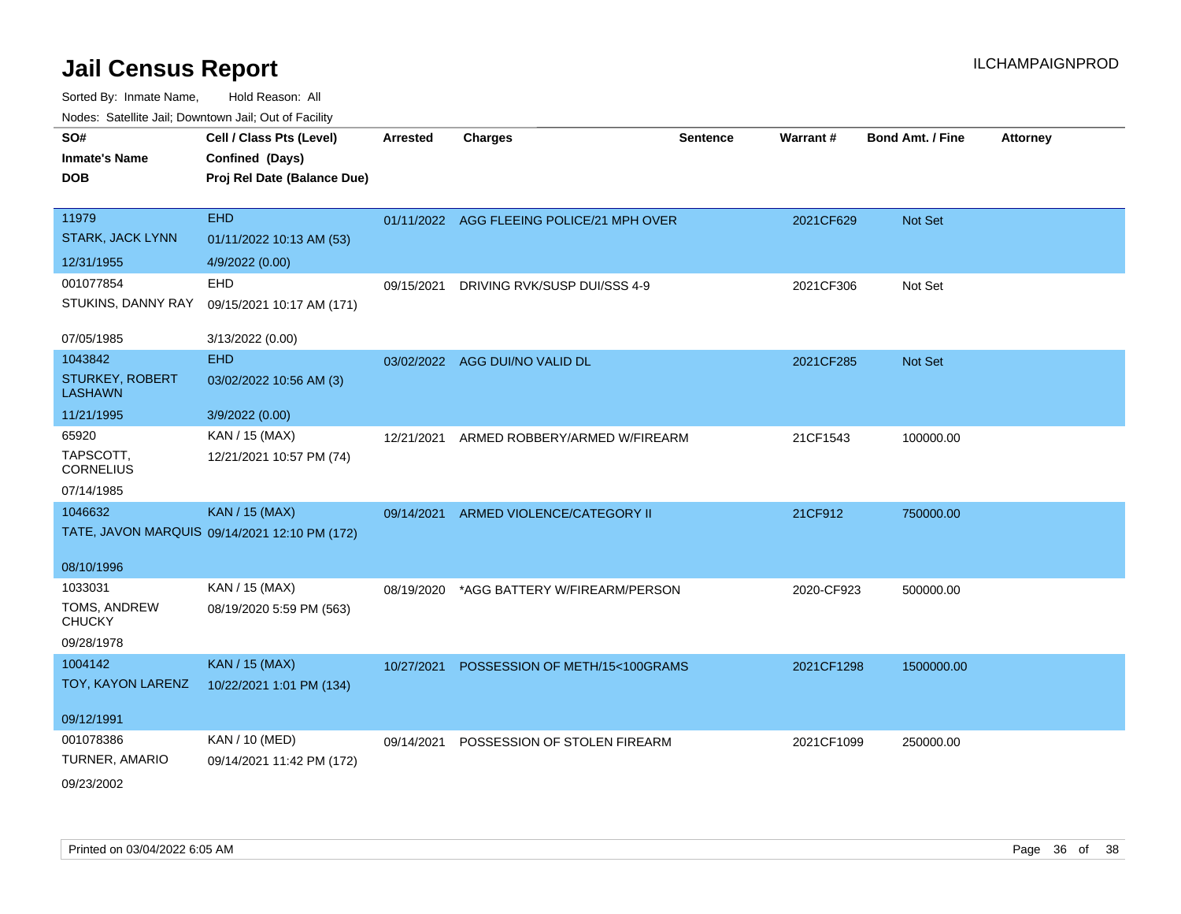| SO#                               | Cell / Class Pts (Level)                      | Arrested   | <b>Charges</b>                            | <b>Sentence</b> | Warrant#   | <b>Bond Amt. / Fine</b> | <b>Attorney</b> |
|-----------------------------------|-----------------------------------------------|------------|-------------------------------------------|-----------------|------------|-------------------------|-----------------|
| <b>Inmate's Name</b>              | Confined (Days)                               |            |                                           |                 |            |                         |                 |
| <b>DOB</b>                        | Proj Rel Date (Balance Due)                   |            |                                           |                 |            |                         |                 |
|                                   |                                               |            |                                           |                 |            |                         |                 |
| 11979                             | <b>EHD</b>                                    |            | 01/11/2022 AGG FLEEING POLICE/21 MPH OVER |                 | 2021CF629  | Not Set                 |                 |
| <b>STARK, JACK LYNN</b>           | 01/11/2022 10:13 AM (53)                      |            |                                           |                 |            |                         |                 |
| 12/31/1955                        | 4/9/2022 (0.00)                               |            |                                           |                 |            |                         |                 |
| 001077854                         | <b>EHD</b>                                    | 09/15/2021 | DRIVING RVK/SUSP DUI/SSS 4-9              |                 | 2021CF306  | Not Set                 |                 |
| STUKINS, DANNY RAY                | 09/15/2021 10:17 AM (171)                     |            |                                           |                 |            |                         |                 |
| 07/05/1985                        | 3/13/2022 (0.00)                              |            |                                           |                 |            |                         |                 |
| 1043842                           | <b>EHD</b>                                    |            | 03/02/2022 AGG DUI/NO VALID DL            |                 | 2021CF285  | Not Set                 |                 |
| STURKEY, ROBERT<br><b>LASHAWN</b> | 03/02/2022 10:56 AM (3)                       |            |                                           |                 |            |                         |                 |
| 11/21/1995                        | 3/9/2022 (0.00)                               |            |                                           |                 |            |                         |                 |
| 65920                             | KAN / 15 (MAX)                                | 12/21/2021 | ARMED ROBBERY/ARMED W/FIREARM             |                 | 21CF1543   | 100000.00               |                 |
| TAPSCOTT,<br><b>CORNELIUS</b>     | 12/21/2021 10:57 PM (74)                      |            |                                           |                 |            |                         |                 |
| 07/14/1985                        |                                               |            |                                           |                 |            |                         |                 |
| 1046632                           | <b>KAN / 15 (MAX)</b>                         |            | 09/14/2021 ARMED VIOLENCE/CATEGORY II     |                 | 21CF912    | 750000.00               |                 |
|                                   | TATE, JAVON MARQUIS 09/14/2021 12:10 PM (172) |            |                                           |                 |            |                         |                 |
| 08/10/1996                        |                                               |            |                                           |                 |            |                         |                 |
| 1033031                           | KAN / 15 (MAX)                                | 08/19/2020 | *AGG BATTERY W/FIREARM/PERSON             |                 | 2020-CF923 | 500000.00               |                 |
| TOMS, ANDREW<br><b>CHUCKY</b>     | 08/19/2020 5:59 PM (563)                      |            |                                           |                 |            |                         |                 |
| 09/28/1978                        |                                               |            |                                           |                 |            |                         |                 |
| 1004142                           | <b>KAN / 15 (MAX)</b>                         | 10/27/2021 | POSSESSION OF METH/15<100GRAMS            |                 | 2021CF1298 | 1500000.00              |                 |
| TOY, KAYON LARENZ                 | 10/22/2021 1:01 PM (134)                      |            |                                           |                 |            |                         |                 |
| 09/12/1991                        |                                               |            |                                           |                 |            |                         |                 |
| 001078386                         | KAN / 10 (MED)                                | 09/14/2021 | POSSESSION OF STOLEN FIREARM              |                 | 2021CF1099 | 250000.00               |                 |
| TURNER, AMARIO                    | 09/14/2021 11:42 PM (172)                     |            |                                           |                 |            |                         |                 |
| 09/23/2002                        |                                               |            |                                           |                 |            |                         |                 |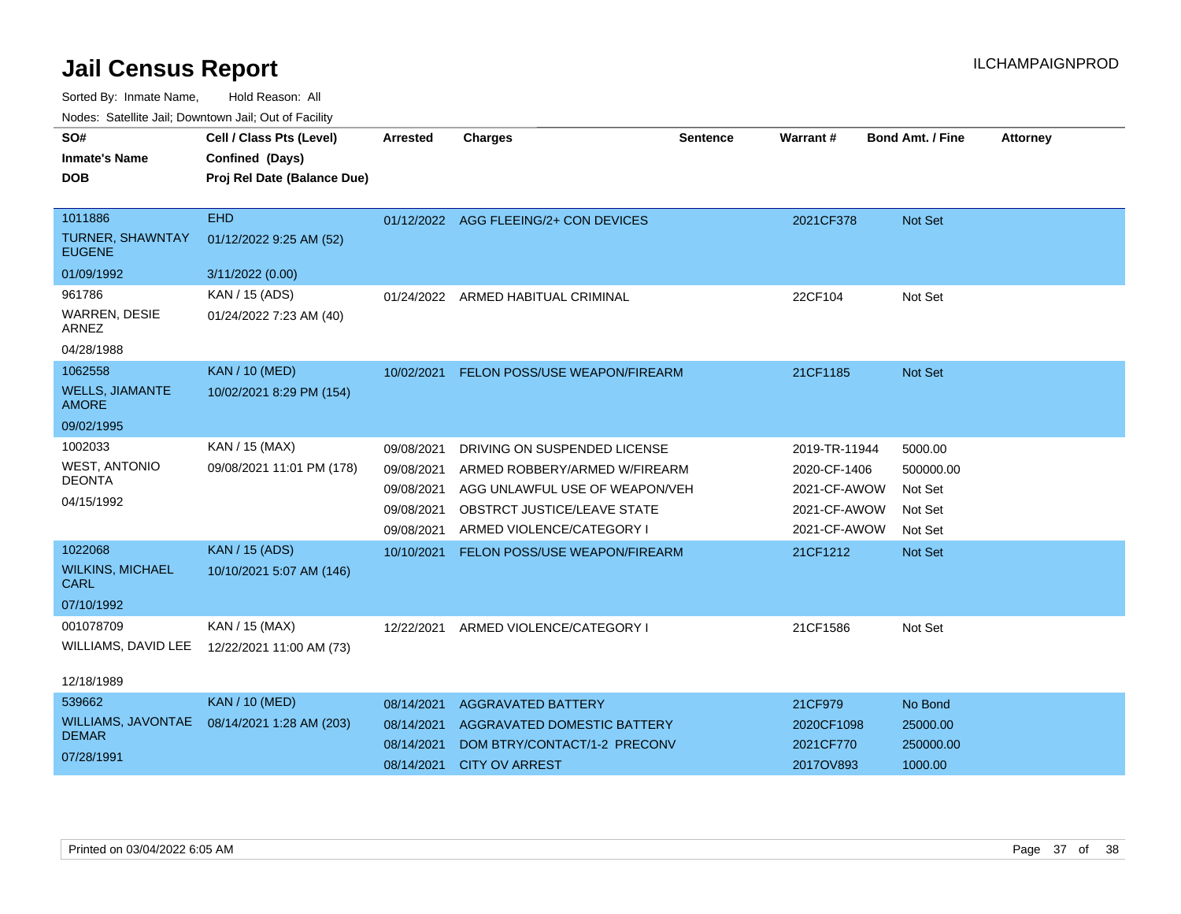Sorted By: Inmate Name, Hold Reason: All

Nodes: Satellite Jail; Downtown Jail; Out of Facility

| SO#<br><b>Inmate's Name</b><br><b>DOB</b><br>1011886<br><b>TURNER, SHAWNTAY</b><br><b>EUGENE</b> | Cell / Class Pts (Level)<br>Confined (Days)<br>Proj Rel Date (Balance Due)<br><b>EHD</b><br>01/12/2022 9:25 AM (52) | <b>Arrested</b>                                      | <b>Charges</b><br>01/12/2022 AGG FLEEING/2+ CON DEVICES                                                                     | <b>Sentence</b> | Warrant#<br>2021CF378                                        | Bond Amt. / Fine<br><b>Not Set</b>         | <b>Attorney</b> |
|--------------------------------------------------------------------------------------------------|---------------------------------------------------------------------------------------------------------------------|------------------------------------------------------|-----------------------------------------------------------------------------------------------------------------------------|-----------------|--------------------------------------------------------------|--------------------------------------------|-----------------|
| 01/09/1992                                                                                       | 3/11/2022 (0.00)                                                                                                    |                                                      |                                                                                                                             |                 |                                                              |                                            |                 |
| 961786<br>WARREN, DESIE<br>ARNEZ<br>04/28/1988                                                   | KAN / 15 (ADS)<br>01/24/2022 7:23 AM (40)                                                                           |                                                      | 01/24/2022 ARMED HABITUAL CRIMINAL                                                                                          |                 | 22CF104                                                      | Not Set                                    |                 |
| 1062558<br><b>WELLS, JIAMANTE</b><br><b>AMORE</b><br>09/02/1995                                  | <b>KAN / 10 (MED)</b><br>10/02/2021 8:29 PM (154)                                                                   | 10/02/2021                                           | FELON POSS/USE WEAPON/FIREARM                                                                                               |                 | 21CF1185                                                     | <b>Not Set</b>                             |                 |
| 1002033                                                                                          | KAN / 15 (MAX)                                                                                                      | 09/08/2021                                           | DRIVING ON SUSPENDED LICENSE                                                                                                |                 | 2019-TR-11944                                                | 5000.00                                    |                 |
| <b>WEST, ANTONIO</b><br><b>DEONTA</b><br>04/15/1992                                              | 09/08/2021 11:01 PM (178)                                                                                           | 09/08/2021<br>09/08/2021<br>09/08/2021<br>09/08/2021 | ARMED ROBBERY/ARMED W/FIREARM<br>AGG UNLAWFUL USE OF WEAPON/VEH<br>OBSTRCT JUSTICE/LEAVE STATE<br>ARMED VIOLENCE/CATEGORY I |                 | 2020-CF-1406<br>2021-CF-AWOW<br>2021-CF-AWOW<br>2021-CF-AWOW | 500000.00<br>Not Set<br>Not Set<br>Not Set |                 |
| 1022068                                                                                          | <b>KAN / 15 (ADS)</b>                                                                                               | 10/10/2021                                           | FELON POSS/USE WEAPON/FIREARM                                                                                               |                 | 21CF1212                                                     | Not Set                                    |                 |
| <b>WILKINS, MICHAEL</b><br><b>CARL</b><br>07/10/1992                                             | 10/10/2021 5:07 AM (146)                                                                                            |                                                      |                                                                                                                             |                 |                                                              |                                            |                 |
| 001078709                                                                                        | KAN / 15 (MAX)                                                                                                      | 12/22/2021                                           | ARMED VIOLENCE/CATEGORY I                                                                                                   |                 | 21CF1586                                                     | Not Set                                    |                 |
| WILLIAMS, DAVID LEE<br>12/18/1989                                                                | 12/22/2021 11:00 AM (73)                                                                                            |                                                      |                                                                                                                             |                 |                                                              |                                            |                 |
| 539662                                                                                           | <b>KAN / 10 (MED)</b>                                                                                               | 08/14/2021                                           | <b>AGGRAVATED BATTERY</b>                                                                                                   |                 | 21CF979                                                      | No Bond                                    |                 |
| <b>WILLIAMS, JAVONTAE</b><br><b>DEMAR</b><br>07/28/1991                                          | 08/14/2021 1:28 AM (203)                                                                                            | 08/14/2021<br>08/14/2021<br>08/14/2021               | AGGRAVATED DOMESTIC BATTERY<br>DOM BTRY/CONTACT/1-2 PRECONV<br><b>CITY OV ARREST</b>                                        |                 | 2020CF1098<br>2021CF770<br>2017OV893                         | 25000.00<br>250000.00                      |                 |
|                                                                                                  |                                                                                                                     |                                                      |                                                                                                                             |                 |                                                              | 1000.00                                    |                 |